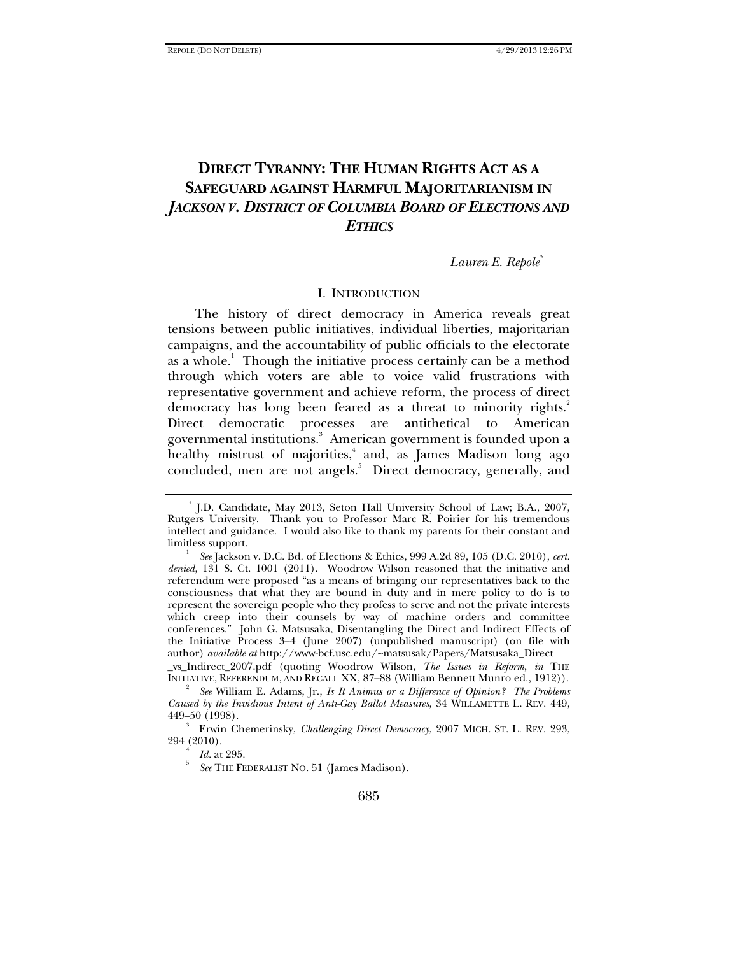# **DIRECT TYRANNY: THE HUMAN RIGHTS ACT AS A SAFEGUARD AGAINST HARMFUL MAJORITARIANISM IN**  *JACKSON V. DISTRICT OF COLUMBIA BOARD OF ELECTIONS AND ETHICS*

### *Lauren E. Repole\**

### I. INTRODUCTION

The history of direct democracy in America reveals great tensions between public initiatives, individual liberties, majoritarian campaigns, and the accountability of public officials to the electorate as a whole.<sup>1</sup> Though the initiative process certainly can be a method through which voters are able to voice valid frustrations with representative government and achieve reform, the process of direct democracy has long been feared as a threat to minority rights.<sup>2</sup> Direct democratic processes are antithetical to American governmental institutions.<sup>3</sup> American government is founded upon a healthy mistrust of majorities,<sup>4</sup> and, as James Madison long ago concluded, men are not angels.<sup>5</sup> Direct democracy, generally, and

<sup>\*</sup> J.D. Candidate, May 2013, Seton Hall University School of Law; B.A., 2007, Rutgers University. Thank you to Professor Marc R. Poirier for his tremendous intellect and guidance. I would also like to thank my parents for their constant and limitless support.

*See* Jackson v. D.C. Bd. of Elections & Ethics, 999 A.2d 89, 105 (D.C. 2010), *cert. denied*, 131 S. Ct. 1001 (2011). Woodrow Wilson reasoned that the initiative and referendum were proposed "as a means of bringing our representatives back to the consciousness that what they are bound in duty and in mere policy to do is to represent the sovereign people who they profess to serve and not the private interests which creep into their counsels by way of machine orders and committee conferences." John G. Matsusaka, Disentangling the Direct and Indirect Effects of the Initiative Process 3-4 (June 2007) (unpublished manuscript) (on file with author) *available at* http://www-bcf.usc.edu/~matsusak/Papers/Matsusaka\_Direct

\_vs\_Indirect\_2007.pdf (quoting Woodrow Wilson, *The Issues in Reform*, *in* THE INITIATIVE, REFERENDUM, AND RECALL XX, 87–88 (William Bennett Munro ed., 1912)). 2

*See* William E. Adams, Jr., *Is It Animus or a Difference of Opinion? The Problems Caused by the Invidious Intent of Anti-Gay Ballot Measures*, 34 WILLAMETTE L. REV. 449, 449–50 (1998). 3

Erwin Chemerinsky, *Challenging Direct Democracy*, 2007 MICH. ST. L. REV. 293, 294 (2010). 4

*Id.* at 295.

*See* THE FEDERALIST NO. 51 (James Madison).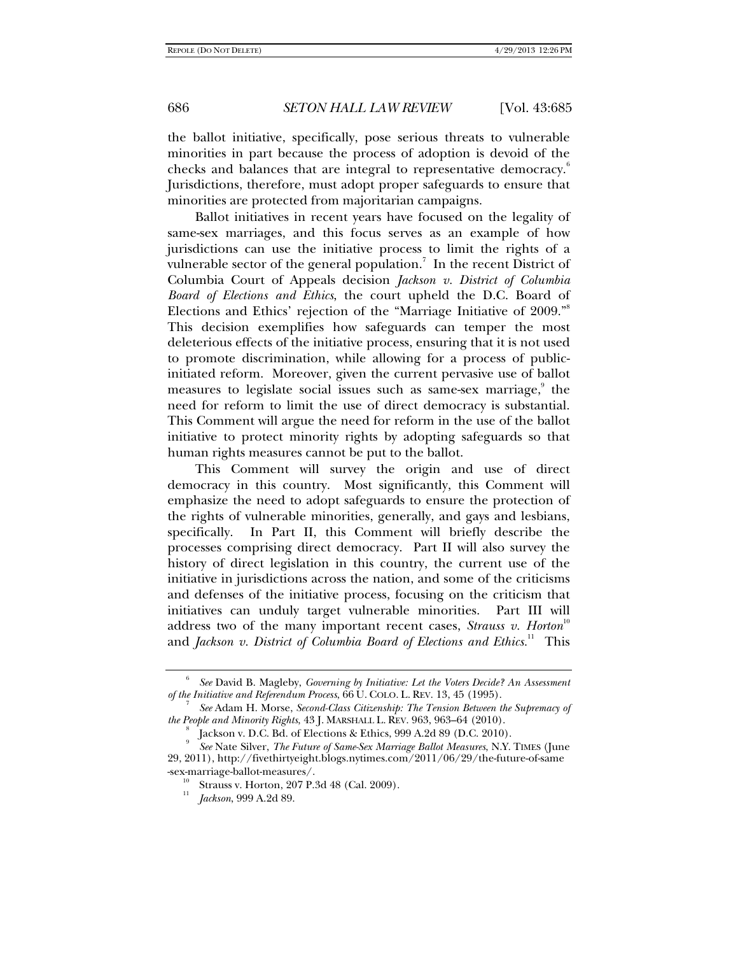the ballot initiative, specifically, pose serious threats to vulnerable minorities in part because the process of adoption is devoid of the checks and balances that are integral to representative democracy.<sup>8</sup> Jurisdictions, therefore, must adopt proper safeguards to ensure that minorities are protected from majoritarian campaigns.

Ballot initiatives in recent years have focused on the legality of same-sex marriages, and this focus serves as an example of how jurisdictions can use the initiative process to limit the rights of a vulnerable sector of the general population. $^7$  In the recent District of Columbia Court of Appeals decision *Jackson v. District of Columbia Board of Elections and Ethics*, the court upheld the D.C. Board of Elections and Ethics' rejection of the "Marriage Initiative of 2009."<sup>8</sup> This decision exemplifies how safeguards can temper the most deleterious effects of the initiative process, ensuring that it is not used to promote discrimination, while allowing for a process of publicinitiated reform. Moreover, given the current pervasive use of ballot measures to legislate social issues such as same-sex marriage,<sup>9</sup> the need for reform to limit the use of direct democracy is substantial. This Comment will argue the need for reform in the use of the ballot initiative to protect minority rights by adopting safeguards so that human rights measures cannot be put to the ballot.

This Comment will survey the origin and use of direct democracy in this country. Most significantly, this Comment will emphasize the need to adopt safeguards to ensure the protection of the rights of vulnerable minorities, generally, and gays and lesbians, specifically. In Part II, this Comment will briefly describe the processes comprising direct democracy. Part II will also survey the history of direct legislation in this country, the current use of the initiative in jurisdictions across the nation, and some of the criticisms and defenses of the initiative process, focusing on the criticism that initiatives can unduly target vulnerable minorities. Part III will address two of the many important recent cases, *Strauss v. Horton*<sup>10</sup> and *Jackson v. District of Columbia Board of Elections and Ethics.*<sup>11</sup> This

<sup>6</sup> *See* David B. Magleby, *Governing by Initiative: Let the Voters Decide? An Assessment of the Initiative and Referendum Process*, 66 U. COLO. L. REV. 13, 45 (1995). 7

*See* Adam H. Morse, *Second-Class Citizenship: The Tension Between the Supremacy of the People and Minority Rights*, 43 J. MARSHALL L. REV. 963, 963–64 (2010). 8

Jackson v. D.C. Bd. of Elections & Ethics, 999 A.2d 89 (D.C. 2010).

<sup>9</sup> *See* Nate Silver, *The Future of Same-Sex Marriage Ballot Measures*, N.Y. TIMES (June 29, 2011), http://fivethirtyeight.blogs.nytimes.com/2011/06/29/the-future-of-same

<sup>-</sup>sex-marriage-ballot-measures/. 10 Strauss v. Horton, 207 P.3d 48 (Cal. 2009). 11

*Jackson*, 999 A.2d 89.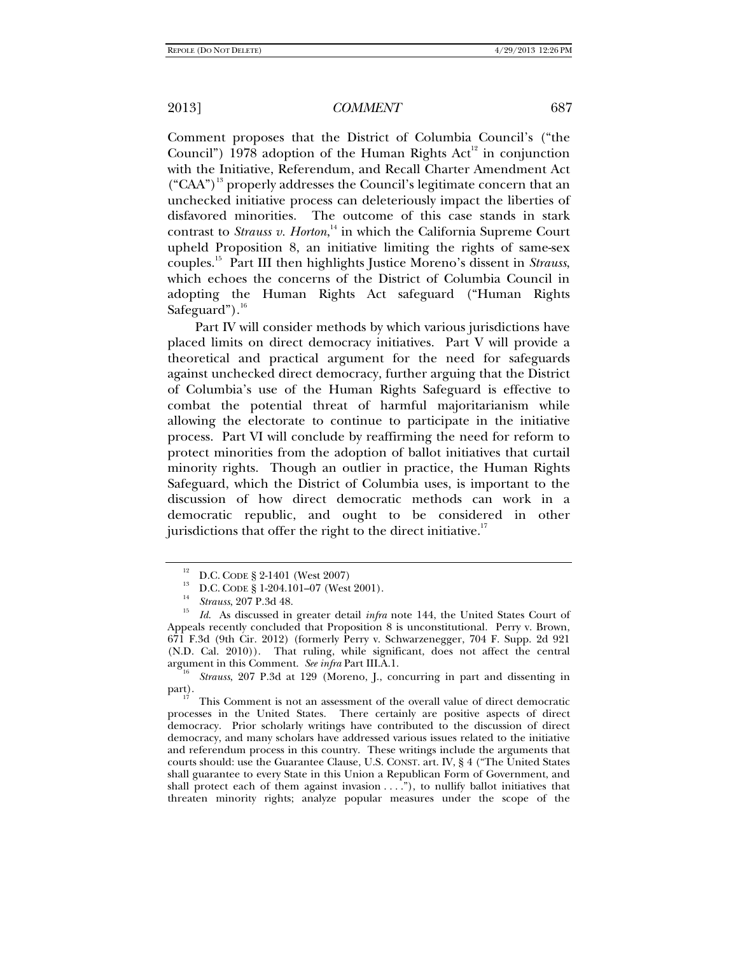Comment proposes that the District of Columbia Council's ("the Council") 1978 adoption of the Human Rights  $Act<sup>12</sup>$  in conjunction with the Initiative, Referendum, and Recall Charter Amendment Act  $({}^{\circ}CAA^{\prime})^{\prime3}$  properly addresses the Council's legitimate concern that an unchecked initiative process can deleteriously impact the liberties of disfavored minorities. The outcome of this case stands in stark contrast to *Strauss v. Horton*,<sup>14</sup> in which the California Supreme Court upheld Proposition 8, an initiative limiting the rights of same-sex couples.15 Part III then highlights Justice Moreno's dissent in *Strauss*, which echoes the concerns of the District of Columbia Council in adopting the Human Rights Act safeguard ("Human Rights Safeguard").<sup>16</sup>

Part IV will consider methods by which various jurisdictions have placed limits on direct democracy initiatives. Part V will provide a theoretical and practical argument for the need for safeguards against unchecked direct democracy, further arguing that the District of Columbia's use of the Human Rights Safeguard is effective to combat the potential threat of harmful majoritarianism while allowing the electorate to continue to participate in the initiative process. Part VI will conclude by reaffirming the need for reform to protect minorities from the adoption of ballot initiatives that curtail minority rights. Though an outlier in practice, the Human Rights Safeguard, which the District of Columbia uses, is important to the discussion of how direct democratic methods can work in a democratic republic, and ought to be considered in other jurisdictions that offer the right to the direct initiative. $17$ 

 *Strauss*, 207 P.3d at 129 (Moreno, J., concurring in part and dissenting in part).<br><sup>17</sup> This Comment is not an assessment of the overall value of direct democratic

processes in the United States. There certainly are positive aspects of direct democracy. Prior scholarly writings have contributed to the discussion of direct democracy, and many scholars have addressed various issues related to the initiative and referendum process in this country. These writings include the arguments that courts should: use the Guarantee Clause, U.S. CONST. art. IV, § 4 ("The United States shall guarantee to every State in this Union a Republican Form of Government, and shall protect each of them against invasion  $\dots$ ."), to nullify ballot initiatives that threaten minority rights; analyze popular measures under the scope of the

<sup>&</sup>lt;sup>12</sup> D.C. CODE § 2-1401 (West 2007)<br><sup>13</sup> D.C. CODE § 1-204.101–07 (West 2001).<br><sup>14</sup> Strauss, 207 P.3d 48.

*Id.* As discussed in greater detail *infra* note 144, the United States Court of Appeals recently concluded that Proposition 8 is unconstitutional. Perry v. Brown, 671 F.3d (9th Cir. 2012) (formerly Perry v. Schwarzenegger, 704 F. Supp. 2d 921 (N.D. Cal. 2010)). That ruling, while significant, does not affect the central argument in this Comment. See infra Part III.A.1.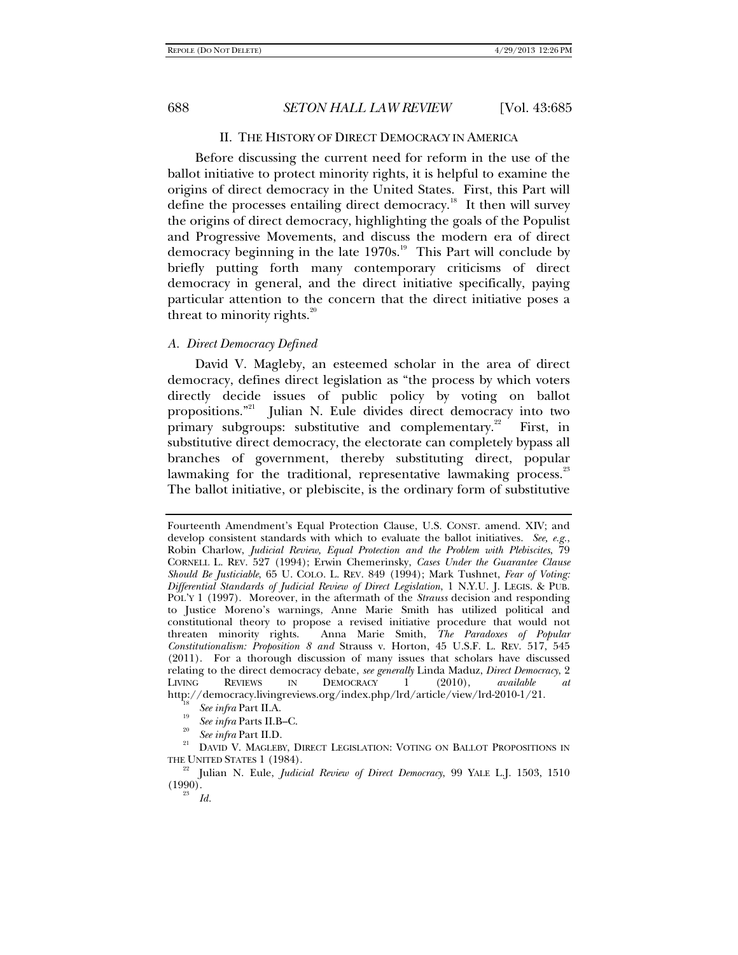#### II. THE HISTORY OF DIRECT DEMOCRACY IN AMERICA

Before discussing the current need for reform in the use of the ballot initiative to protect minority rights, it is helpful to examine the origins of direct democracy in the United States. First, this Part will define the processes entailing direct democracy.<sup>18</sup> It then will survey the origins of direct democracy, highlighting the goals of the Populist and Progressive Movements, and discuss the modern era of direct democracy beginning in the late  $1970s$ .<sup>19</sup> This Part will conclude by briefly putting forth many contemporary criticisms of direct democracy in general, and the direct initiative specifically, paying particular attention to the concern that the direct initiative poses a threat to minority rights. $20$ 

#### *A. Direct Democracy Defined*

David V. Magleby, an esteemed scholar in the area of direct democracy, defines direct legislation as "the process by which voters directly decide issues of public policy by voting on ballot propositions."<sup>21</sup> Julian N. Eule divides direct democracy into two primary subgroups: substitutive and complementary.<sup>22</sup> First, in substitutive direct democracy, the electorate can completely bypass all branches of government, thereby substituting direct, popular lawmaking for the traditional, representative lawmaking process.<sup>23</sup> The ballot initiative, or plebiscite, is the ordinary form of substitutive

- <sup>19</sup> *See infra* Parts II.B–C.<br><sup>20</sup> *See infra* Part II.D.
- 

Fourteenth Amendment's Equal Protection Clause, U.S. CONST. amend. XIV; and develop consistent standards with which to evaluate the ballot initiatives. *See, e.g.*, Robin Charlow, *Judicial Review, Equal Protection and the Problem with Plebiscites*, 79 CORNELL L. REV. 527 (1994); Erwin Chemerinsky, *Cases Under the Guarantee Clause Should Be Justiciable*, 65 U. COLO. L. REV. 849 (1994); Mark Tushnet, *Fear of Voting: Differential Standards of Judicial Review of Direct Legislation*, 1 N.Y.U. J. LEGIS. & PUB. POL'Y 1 (1997). Moreover, in the aftermath of the *Strauss* decision and responding to Justice Moreno's warnings, Anne Marie Smith has utilized political and constitutional theory to propose a revised initiative procedure that would not threaten minority rights. Anna Marie Smith, *The Paradoxes of Popular Constitutionalism: Proposition 8 and* Strauss v. Horton, 45 U.S.F. L. REV. 517, 545 (2011). For a thorough discussion of many issues that scholars have discussed relating to the direct democracy debate, *see generally* Linda Maduz, *Direct Democracy*, 2 LIVING REVIEWS IN DEMOCRACY 1 (2010), *available at* http://democracy.livingreviews.org/index.php/lrd/article/view/lrd-2010-1/21.<br><sup>18</sup> *See infra* Part II.A.

<sup>&</sup>lt;sup>21</sup> DAVID V. MAGLEBY, DIRECT LEGISLATION: VOTING ON BALLOT PROPOSITIONS IN

THE UNITED STATES 1 (1984). 22 Julian N. Eule, *Judicial Review of Direct Democracy*, 99 YALE L.J. 1503, <sup>1510</sup>  $(1990)$ .

*Id.*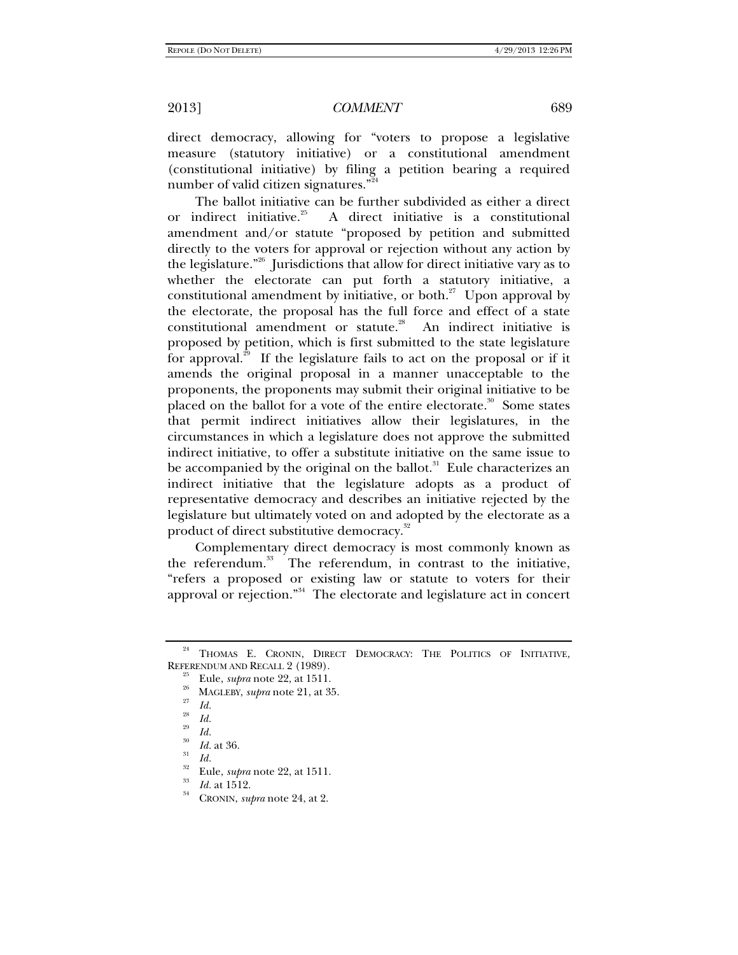direct democracy, allowing for "voters to propose a legislative measure (statutory initiative) or a constitutional amendment (constitutional initiative) by filing a petition bearing a required number of valid citizen signatures."

The ballot initiative can be further subdivided as either a direct or indirect initiative.<sup>25</sup> A direct initiative is a constitutional amendment and/or statute "proposed by petition and submitted directly to the voters for approval or rejection without any action by the legislature."<sup>26</sup> Jurisdictions that allow for direct initiative vary as to whether the electorate can put forth a statutory initiative, a constitutional amendment by initiative, or both. $^{27}$  Upon approval by the electorate, the proposal has the full force and effect of a state constitutional amendment or statute.<sup>28</sup> An indirect initiative is proposed by petition, which is first submitted to the state legislature for approval.<sup>29</sup> If the legislature fails to act on the proposal or if it amends the original proposal in a manner unacceptable to the proponents, the proponents may submit their original initiative to be placed on the ballot for a vote of the entire electorate.<sup>30</sup> Some states that permit indirect initiatives allow their legislatures, in the circumstances in which a legislature does not approve the submitted indirect initiative, to offer a substitute initiative on the same issue to be accompanied by the original on the ballot. $31$  Eule characterizes an indirect initiative that the legislature adopts as a product of representative democracy and describes an initiative rejected by the legislature but ultimately voted on and adopted by the electorate as a product of direct substitutive democracy.<sup>32</sup>

Complementary direct democracy is most commonly known as the referendum.<sup>33</sup> The referendum, in contrast to the initiative, "refers a proposed or existing law or statute to voters for their approval or rejection."<sup>34</sup> The electorate and legislature act in concert

THOMAS E. CRONIN, DIRECT DEMOCRACY: THE POLITICS OF INITIATIVE, REFERENDUM AND RECALL 2 (1989).<br><sup>25</sup> Eule, *supra* note 22, at 1511.<br><sup>26</sup> MAGLEBY, *supra* note 21, at 35.<br>*27* Id.

*Id.*<br>*Id.* at 36.

*Id.* Eule, *supra* note 22, at 1511.<br><sup>33</sup> *Id.* at 1512.<br><sup>34</sup> CRONIN, *supra* note 24, at 2.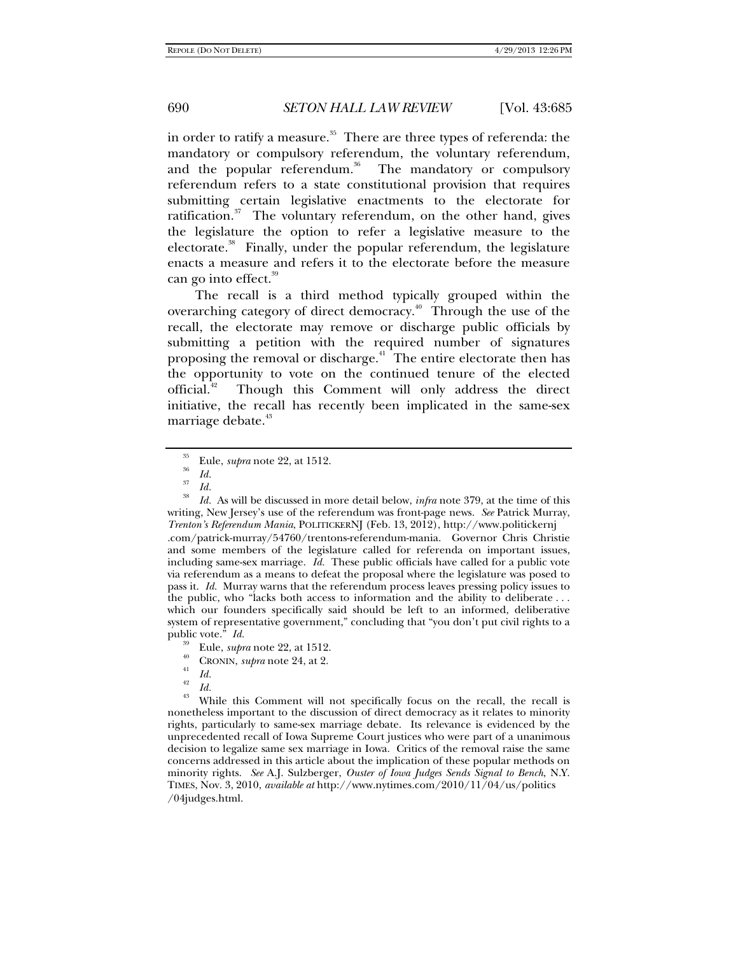in order to ratify a measure. $35$  There are three types of referenda: the mandatory or compulsory referendum, the voluntary referendum, and the popular referendum.<sup>36</sup> The mandatory or compulsory referendum refers to a state constitutional provision that requires submitting certain legislative enactments to the electorate for ratification. $37$  The voluntary referendum, on the other hand, gives the legislature the option to refer a legislative measure to the electorate.<sup>38</sup> Finally, under the popular referendum, the legislature enacts a measure and refers it to the electorate before the measure can go into effect.<sup>39</sup>

The recall is a third method typically grouped within the overarching category of direct democracy.<sup>40</sup> Through the use of the recall, the electorate may remove or discharge public officials by submitting a petition with the required number of signatures proposing the removal or discharge.<sup>41</sup> The entire electorate then has the opportunity to vote on the continued tenure of the elected official.<sup>42</sup> Though this Comment will only address the direct initiative, the recall has recently been implicated in the same-sex marriage debate.<sup>43</sup>

<sup>38</sup> *Id.* As will be discussed in more detail below, *infra* note 379, at the time of this writing, New Jersey's use of the referendum was front-page news. *See* Patrick Murray, *Trenton's Referendum Mania*, POLITICKERNJ (Feb. 13, 2012), http://www.politickernj .com/patrick-murray/54760/trentons-referendum-mania. Governor Chris Christie and some members of the legislature called for referenda on important issues, including same-sex marriage. *Id.* These public officials have called for a public vote via referendum as a means to defeat the proposal where the legislature was posed to pass it. *Id.* Murray warns that the referendum process leaves pressing policy issues to the public, who "lacks both access to information and the ability to deliberate . . . which our founders specifically said should be left to an informed, deliberative system of representative government," concluding that "you don't put civil rights to a public vote."  $Id$ .

- <sup>39</sup> Eule, *supra* note 22, at 1512.<br><sup>40</sup> CRONIN, *supra* note 24, at 2.
- 
- 
- $\begin{array}{cc} {}^{41} & Id. \\ {}^{42} & Id. \end{array}$
- 

<sup>43</sup> While this Comment will not specifically focus on the recall, the recall is nonetheless important to the discussion of direct democracy as it relates to minority rights, particularly to same-sex marriage debate. Its relevance is evidenced by the unprecedented recall of Iowa Supreme Court justices who were part of a unanimous decision to legalize same sex marriage in Iowa. Critics of the removal raise the same concerns addressed in this article about the implication of these popular methods on minority rights. *See* A.J. Sulzberger, *Ouster of Iowa Judges Sends Signal to Bench*, N.Y. TIMES, Nov. 3, 2010, *available at* http://www.nytimes.com/2010/11/04/us/politics /04judges.html.

<sup>35</sup> Eule, *supra* note 22, at 1512. 36 *Id.*

 $rac{37}{38}$  *Id.*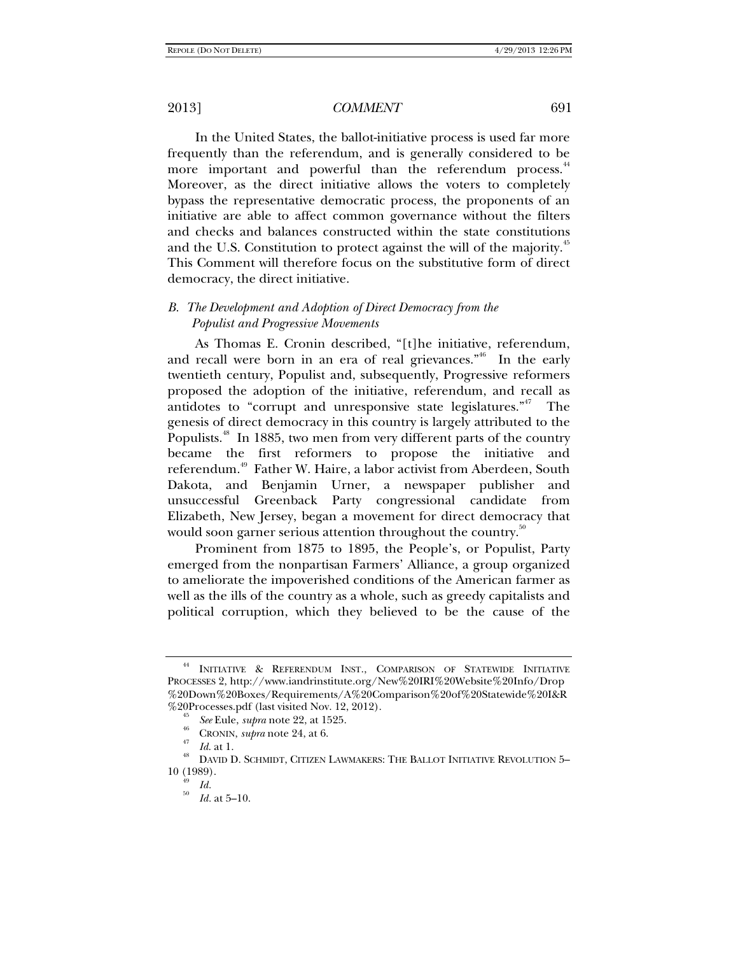In the United States, the ballot-initiative process is used far more frequently than the referendum, and is generally considered to be more important and powerful than the referendum process.<sup>44</sup> Moreover, as the direct initiative allows the voters to completely bypass the representative democratic process, the proponents of an initiative are able to affect common governance without the filters and checks and balances constructed within the state constitutions and the U.S. Constitution to protect against the will of the majority.<sup>45</sup> This Comment will therefore focus on the substitutive form of direct democracy, the direct initiative.

### *B. The Development and Adoption of Direct Democracy from the Populist and Progressive Movements*

As Thomas E. Cronin described, "[t]he initiative, referendum, and recall were born in an era of real grievances."46 In the early twentieth century, Populist and, subsequently, Progressive reformers proposed the adoption of the initiative, referendum, and recall as antidotes to "corrupt and unresponsive state legislatures."<sup>47</sup> The genesis of direct democracy in this country is largely attributed to the Populists.<sup>48</sup> In 1885, two men from very different parts of the country became the first reformers to propose the initiative and referendum.<sup>49</sup> Father W. Haire, a labor activist from Aberdeen, South Dakota, and Benjamin Urner, a newspaper publisher and unsuccessful Greenback Party congressional candidate from Elizabeth, New Jersey, began a movement for direct democracy that would soon garner serious attention throughout the country.<sup>50</sup>

Prominent from 1875 to 1895, the People's, or Populist, Party emerged from the nonpartisan Farmers' Alliance, a group organized to ameliorate the impoverished conditions of the American farmer as well as the ills of the country as a whole, such as greedy capitalists and political corruption, which they believed to be the cause of the

INITIATIVE & REFERENDUM INST., COMPARISON OF STATEWIDE INITIATIVE PROCESSES 2, http://www.iandrinstitute.org/New%20IRI%20Website%20Info/Drop %20Down%20Boxes/Requirements/A%20Comparison%20of%20Statewide%20I&R %20Processes.pdf (last visited Nov. 12, 2012).<br><sup>45</sup> See Eule, *supra* note 22, at 1525.

<sup>&</sup>lt;sup>46</sup> CRONIN, *supra* note 24, at 6.<br><sup>47</sup> *Id.* at 1.<br><sup>48</sup> DAVID D. SCHMIDT, CITIZEN LAWMAKERS: THE BALLOT INITIATIVE REVOLUTION 5– 10 (1989).<br> $\frac{49}{49}$  *Id.*<br> $\frac{50}{11}$ 

*Id.* at 5–10.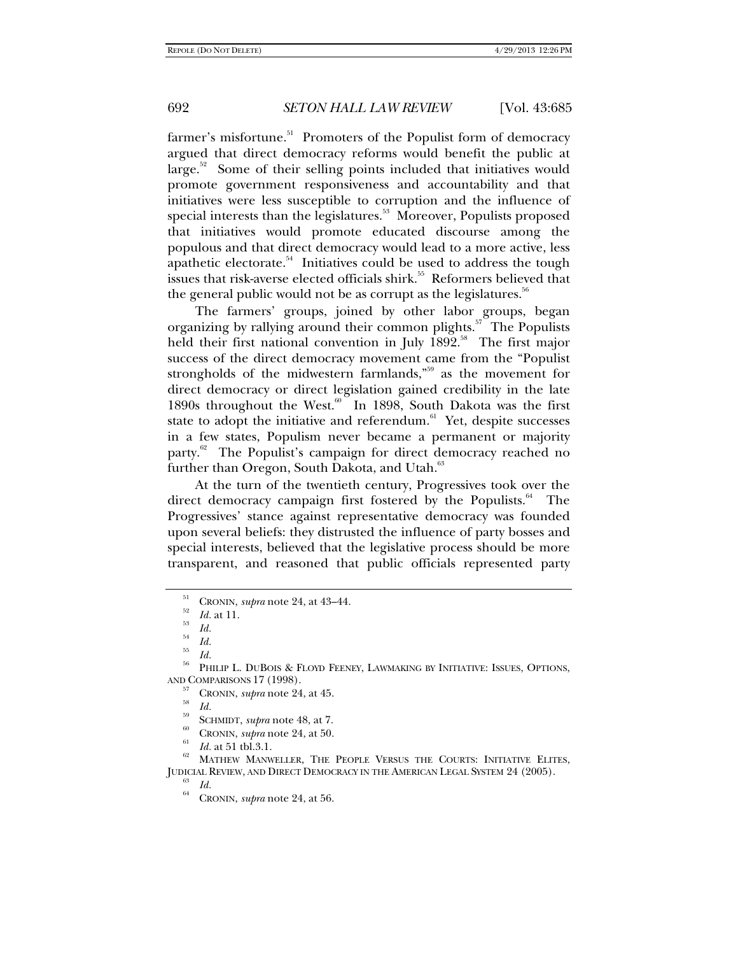farmer's misfortune.<sup>51</sup> Promoters of the Populist form of democracy argued that direct democracy reforms would benefit the public at  $\langle \text{large.}^{\text{52}} \rangle$  Some of their selling points included that initiatives would promote government responsiveness and accountability and that initiatives were less susceptible to corruption and the influence of special interests than the legislatures.<sup>53</sup> Moreover, Populists proposed that initiatives would promote educated discourse among the populous and that direct democracy would lead to a more active, less apathetic electorate.<sup>54</sup> Initiatives could be used to address the tough issues that risk-averse elected officials shirk.<sup>55</sup> Reformers believed that the general public would not be as corrupt as the legislatures.<sup>56</sup>

The farmers' groups, joined by other labor groups, began organizing by rallying around their common plights.<sup>57</sup> The Populists held their first national convention in July  $1892$ <sup>58</sup>. The first major success of the direct democracy movement came from the "Populist strongholds of the midwestern farmlands,"<sup>59</sup> as the movement for direct democracy or direct legislation gained credibility in the late 1890s throughout the West.<sup>60</sup> In 1898, South Dakota was the first state to adopt the initiative and referendum. $61$  Yet, despite successes in a few states, Populism never became a permanent or majority party.<sup>62</sup> The Populist's campaign for direct democracy reached no further than Oregon, South Dakota, and Utah.<sup>63</sup>

At the turn of the twentieth century, Progressives took over the direct democracy campaign first fostered by the Populists. $64$  The Progressives' stance against representative democracy was founded upon several beliefs: they distrusted the influence of party bosses and special interests, believed that the legislative process should be more transparent, and reasoned that public officials represented party

 $\frac{Id.}{Id.}$ 

<sup>51</sup> CRONIN, *supra* note 24, at 43–44. 52 *Id.* at 11. 53

 $\frac{1}{54}$  *Id.* 

<sup>&</sup>lt;sup>56</sup> PHILIP L. DUBOIS & FLOYD FEENEY, LAWMAKING BY INITIATIVE: ISSUES, OPTIONS, AND COMPARISONS 17 (1998).<br>
<sup>57</sup> CRONIN, *supra* note 24, at 45.<br>
<sup>58</sup> Id.<br>
CEONIN, *supra* note 48, at 7.<br>
<sup>69</sup> CRONIN, *supra* note 24, at 50.<br>
<sup>61</sup> Id. at 51 tbl.3.1.<br>
<sup>62</sup> MATHEW MANWELLER, THE PEOPLE VERSUS THE COURT

JUDICIAL REVIEW, AND DIRECT DEMOCRACY IN THE AMERICAN LEGAL SYSTEM 24 (2005). 63 *Id.* 64 CRONIN, *supra* note 24, at 56.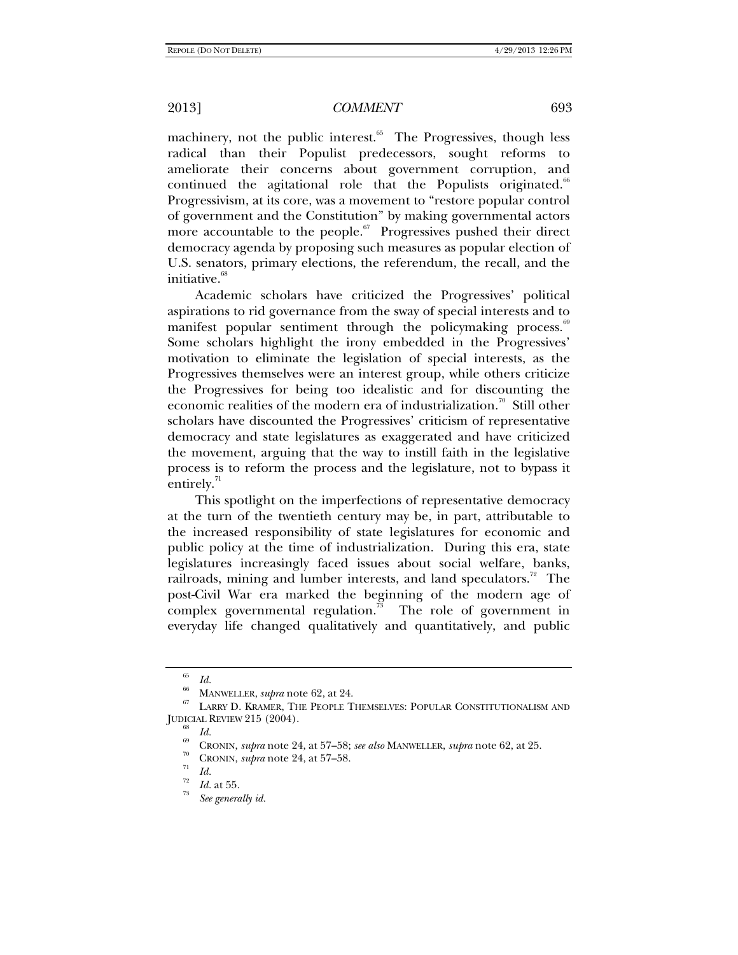machinery, not the public interest. $65$  The Progressives, though less radical than their Populist predecessors, sought reforms to ameliorate their concerns about government corruption, and continued the agitational role that the Populists originated.<sup>66</sup> Progressivism, at its core, was a movement to "restore popular control of government and the Constitution" by making governmental actors more accountable to the people. $67$  Progressives pushed their direct democracy agenda by proposing such measures as popular election of U.S. senators, primary elections, the referendum, the recall, and the initiative.<sup>68</sup>

Academic scholars have criticized the Progressives' political aspirations to rid governance from the sway of special interests and to manifest popular sentiment through the policymaking process.<sup>69</sup> Some scholars highlight the irony embedded in the Progressives' motivation to eliminate the legislation of special interests, as the Progressives themselves were an interest group, while others criticize the Progressives for being too idealistic and for discounting the economic realities of the modern era of industrialization.<sup>70</sup> Still other scholars have discounted the Progressives' criticism of representative democracy and state legislatures as exaggerated and have criticized the movement, arguing that the way to instill faith in the legislative process is to reform the process and the legislature, not to bypass it entirely.<sup>71</sup>

This spotlight on the imperfections of representative democracy at the turn of the twentieth century may be, in part, attributable to the increased responsibility of state legislatures for economic and public policy at the time of industrialization. During this era, state legislatures increasingly faced issues about social welfare, banks, railroads, mining and lumber interests, and land speculators.<sup>72</sup> The post-Civil War era marked the beginning of the modern age of complex governmental regulation.<sup>73</sup> The role of government in everyday life changed qualitatively and quantitatively, and public

<sup>65</sup>

<sup>&</sup>lt;sup>66</sup> MANWELLER, *supra* note 62, at 24.<br><sup>66</sup> MANWELLER, *supra* note 62, at 24.<br><sup>67</sup> LARRY D. KRAMER, THE PEOPLE THEMSELVES: POPULAR CONSTITUTIONALISM AND JUDICIAL REVIEW 215 (2004). 68 *Id.* 69 CRONIN, *supra* note 24, at 57–58; *see also* MANWELLER, *supra* note 62, at 25. 70 CRONIN, *supra* note 24, at 57–58. 71 *Id.*

*Id.* at 55.

*See generally id.*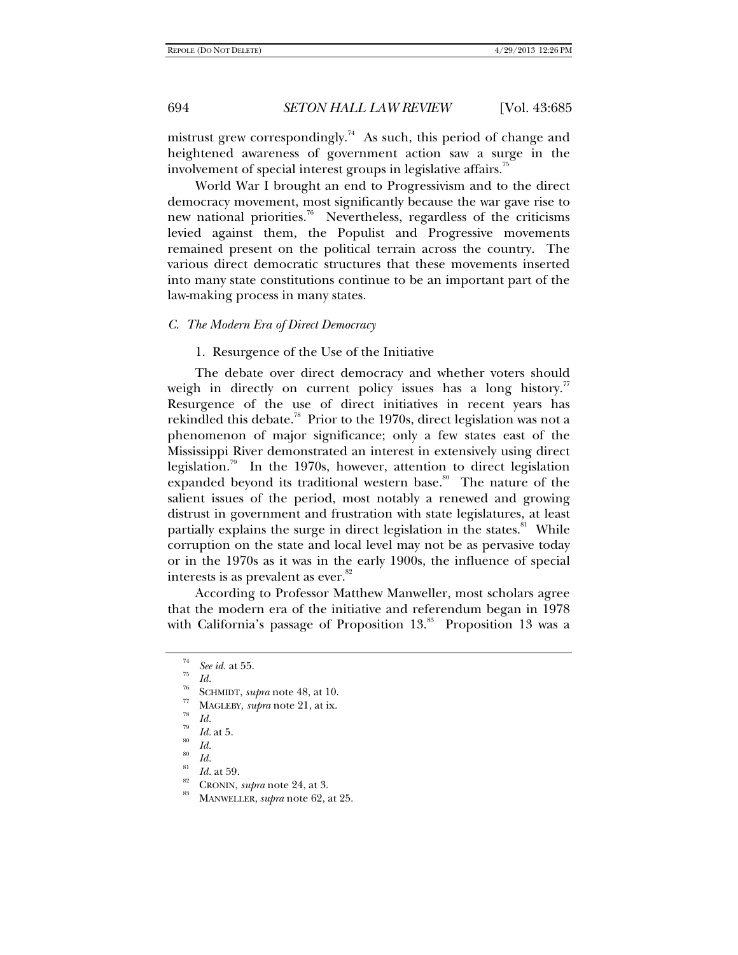mistrust grew correspondingly.<sup>74</sup> As such, this period of change and heightened awareness of government action saw a surge in the involvement of special interest groups in legislative affairs.<sup>75</sup>

World War I brought an end to Progressivism and to the direct democracy movement, most significantly because the war gave rise to new national priorities.<sup>76</sup> Nevertheless, regardless of the criticisms levied against them, the Populist and Progressive movements remained present on the political terrain across the country. The various direct democratic structures that these movements inserted into many state constitutions continue to be an important part of the law-making process in many states.

#### *C. The Modern Era of Direct Democracy*

1. Resurgence of the Use of the Initiative

The debate over direct democracy and whether voters should weigh in directly on current policy issues has a long history.<sup>77</sup> Resurgence of the use of direct initiatives in recent years has rekindled this debate.<sup>78</sup> Prior to the 1970s, direct legislation was not a phenomenon of major significance; only a few states east of the Mississippi River demonstrated an interest in extensively using direct legislation.<sup>79</sup> In the 1970s, however, attention to direct legislation expanded beyond its traditional western base.<sup>80</sup> The nature of the salient issues of the period, most notably a renewed and growing distrust in government and frustration with state legislatures, at least partially explains the surge in direct legislation in the states.<sup>81</sup> While corruption on the state and local level may not be as pervasive today or in the 1970s as it was in the early 1900s, the influence of special interests is as prevalent as ever.<sup>82</sup>

According to Professor Matthew Manweller, most scholars agree that the modern era of the initiative and referendum began in 1978 with California's passage of Proposition  $13<sup>83</sup>$  Proposition 13 was a

- 
- <sup>75</sup> *Id.* 355. *Id.* 76 SCHMIDT, *supra* note 48, at 10. 77 MAGLEBY, *supra* note 21, at ix. 78 *Id. Id.* at 5. 80 *Id.*
- 
- 
- 
- 
- 
- *Id.* 41 59.

*Id. CRONIN, supra* note 24, at 3.<br>MANWELLER, *supra* note 62, at 25.

<sup>74</sup>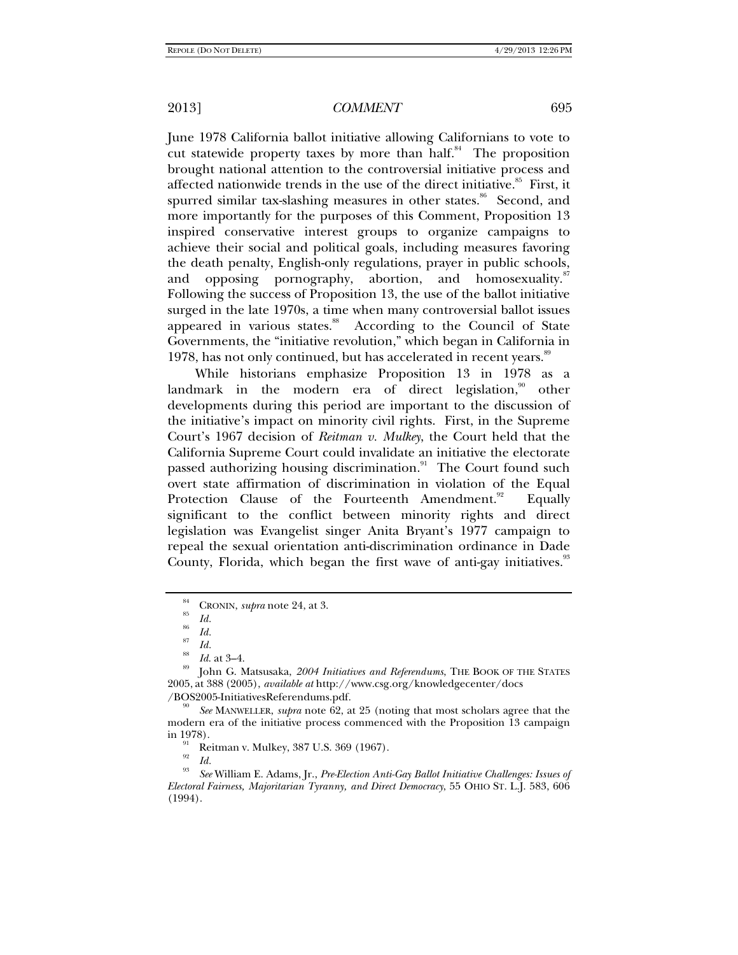June 1978 California ballot initiative allowing Californians to vote to cut statewide property taxes by more than half. $84$  The proposition brought national attention to the controversial initiative process and affected nationwide trends in the use of the direct initiative.<sup>85</sup> First, it spurred similar tax-slashing measures in other states.<sup>86</sup> Second, and more importantly for the purposes of this Comment, Proposition 13 inspired conservative interest groups to organize campaigns to achieve their social and political goals, including measures favoring the death penalty, English-only regulations, prayer in public schools, and opposing pornography, abortion, and homosexuality. Following the success of Proposition 13, the use of the ballot initiative surged in the late 1970s, a time when many controversial ballot issues appeared in various states.<sup>88</sup> According to the Council of State Governments, the "initiative revolution," which began in California in 1978, has not only continued, but has accelerated in recent years.<sup>89</sup>

While historians emphasize Proposition 13 in 1978 as a landmark in the modern era of direct legislation, $\frac{90}{10}$  other developments during this period are important to the discussion of the initiative's impact on minority civil rights. First, in the Supreme Court's 1967 decision of *Reitman v. Mulkey*, the Court held that the California Supreme Court could invalidate an initiative the electorate passed authorizing housing discrimination.<sup>91</sup> The Court found such overt state affirmation of discrimination in violation of the Equal Protection Clause of the Fourteenth Amendment.<sup>92</sup> Equally significant to the conflict between minority rights and direct legislation was Evangelist singer Anita Bryant's 1977 campaign to repeal the sexual orientation anti-discrimination ordinance in Dade County, Florida, which began the first wave of anti-gay initiatives.<sup>33</sup>

<sup>&</sup>lt;sup>84</sup> CRONIN, *supra* note 24, at 3.<br><sup>85</sup> *Id.* 86 *Id.* 

*Id.* <sup>87</sup> *Id.*

<sup>88</sup> *Id*. at 3–4. 89 John G. Matsusaka, *2004 Initiatives and Referendums*, THE BOOK OF THE STATES 2005, at 388 (2005), *available at* http://www.csg.org/knowledgecenter/docs /BOS2005-InitiativesReferendums.pdf.

*See* MANWELLER, *supra* note 62, at 25 (noting that most scholars agree that the modern era of the initiative process commenced with the Proposition 13 campaign

<sup>&</sup>lt;sup>91</sup> Reitman v. Mulkey, 387 U.S. 369 (1967).

*Id.*<br>832<sup>*See* William E. Adams, Jr., *Pre-Election Anti-Gay Ballot Initiative Challenges: Issues of*</sup> *Electoral Fairness, Majoritarian Tyranny, and Direct Democracy*, 55 OHIO ST. L.J. 583, 606 (1994).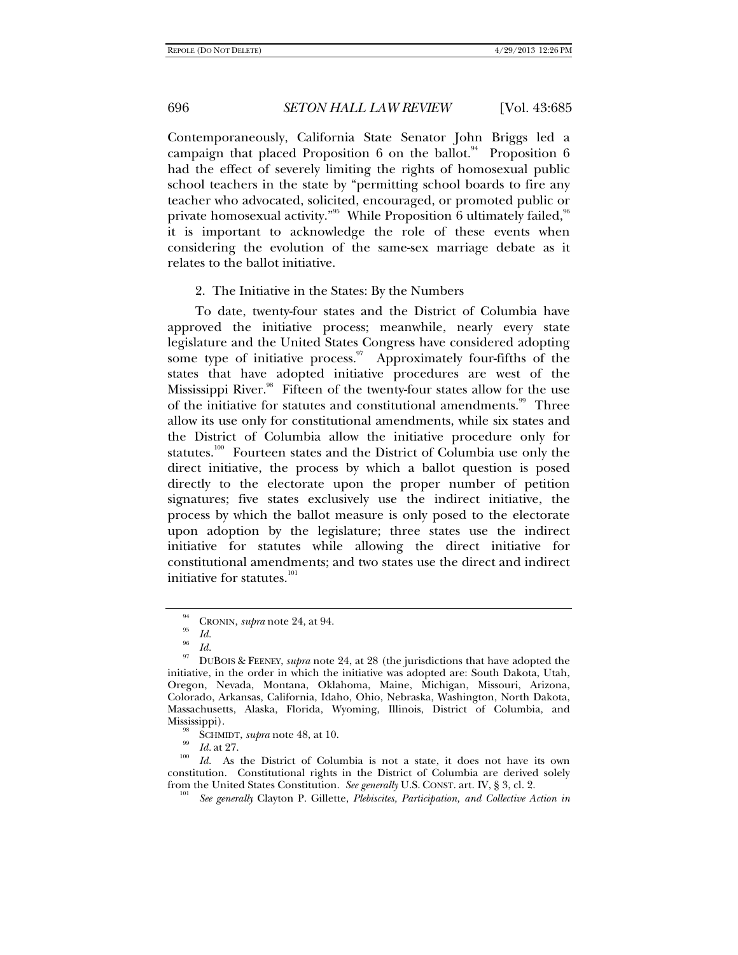Contemporaneously, California State Senator John Briggs led a campaign that placed Proposition 6 on the ballot.<sup>94</sup> Proposition 6 had the effect of severely limiting the rights of homosexual public school teachers in the state by "permitting school boards to fire any teacher who advocated, solicited, encouraged, or promoted public or private homosexual activity."<sup>95</sup> While Proposition  $\hat{6}$  ultimately failed,  $96$ it is important to acknowledge the role of these events when considering the evolution of the same-sex marriage debate as it relates to the ballot initiative.

#### 2. The Initiative in the States: By the Numbers

To date, twenty-four states and the District of Columbia have approved the initiative process; meanwhile, nearly every state legislature and the United States Congress have considered adopting some type of initiative process. $\frac{97}{7}$  Approximately four-fifths of the states that have adopted initiative procedures are west of the Mississippi River.<sup>98</sup> Fifteen of the twenty-four states allow for the use of the initiative for statutes and constitutional amendments.<sup>99</sup> Three allow its use only for constitutional amendments, while six states and the District of Columbia allow the initiative procedure only for statutes.<sup>100</sup> Fourteen states and the District of Columbia use only the direct initiative, the process by which a ballot question is posed directly to the electorate upon the proper number of petition signatures; five states exclusively use the indirect initiative, the process by which the ballot measure is only posed to the electorate upon adoption by the legislature; three states use the indirect initiative for statutes while allowing the direct initiative for constitutional amendments; and two states use the direct and indirect initiative for statutes.<sup>101</sup>

 $\frac{94}{95}$  CRONIN, *supra* note 24, at 94.

 $\frac{96}{97}$  *Id.* 

DUBOIS & FEENEY, *supra* note 24, at 28 (the jurisdictions that have adopted the initiative, in the order in which the initiative was adopted are: South Dakota, Utah, Oregon, Nevada, Montana, Oklahoma, Maine, Michigan, Missouri, Arizona, Colorado, Arkansas, California, Idaho, Ohio, Nebraska, Washington, North Dakota, Massachusetts, Alaska, Florida, Wyoming, Illinois, District of Columbia, and

<sup>&</sup>lt;sup>98</sup> SCHMIDT, *supra* note 48, at 10.<br><sup>99</sup> *Id.* at 27.<br><sup>100</sup> *Id.* As the District of Columbia is not a state, it does not have its own constitution. Constitutional rights in the District of Columbia are derived solely from the United States Constitution. *See generally* U.S. CONST. art. IV, § 3, cl. 2. 101

*See generally* Clayton P. Gillette, *Plebiscites, Participation, and Collective Action in*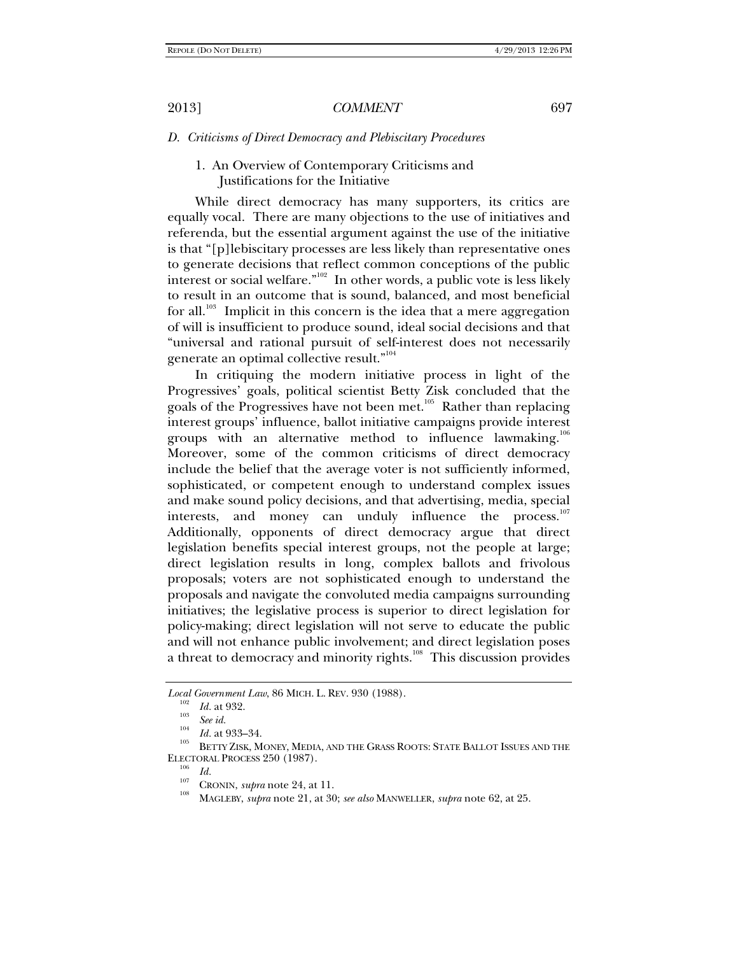#### *D. Criticisms of Direct Democracy and Plebiscitary Procedures*

## 1. An Overview of Contemporary Criticisms and Justifications for the Initiative

While direct democracy has many supporters, its critics are equally vocal. There are many objections to the use of initiatives and referenda, but the essential argument against the use of the initiative is that "[p]lebiscitary processes are less likely than representative ones to generate decisions that reflect common conceptions of the public interest or social welfare."102 In other words, a public vote is less likely to result in an outcome that is sound, balanced, and most beneficial for all.<sup>103</sup> Implicit in this concern is the idea that a mere aggregation of will is insufficient to produce sound, ideal social decisions and that "universal and rational pursuit of self-interest does not necessarily generate an optimal collective result."<sup>104</sup>

In critiquing the modern initiative process in light of the Progressives' goals, political scientist Betty Zisk concluded that the goals of the Progressives have not been met.<sup>105</sup> Rather than replacing interest groups' influence, ballot initiative campaigns provide interest groups with an alternative method to influence lawmaking.<sup>106</sup> Moreover, some of the common criticisms of direct democracy include the belief that the average voter is not sufficiently informed, sophisticated, or competent enough to understand complex issues and make sound policy decisions, and that advertising, media, special interests, and money can unduly influence the process.<sup>107</sup> Additionally, opponents of direct democracy argue that direct legislation benefits special interest groups, not the people at large; direct legislation results in long, complex ballots and frivolous proposals; voters are not sophisticated enough to understand the proposals and navigate the convoluted media campaigns surrounding initiatives; the legislative process is superior to direct legislation for policy-making; direct legislation will not serve to educate the public and will not enhance public involvement; and direct legislation poses a threat to democracy and minority rights.<sup>108</sup> This discussion provides

*Local Government Law*, 86 MICH. L. REV. 930 (1988).<br><sup>102</sup> *Id.* at 932.<br><sup>103</sup> *See id.* 

<sup>&</sup>lt;sup>104</sup>*Id.* at 933–34.<br><sup>105</sup> BETTY ZISK, MONEY, MEDIA, AND THE GRASS ROOTS: STATE BALLOT ISSUES AND THE ELECTORAL PROCESS 250 (1987).<br> $\frac{106}{Id}$ .

<sup>&</sup>lt;sup>107</sup> CRONIN, *supra* note 24, at 11.<br><sup>108</sup> MAGLEBY, *supra* note 21, at 30; *see also* MANWELLER, *supra* note 62, at 25.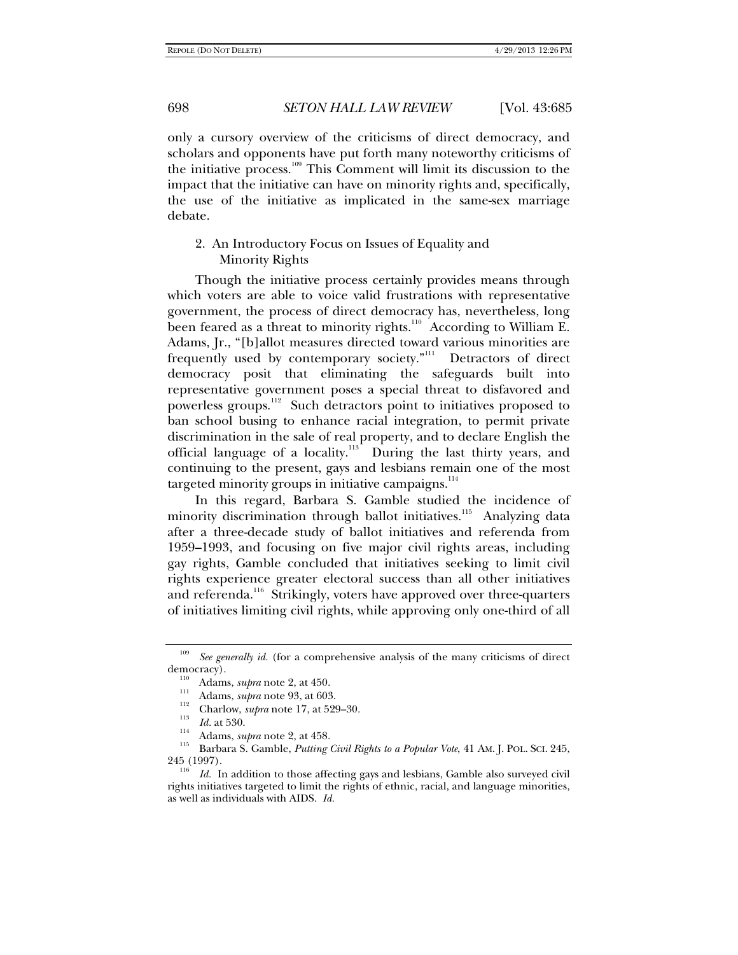only a cursory overview of the criticisms of direct democracy, and scholars and opponents have put forth many noteworthy criticisms of the initiative process.109 This Comment will limit its discussion to the impact that the initiative can have on minority rights and, specifically, the use of the initiative as implicated in the same-sex marriage debate.

## 2. An Introductory Focus on Issues of Equality and Minority Rights

Though the initiative process certainly provides means through which voters are able to voice valid frustrations with representative government, the process of direct democracy has, nevertheless, long been feared as a threat to minority rights.<sup>110</sup> According to William E. Adams, Jr., "[b]allot measures directed toward various minorities are frequently used by contemporary society."<sup>111</sup> Detractors of direct democracy posit that eliminating the safeguards built into representative government poses a special threat to disfavored and powerless groups.<sup>112</sup> Such detractors point to initiatives proposed to ban school busing to enhance racial integration, to permit private discrimination in the sale of real property, and to declare English the official language of a locality.<sup>113</sup> During the last thirty years, and continuing to the present, gays and lesbians remain one of the most targeted minority groups in initiative campaigns. $114$ 

In this regard, Barbara S. Gamble studied the incidence of minority discrimination through ballot initiatives.<sup>115</sup> Analyzing data after a three-decade study of ballot initiatives and referenda from 1959–1993, and focusing on five major civil rights areas, including gay rights, Gamble concluded that initiatives seeking to limit civil rights experience greater electoral success than all other initiatives and referenda.<sup>116</sup> Strikingly, voters have approved over three-quarters of initiatives limiting civil rights, while approving only one-third of all

<sup>&</sup>lt;sup>109</sup> *See generally id.* (for a comprehensive analysis of the many criticisms of direct democracy).

Adams, *supra* note 2, at 450.<br>
<sup>111</sup> Adams, *supra* note 93, at 603.<br>
<sup>112</sup> Charlow, *supra* note 17, at 529–30.<br>
<sup>113</sup> Id. at 530.<br>
<sup>114</sup> Adams, *supra* note 2, at 458.<br>
<sup>115</sup> Barbara S. Gamble, *Putting Civil Rights to* 

<sup>&</sup>lt;sup>116</sup> *Id.* In addition to those affecting gays and lesbians, Gamble also surveyed civil rights initiatives targeted to limit the rights of ethnic, racial, and language minorities, as well as individuals with AIDS. *Id.*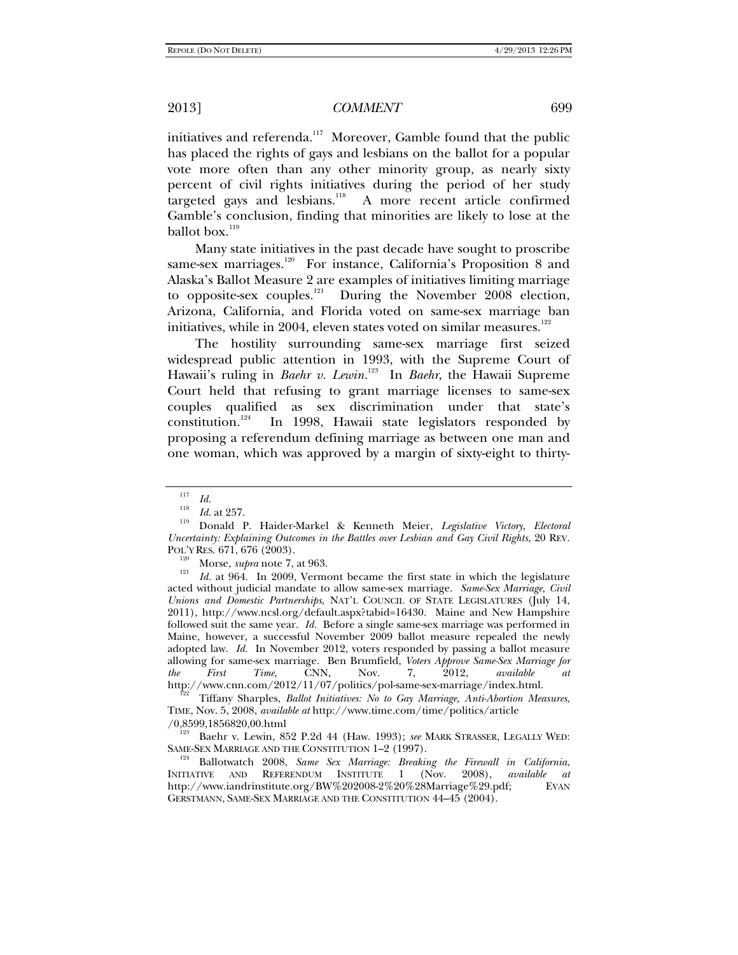initiatives and referenda.<sup>117</sup> Moreover, Gamble found that the public has placed the rights of gays and lesbians on the ballot for a popular vote more often than any other minority group, as nearly sixty percent of civil rights initiatives during the period of her study targeted gays and lesbians.<sup>118</sup> A more recent article confirmed Gamble's conclusion, finding that minorities are likely to lose at the ballot box.<sup>119</sup>

Many state initiatives in the past decade have sought to proscribe same-sex marriages.<sup>120</sup> For instance, California's Proposition 8 and Alaska's Ballot Measure 2 are examples of initiatives limiting marriage to opposite-sex couples.<sup>121</sup> During the November 2008 election, Arizona, California, and Florida voted on same-sex marriage ban initiatives, while in 2004, eleven states voted on similar measures. $122$ 

The hostility surrounding same-sex marriage first seized widespread public attention in 1993, with the Supreme Court of Hawaii's ruling in *Baehr v. Lewin*.<sup>123</sup> In *Baehr*, the Hawaii Supreme Court held that refusing to grant marriage licenses to same-sex couples qualified as sex discrimination under that state's constitution.<sup>124</sup> In 1998, Hawaii state legislators responded by In 1998, Hawaii state legislators responded by proposing a referendum defining marriage as between one man and one woman, which was approved by a margin of sixty-eight to thirty-

Property Roughlands and the Society Reserves. 121, at 964. **In 9000,** *Normal* 

 *Id.* at 964. In 2009, Vermont became the first state in which the legislature acted without judicial mandate to allow same-sex marriage. *Same-Sex Marriage, Civil Unions and Domestic Partnerships*, NAT'L COUNCIL OF STATE LEGISLATURES (July 14, 2011), http://www.ncsl.org/default.aspx?tabid=16430. Maine and New Hampshire followed suit the same year. *Id.* Before a single same-sex marriage was performed in Maine, however, a successful November 2009 ballot measure repealed the newly adopted law. *Id.* In November 2012, voters responded by passing a ballot measure allowing for same-sex marriage. Ben Brumfield, *Voters Approve Same-Sex Marriage for the First Time*, CNN, Nov. 7, 2012, *available at*

http://www.cnn.com/2012/11/07/politics/pol-same-sex-marriage/index.html. 122 Tiffany Sharples, *Ballot Initiatives: No to Gay Marriage, Anti-Abortion Measures*,

TIME, Nov. 5, 2008, *available at* http://www.time.com/time/politics/article

/0,8599,1856820,00.html 123 Baehr v. Lewin, 852 P.2d 44 (Haw. 1993); *see* MARK STRASSER, LEGALLY WED:

Ballotwatch 2008, Same Sex Marriage: Breaking the Firewall in California, INITIATIVE AND REFERENDUM INSTITUTE 1 (Nov. 2008), *available at*  http://www.iandrinstitute.org/BW%202008-2%20%28Marriage%29.pdf; EVAN GERSTMANN, SAME-SEX MARRIAGE AND THE CONSTITUTION 44–45 (2004).

 $\frac{117}{118}$  *Id.* at 257.

*Id*. at 257. 119 Donald P. Haider-Markel & Kenneth Meier, *Legislative Victory, Electoral Uncertainty: Explaining Outcomes in the Battles over Lesbian and Gay Civil Rights*, 20 REV. POL'Y RES. 671, 676 (2003).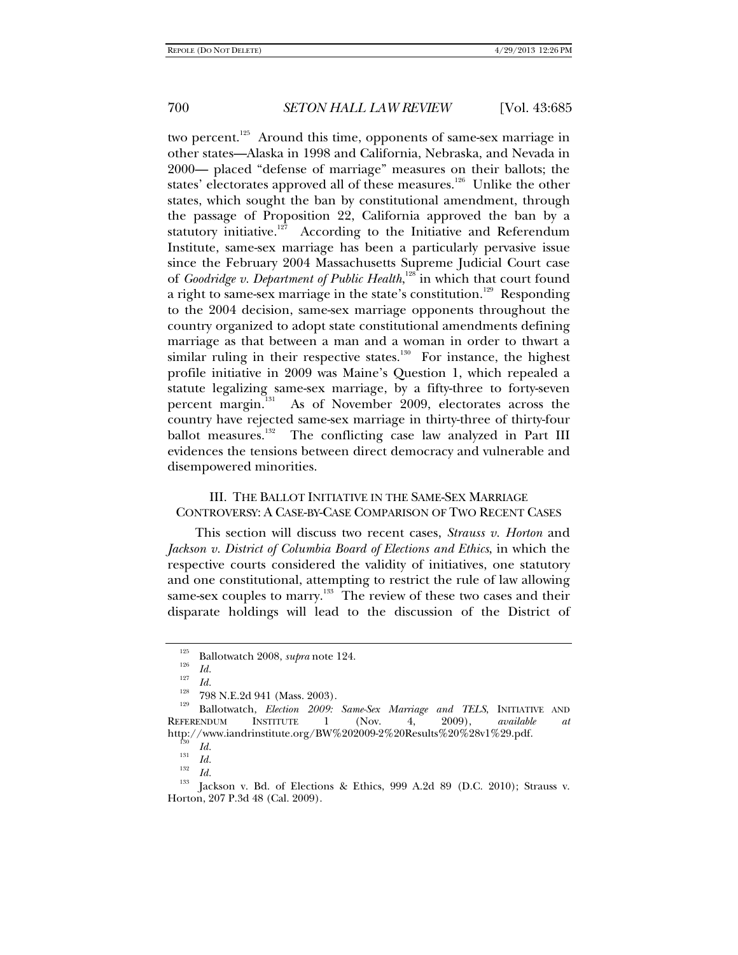two percent.<sup>125</sup> Around this time, opponents of same-sex marriage in other states—Alaska in 1998 and California, Nebraska, and Nevada in 2000— placed "defense of marriage" measures on their ballots; the states' electorates approved all of these measures.<sup>126</sup> Unlike the other states, which sought the ban by constitutional amendment, through the passage of Proposition 22, California approved the ban by a statutory initiative.<sup>127</sup> According to the Initiative and Referendum Institute, same-sex marriage has been a particularly pervasive issue since the February 2004 Massachusetts Supreme Judicial Court case of *Goodridge v. Department of Public Health*,<sup>128</sup> in which that court found a right to same-sex marriage in the state's constitution.<sup>129</sup> Responding to the 2004 decision, same-sex marriage opponents throughout the country organized to adopt state constitutional amendments defining marriage as that between a man and a woman in order to thwart a similar ruling in their respective states.<sup>130</sup> For instance, the highest profile initiative in 2009 was Maine's Question 1, which repealed a statute legalizing same-sex marriage, by a fifty-three to forty-seven percent margin.<sup>131</sup> As of November 2009, electorates across the country have rejected same-sex marriage in thirty-three of thirty-four ballot measures.<sup>132</sup> The conflicting case law analyzed in Part III evidences the tensions between direct democracy and vulnerable and disempowered minorities.

## III. THE BALLOT INITIATIVE IN THE SAME-SEX MARRIAGE CONTROVERSY: A CASE-BY-CASE COMPARISON OF TWO RECENT CASES

This section will discuss two recent cases, *Strauss v. Horton* and *Jackson v. District of Columbia Board of Elections and Ethics*, in which the respective courts considered the validity of initiatives, one statutory and one constitutional, attempting to restrict the rule of law allowing same-sex couples to marry.<sup>133</sup> The review of these two cases and their disparate holdings will lead to the discussion of the District of

<sup>&</sup>lt;sup>125</sup> Ballotwatch 2008, *supra* note 124.

<sup>&</sup>lt;sup>127</sup> Id. <sup>128</sup> 798 N.E.2d 941 (Mass. 2003).<br><sup>129</sup> Ballotwatch, *Election 2009: Same-Sex Marriage and TELS*, INITIATIVE AND<br>REFERENDUM INSTITUTE 1 (Nov. 4, 2009), *available at* REFERENDUM INSTITUTE 1 (Nov. 4, 2009), *available at*  http://www.iandrinstitute.org/BW%202009-2%20Results%20%28v1%29.pdf.<br><sup>130</sup> *Id.*<br><sup>131</sup> *IJ* 

<sup>131</sup> *Id.*<br>
132 *Id.*<br>
<sup>132</sup> *Id.*<br>
<sup>133</sup> ackson v. Bd. of Elections & Ethics, 999 A.2d 89 (D.C. 2010); Strauss v. Horton, 207 P.3d 48 (Cal. 2009).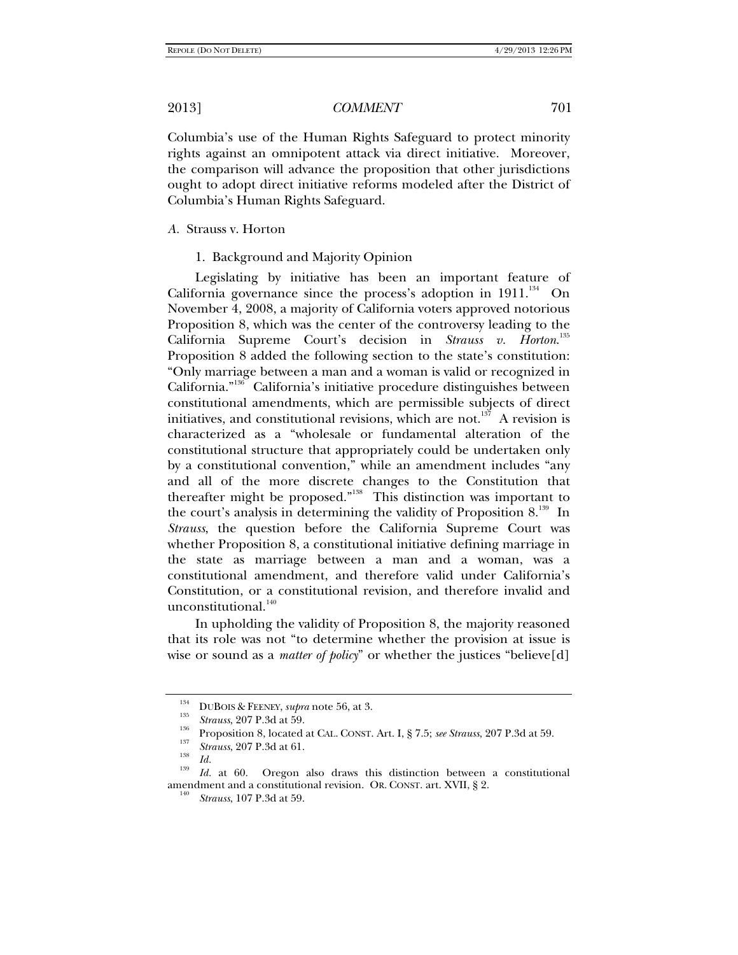Columbia's use of the Human Rights Safeguard to protect minority rights against an omnipotent attack via direct initiative. Moreover, the comparison will advance the proposition that other jurisdictions ought to adopt direct initiative reforms modeled after the District of Columbia's Human Rights Safeguard.

*A.* Strauss v. Horton

1. Background and Majority Opinion

Legislating by initiative has been an important feature of California governance since the process's adoption in  $1911.^{134}$  On November 4, 2008, a majority of California voters approved notorious Proposition 8, which was the center of the controversy leading to the California Supreme Court's decision in *Strauss v. Horton*. 135 Proposition 8 added the following section to the state's constitution: "Only marriage between a man and a woman is valid or recognized in California."136 California's initiative procedure distinguishes between constitutional amendments, which are permissible subjects of direct initiatives, and constitutional revisions, which are not.<sup>137</sup> A revision is characterized as a "wholesale or fundamental alteration of the constitutional structure that appropriately could be undertaken only by a constitutional convention," while an amendment includes "any and all of the more discrete changes to the Constitution that thereafter might be proposed."138 This distinction was important to the court's analysis in determining the validity of Proposition  $8^{139}$ . In *Strauss*, the question before the California Supreme Court was whether Proposition 8, a constitutional initiative defining marriage in the state as marriage between a man and a woman, was a constitutional amendment, and therefore valid under California's Constitution, or a constitutional revision, and therefore invalid and unconstitutional.<sup>140</sup>

In upholding the validity of Proposition 8, the majority reasoned that its role was not "to determine whether the provision at issue is wise or sound as a *matter of policy*" or whether the justices "believe[d]

<sup>&</sup>lt;sup>134</sup> DUBOIS & FEENEY, *supra* note 56, at 3.<br><sup>135</sup> Strauss, 207 P.3d at 59.

<sup>&</sup>lt;sup>136</sup> Proposition 8, located at CAL. CONST. Art. I, § 7.5; *see Strauss*, 207 P.3d at 59.<br> *Strauss*, 207 P.3d at 61.<br> *Id.* 

<sup>&</sup>lt;sup>139</sup> Id. at 60. Oregon also draws this distinction between a constitutional amendment and a constitutional revision. OR. CONST. art. XVII, § 2.

*Strauss*, 107 P.3d at 59.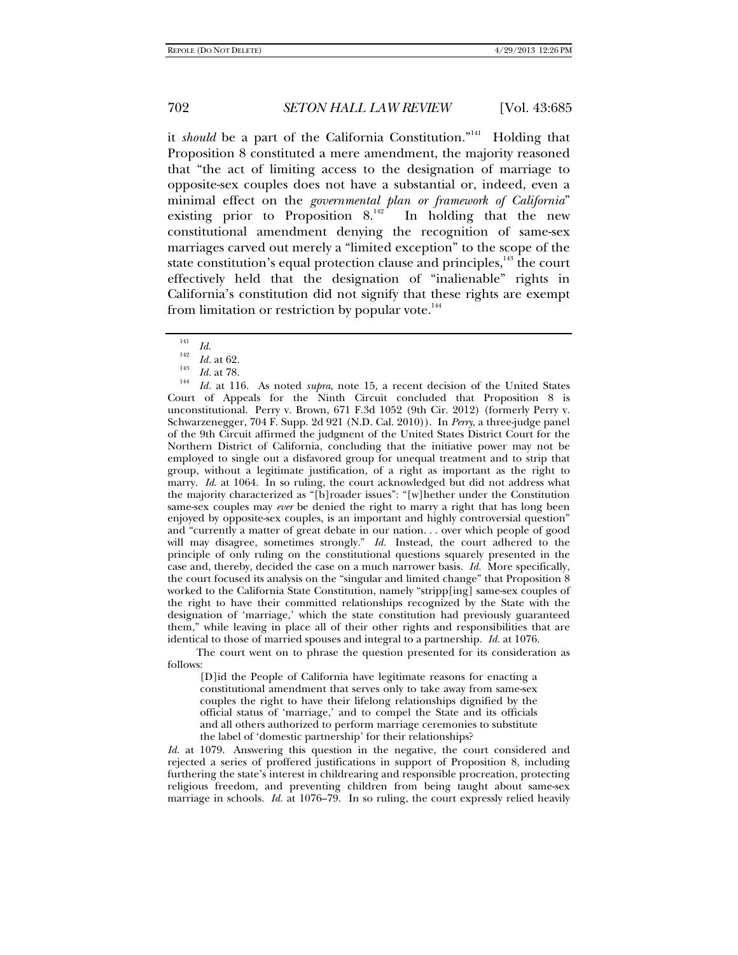it *should* be a part of the California Constitution."<sup>141</sup> Holding that Proposition 8 constituted a mere amendment, the majority reasoned that "the act of limiting access to the designation of marriage to opposite-sex couples does not have a substantial or, indeed, even a minimal effect on the *governmental plan or framework of California*" existing prior to Proposition  $8^{142}$  In holding that the new constitutional amendment denying the recognition of same-sex marriages carved out merely a "limited exception" to the scope of the state constitution's equal protection clause and principles, $143$  the court effectively held that the designation of "inalienable" rights in California's constitution did not signify that these rights are exempt from limitation or restriction by popular vote. $144$ 

 *Id.* at 116. As noted *supra*, note 15, a recent decision of the United States Court of Appeals for the Ninth Circuit concluded that Proposition 8 is unconstitutional. Perry v. Brown, 671 F.3d 1052 (9th Cir. 2012) (formerly Perry v. Schwarzenegger, 704 F. Supp. 2d 921 (N.D. Cal. 2010)). In *Perry*, a three-judge panel of the 9th Circuit affirmed the judgment of the United States District Court for the Northern District of California, concluding that the initiative power may not be employed to single out a disfavored group for unequal treatment and to strip that group, without a legitimate justification, of a right as important as the right to marry. *Id*. at 1064. In so ruling, the court acknowledged but did not address what the majority characterized as "[b]roader issues": "[w]hether under the Constitution same-sex couples may *ever* be denied the right to marry a right that has long been enjoyed by opposite-sex couples, is an important and highly controversial question" and "currently a matter of great debate in our nation. . . over which people of good will may disagree, sometimes strongly." *Id.* Instead, the court adhered to the principle of only ruling on the constitutional questions squarely presented in the case and, thereby, decided the case on a much narrower basis. *Id.* More specifically, the court focused its analysis on the "singular and limited change" that Proposition 8 worked to the California State Constitution, namely "stripp[ing] same-sex couples of the right to have their committed relationships recognized by the State with the designation of 'marriage,' which the state constitution had previously guaranteed them," while leaving in place all of their other rights and responsibilities that are identical to those of married spouses and integral to a partnership. *Id.* at 1076.

 The court went on to phrase the question presented for its consideration as follows:

[D]id the People of California have legitimate reasons for enacting a constitutional amendment that serves only to take away from same-sex couples the right to have their lifelong relationships dignified by the official status of 'marriage,' and to compel the State and its officials and all others authorized to perform marriage ceremonies to substitute the label of 'domestic partnership' for their relationships?

*Id.* at 1079. Answering this question in the negative, the court considered and rejected a series of proffered justifications in support of Proposition 8, including furthering the state's interest in childrearing and responsible procreation, protecting religious freedom, and preventing children from being taught about same-sex marriage in schools. *Id.* at 1076–79. In so ruling, the court expressly relied heavily

<sup>141</sup>

 $\frac{141}{142}$  *Id.* at 62.

 $\frac{143}{144}$  *Id.* at 78.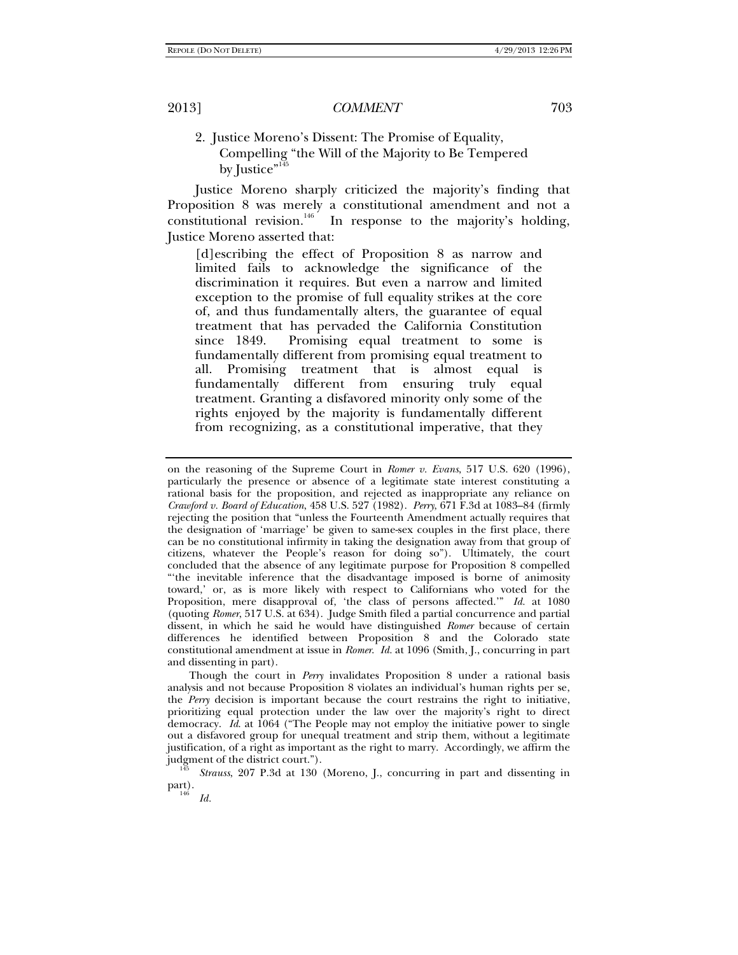## 2. Justice Moreno's Dissent: The Promise of Equality, Compelling "the Will of the Majority to Be Tempered by Justice" $145$

Justice Moreno sharply criticized the majority's finding that Proposition 8 was merely a constitutional amendment and not a constitutional revision.<sup>146</sup> In response to the majority's holding, Justice Moreno asserted that:

[d]escribing the effect of Proposition 8 as narrow and limited fails to acknowledge the significance of the discrimination it requires. But even a narrow and limited exception to the promise of full equality strikes at the core of, and thus fundamentally alters, the guarantee of equal treatment that has pervaded the California Constitution since 1849. Promising equal treatment to some is fundamentally different from promising equal treatment to all. Promising treatment that is almost equal is fundamentally different from ensuring truly equal treatment. Granting a disfavored minority only some of the rights enjoyed by the majority is fundamentally different from recognizing, as a constitutional imperative, that they

Though the court in *Perry* invalidates Proposition 8 under a rational basis analysis and not because Proposition 8 violates an individual's human rights per se, the *Perry* decision is important because the court restrains the right to initiative, prioritizing equal protection under the law over the majority's right to direct democracy. *Id*. at 1064 ("The People may not employ the initiative power to single out a disfavored group for unequal treatment and strip them, without a legitimate justification, of a right as important as the right to marry. Accordingly, we affirm the judgment of the district court."). 145 *Strauss*, 207 P.3d at 130 (Moreno, J., concurring in part and dissenting in

 $part.$ 

*Id.*

on the reasoning of the Supreme Court in *Romer v. Evans*, 517 U.S. 620 (1996), particularly the presence or absence of a legitimate state interest constituting a rational basis for the proposition, and rejected as inappropriate any reliance on *Crawford v. Board of Education*, 458 U.S. 527 (1982). *Perry*, 671 F.3d at 1083–84 (firmly rejecting the position that "unless the Fourteenth Amendment actually requires that the designation of 'marriage' be given to same-sex couples in the first place, there can be no constitutional infirmity in taking the designation away from that group of citizens, whatever the People's reason for doing so"). Ultimately, the court concluded that the absence of any legitimate purpose for Proposition 8 compelled "'the inevitable inference that the disadvantage imposed is borne of animosity toward,' or, as is more likely with respect to Californians who voted for the Proposition, mere disapproval of, 'the class of persons affected.'" *Id.* at 1080 (quoting *Romer*, 517 U.S. at 634). Judge Smith filed a partial concurrence and partial dissent, in which he said he would have distinguished *Romer* because of certain differences he identified between Proposition 8 and the Colorado state constitutional amendment at issue in *Romer*. *Id.* at 1096 (Smith, J., concurring in part and dissenting in part).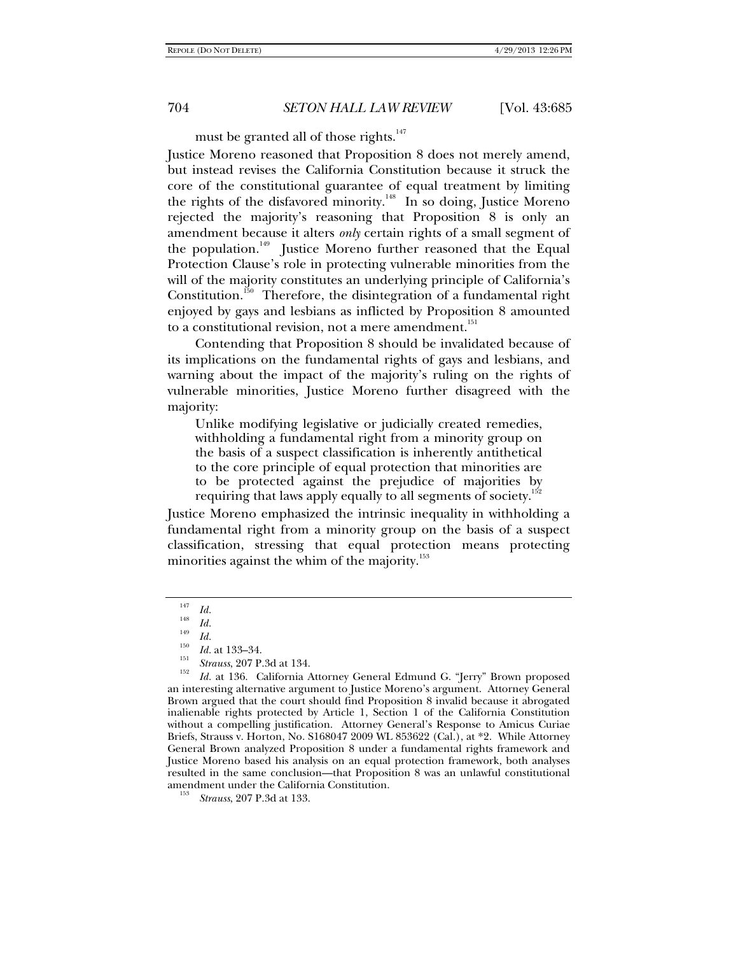must be granted all of those rights.<sup>147</sup>

Justice Moreno reasoned that Proposition 8 does not merely amend, but instead revises the California Constitution because it struck the core of the constitutional guarantee of equal treatment by limiting the rights of the disfavored minority.<sup>148</sup> In so doing, Justice Moreno rejected the majority's reasoning that Proposition 8 is only an amendment because it alters *only* certain rights of a small segment of the population.<sup>149</sup> Justice Moreno further reasoned that the Equal Protection Clause's role in protecting vulnerable minorities from the will of the majority constitutes an underlying principle of California's Constitution.<sup>150</sup> Therefore, the disintegration of a fundamental right enjoyed by gays and lesbians as inflicted by Proposition 8 amounted to a constitutional revision, not a mere amendment.<sup>151</sup>

Contending that Proposition 8 should be invalidated because of its implications on the fundamental rights of gays and lesbians, and warning about the impact of the majority's ruling on the rights of vulnerable minorities, Justice Moreno further disagreed with the majority:

Unlike modifying legislative or judicially created remedies, withholding a fundamental right from a minority group on the basis of a suspect classification is inherently antithetical to the core principle of equal protection that minorities are to be protected against the prejudice of majorities by requiring that laws apply equally to all segments of society.<sup>15</sup>

Justice Moreno emphasized the intrinsic inequality in withholding a fundamental right from a minority group on the basis of a suspect classification, stressing that equal protection means protecting minorities against the whim of the majority.<sup>153</sup>

<sup>147</sup>

 $\frac{147}{148}$  *Id.* 

<sup>&</sup>lt;sup>149</sup>*Id.* 150<br> *Id.* at 133–34.<br> *Strauss*, 207 P.3d at 134.<br>
152 *L1* at 136 Colifornia

*Id.* at 136. California Attorney General Edmund G. "Jerry" Brown proposed an interesting alternative argument to Justice Moreno's argument. Attorney General Brown argued that the court should find Proposition 8 invalid because it abrogated inalienable rights protected by Article 1, Section 1 of the California Constitution without a compelling justification. Attorney General's Response to Amicus Curiae Briefs, Strauss v. Horton, No. S168047 2009 WL 853622 (Cal.), at \*2. While Attorney General Brown analyzed Proposition 8 under a fundamental rights framework and Justice Moreno based his analysis on an equal protection framework, both analyses resulted in the same conclusion—that Proposition 8 was an unlawful constitutional amendment under the California Constitution.

*Strauss*, 207 P.3d at 133.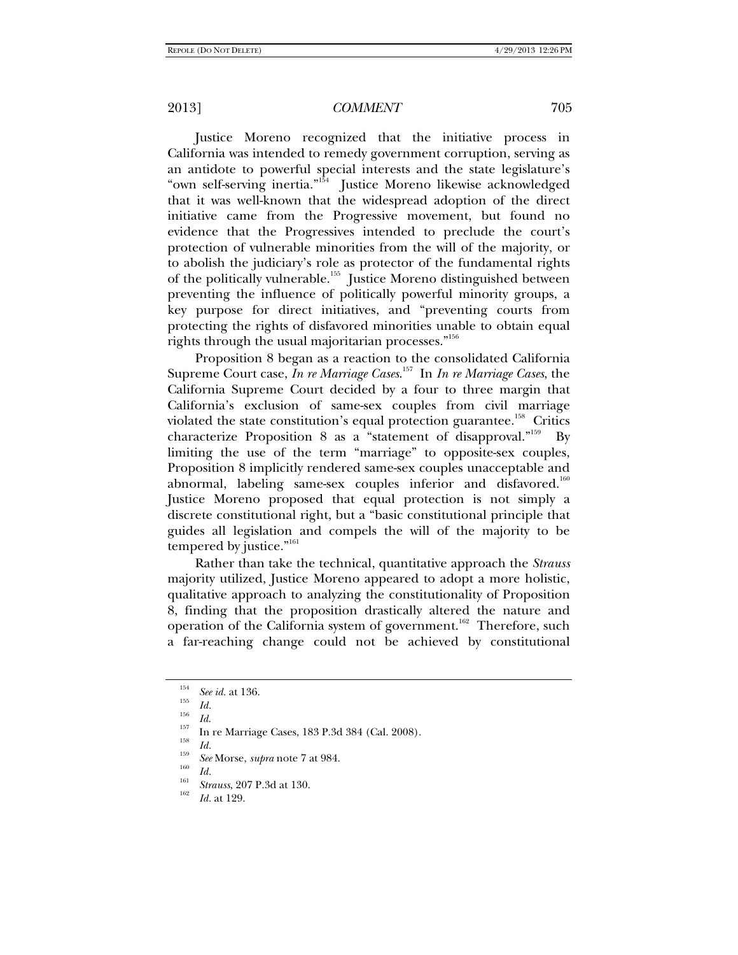Justice Moreno recognized that the initiative process in California was intended to remedy government corruption, serving as an antidote to powerful special interests and the state legislature's "own self-serving inertia."154 Justice Moreno likewise acknowledged that it was well-known that the widespread adoption of the direct initiative came from the Progressive movement, but found no evidence that the Progressives intended to preclude the court's protection of vulnerable minorities from the will of the majority, or to abolish the judiciary's role as protector of the fundamental rights of the politically vulnerable.<sup>155</sup> Justice Moreno distinguished between preventing the influence of politically powerful minority groups, a key purpose for direct initiatives, and "preventing courts from protecting the rights of disfavored minorities unable to obtain equal rights through the usual majoritarian processes."156

Proposition 8 began as a reaction to the consolidated California Supreme Court case, *In re Marriage Cases*. 157 In *In re Marriage Cases*, the California Supreme Court decided by a four to three margin that California's exclusion of same-sex couples from civil marriage violated the state constitution's equal protection guarantee.<sup>158</sup> Critics characterize Proposition 8 as a "statement of disapproval."<sup>159</sup> By limiting the use of the term "marriage" to opposite-sex couples, Proposition 8 implicitly rendered same-sex couples unacceptable and abnormal, labeling same-sex couples inferior and disfavored.<sup>160</sup> Justice Moreno proposed that equal protection is not simply a discrete constitutional right, but a "basic constitutional principle that guides all legislation and compels the will of the majority to be tempered by justice."<sup>161</sup>

Rather than take the technical, quantitative approach the *Strauss* majority utilized, Justice Moreno appeared to adopt a more holistic, qualitative approach to analyzing the constitutionality of Proposition 8, finding that the proposition drastically altered the nature and operation of the California system of government.<sup>162</sup> Therefore, such a far-reaching change could not be achieved by constitutional

<sup>&</sup>lt;sup>154</sup> *See id.* at 136.<br><sup>155</sup> *Id.* 

<sup>&</sup>lt;sup>156</sup> *Id.*<br><sup>157</sup> In re Marriage Cases, 183 P.3d 384 (Cal. 2008).<br>*Id.* 

<sup>&</sup>lt;sup>159</sup> *See* Morse, *supra* note 7 at 984.<br> *Id.* 

<sup>&</sup>lt;sup>161</sup> *Strauss*, 207 P.3d at 130.

*Id.* at 129.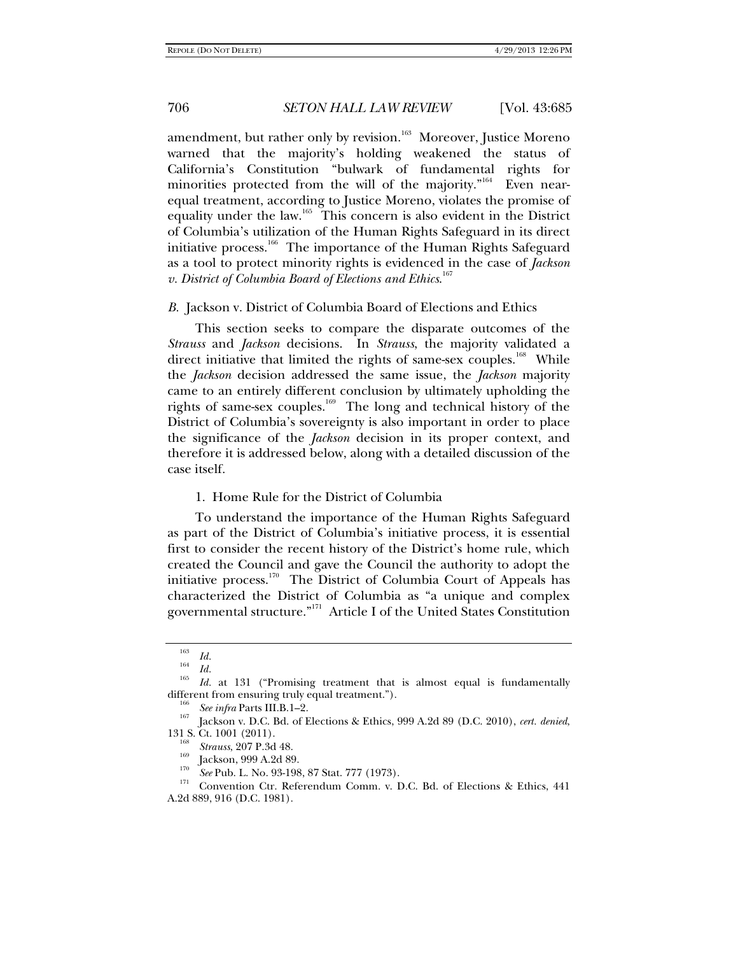amendment, but rather only by revision.<sup>163</sup> Moreover, Justice Moreno warned that the majority's holding weakened the status of California's Constitution "bulwark of fundamental rights for minorities protected from the will of the majority."<sup>164</sup> Even nearequal treatment, according to Justice Moreno, violates the promise of equality under the law.165 This concern is also evident in the District of Columbia's utilization of the Human Rights Safeguard in its direct initiative process.<sup>166</sup> The importance of the Human Rights Safeguard as a tool to protect minority rights is evidenced in the case of *Jackson v. District of Columbia Board of Elections and Ethics*. 167

#### *B.* Jackson v. District of Columbia Board of Elections and Ethics

This section seeks to compare the disparate outcomes of the *Strauss* and *Jackson* decisions. In *Strauss*, the majority validated a direct initiative that limited the rights of same-sex couples.<sup>168</sup> While the *Jackson* decision addressed the same issue, the *Jackson* majority came to an entirely different conclusion by ultimately upholding the rights of same-sex couples.169 The long and technical history of the District of Columbia's sovereignty is also important in order to place the significance of the *Jackson* decision in its proper context, and therefore it is addressed below, along with a detailed discussion of the case itself.

### 1. Home Rule for the District of Columbia

To understand the importance of the Human Rights Safeguard as part of the District of Columbia's initiative process, it is essential first to consider the recent history of the District's home rule, which created the Council and gave the Council the authority to adopt the initiative process.<sup>170</sup> The District of Columbia Court of Appeals has characterized the District of Columbia as "a unique and complex governmental structure."171 Article I of the United States Constitution

<sup>&</sup>lt;sup>163</sup> *Id.*<br><sup>164</sup> *Id.* 

<sup>&</sup>lt;sup>165</sup> *Id.* at 131 ("Promising treatment that is almost equal is fundamentally different from ensuring truly equal treatment.").

<sup>&</sup>lt;sup>106</sup> See infra Parts III.B.1–2.<br><sup>167</sup> Jackson v. D.C. Bd. of Elections & Ethics, 999 A.2d 89 (D.C. 2010), *cert. denied*, 131 S. Ct. 1001 (2011).<br><sup>168</sup> *Strauss*, 207 P.3d 48.<br><sup>169</sup> Jackson, 999 A.2d 89.<br><sup>170</sup> *See* Pub. L. No. 93-198, 87 Stat. 777 (1973).<br><sup>171</sup> Convention Ctr. Referendum Comm. v. D.C. Bd. of Elections & Ethics, 441

A.2d 889, 916 (D.C. 1981).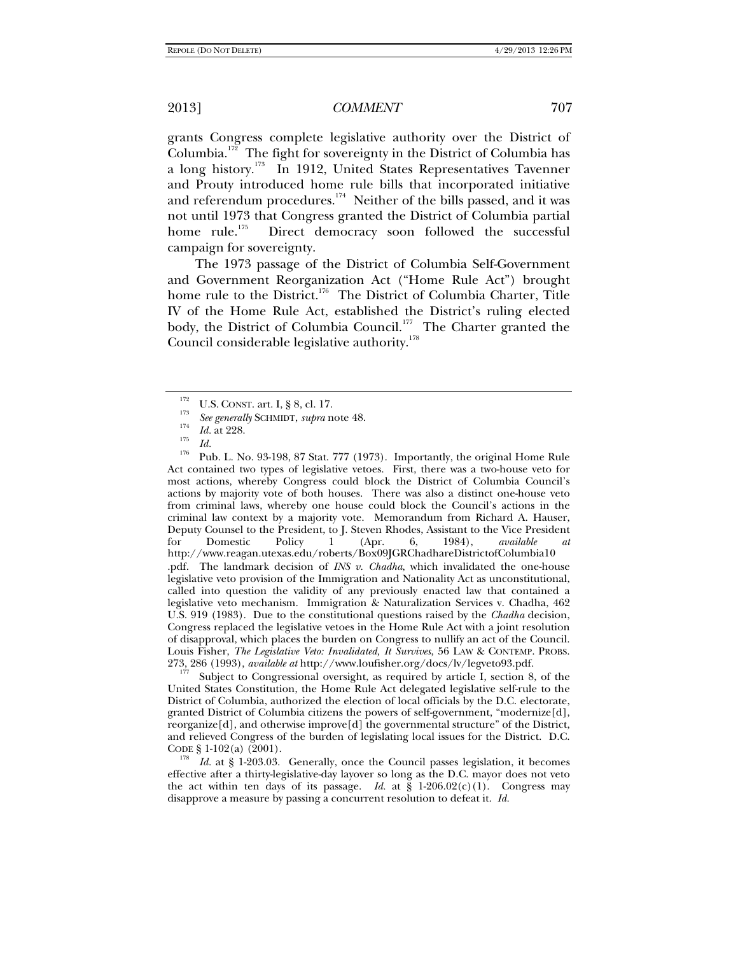grants Congress complete legislative authority over the District of Columbia.172 The fight for sovereignty in the District of Columbia has a long history.173 In 1912, United States Representatives Tavenner and Prouty introduced home rule bills that incorporated initiative and referendum procedures.<sup>174</sup> Neither of the bills passed, and it was not until 1973 that Congress granted the District of Columbia partial home rule.<sup>175</sup> Direct democracy soon followed the successful campaign for sovereignty.

The 1973 passage of the District of Columbia Self-Government and Government Reorganization Act ("Home Rule Act") brought home rule to the District.<sup>176</sup> The District of Columbia Charter, Title IV of the Home Rule Act, established the District's ruling elected body, the District of Columbia Council.<sup>177</sup> The Charter granted the Council considerable legislative authority.<sup>178</sup>

<sup>176</sup> Pub. L. No. 93-198, 87 Stat. 777 (1973). Importantly, the original Home Rule Act contained two types of legislative vetoes. First, there was a two-house veto for most actions, whereby Congress could block the District of Columbia Council's actions by majority vote of both houses. There was also a distinct one-house veto from criminal laws, whereby one house could block the Council's actions in the criminal law context by a majority vote. Memorandum from Richard A. Hauser, Deputy Counsel to the President, to J. Steven Rhodes, Assistant to the Vice President for Domestic Policy 1 (Apr. 6, 1984), *available at* http://www.reagan.utexas.edu/roberts/Box09JGRChadhareDistrictofColumbia10 .pdf. The landmark decision of *INS v. Chadha*, which invalidated the one-house legislative veto provision of the Immigration and Nationality Act as unconstitutional, called into question the validity of any previously enacted law that contained a legislative veto mechanism. Immigration & Naturalization Services v. Chadha, 462 U.S. 919 (1983). Due to the constitutional questions raised by the *Chadha* decision, Congress replaced the legislative vetoes in the Home Rule Act with a joint resolution of disapproval, which places the burden on Congress to nullify an act of the Council. Louis Fisher, *The Legislative Veto: Invalidated, It Survives*, 56 LAW & CONTEMP. PROBS.<br>273, 286 (1993), *available at* http://www.loufisher.org/docs/lv/legyeto93.pdf.

Subject to Congressional oversight, as required by article I, section 8, of the United States Constitution, the Home Rule Act delegated legislative self-rule to the District of Columbia, authorized the election of local officials by the D.C. electorate, granted District of Columbia citizens the powers of self-government, "modernize[d], reorganize[d], and otherwise improve[d] the governmental structure" of the District, and relieved Congress of the burden of legislating local issues for the District. D.C. CODE  $\S 1\n-102(a)$  (2001).

Id. at § 1-203.03. Generally, once the Council passes legislation, it becomes effective after a thirty-legislative-day layover so long as the D.C. mayor does not veto the act within ten days of its passage. *Id.* at  $\S$  1-206.02(c)(1). Congress may disapprove a measure by passing a concurrent resolution to defeat it. *Id.*

<sup>&</sup>lt;sup>172</sup> U.S. CONST. art. I, § 8, cl. 17.

<sup>&</sup>lt;sup>113</sup> See generally SCHMIDT, *supra* note 48.<br><sup>174</sup> *Id.* at 228.<br>*175 Id.*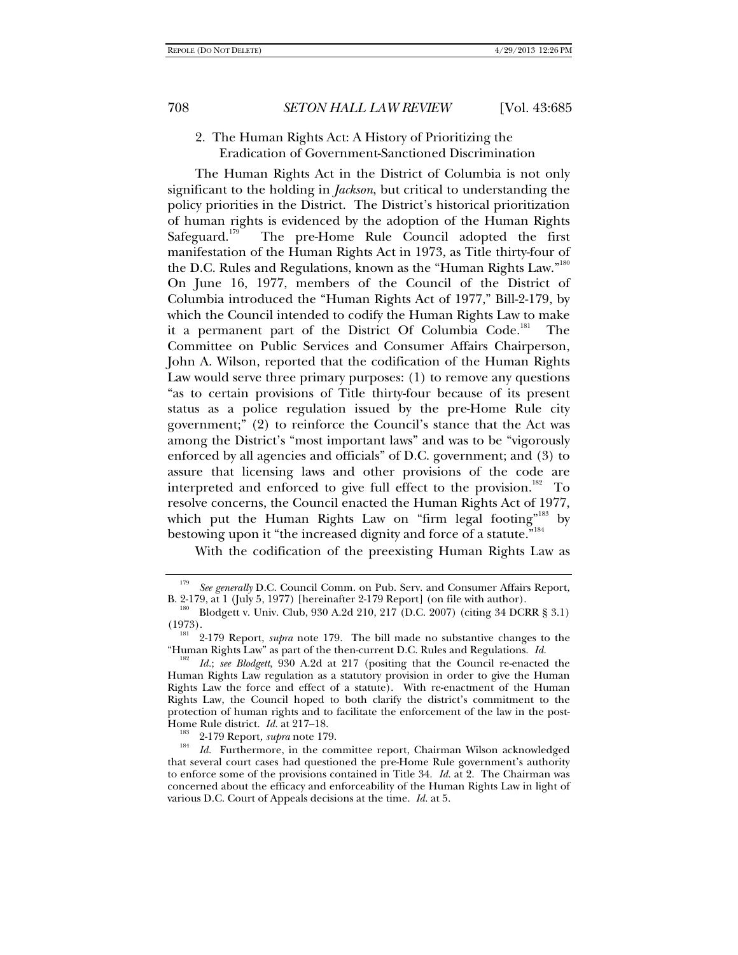## 2. The Human Rights Act: A History of Prioritizing the Eradication of Government-Sanctioned Discrimination

The Human Rights Act in the District of Columbia is not only significant to the holding in *Jackson*, but critical to understanding the policy priorities in the District. The District's historical prioritization of human rights is evidenced by the adoption of the Human Rights Safeguard.<sup>179</sup> The pre-Home Rule Council adopted the first manifestation of the Human Rights Act in 1973, as Title thirty-four of the D.C. Rules and Regulations, known as the "Human Rights Law."<sup>180</sup> On June 16, 1977, members of the Council of the District of Columbia introduced the "Human Rights Act of 1977," Bill-2-179, by which the Council intended to codify the Human Rights Law to make it a permanent part of the District Of Columbia Code.<sup>181</sup> The Committee on Public Services and Consumer Affairs Chairperson, John A. Wilson, reported that the codification of the Human Rights Law would serve three primary purposes: (1) to remove any questions "as to certain provisions of Title thirty-four because of its present status as a police regulation issued by the pre-Home Rule city government;" (2) to reinforce the Council's stance that the Act was among the District's "most important laws" and was to be "vigorously enforced by all agencies and officials" of D.C. government; and (3) to assure that licensing laws and other provisions of the code are interpreted and enforced to give full effect to the provision.<sup>182</sup> To resolve concerns, the Council enacted the Human Rights Act of 1977, which put the Human Rights Law on "firm legal footing"<sup>183</sup> by bestowing upon it "the increased dignity and force of a statute."<sup>184</sup>

With the codification of the preexisting Human Rights Law as

<sup>179</sup> *See generally* D.C. Council Comm. on Pub. Serv. and Consumer Affairs Report, B. 2-179, at 1 (July 5, 1977) [hereinafter 2-179 Report] (on file with author). 180 Blodgett v. Univ. Club, 930 A.2d 210, 217 (D.C. 2007) (citing 34 DCRR § 3.1)

<sup>(1973). 181 2-179</sup> Report, *supra* note 179. The bill made no substantive changes to the

<sup>&</sup>quot;Human Rights Law" as part of the then-current D.C. Rules and Regulations. *Id.* 182 *Id.*; *see Blodgett*, 930 A.2d at 217 (positing that the Council re-enacted the

Human Rights Law regulation as a statutory provision in order to give the Human Rights Law the force and effect of a statute). With re-enactment of the Human Rights Law, the Council hoped to both clarify the district's commitment to the protection of human rights and to facilitate the enforcement of the law in the post-<br>Home Rule district. *Id.* at 217–18.

<sup>&</sup>lt;sup>183</sup> 2-179 Report, *supra* note 179.<br><sup>184</sup> *Id.* Furthermore, in the committee report, Chairman Wilson acknowledged that several court cases had questioned the pre-Home Rule government's authority to enforce some of the provisions contained in Title 34. *Id.* at 2. The Chairman was concerned about the efficacy and enforceability of the Human Rights Law in light of various D.C. Court of Appeals decisions at the time. *Id.* at 5.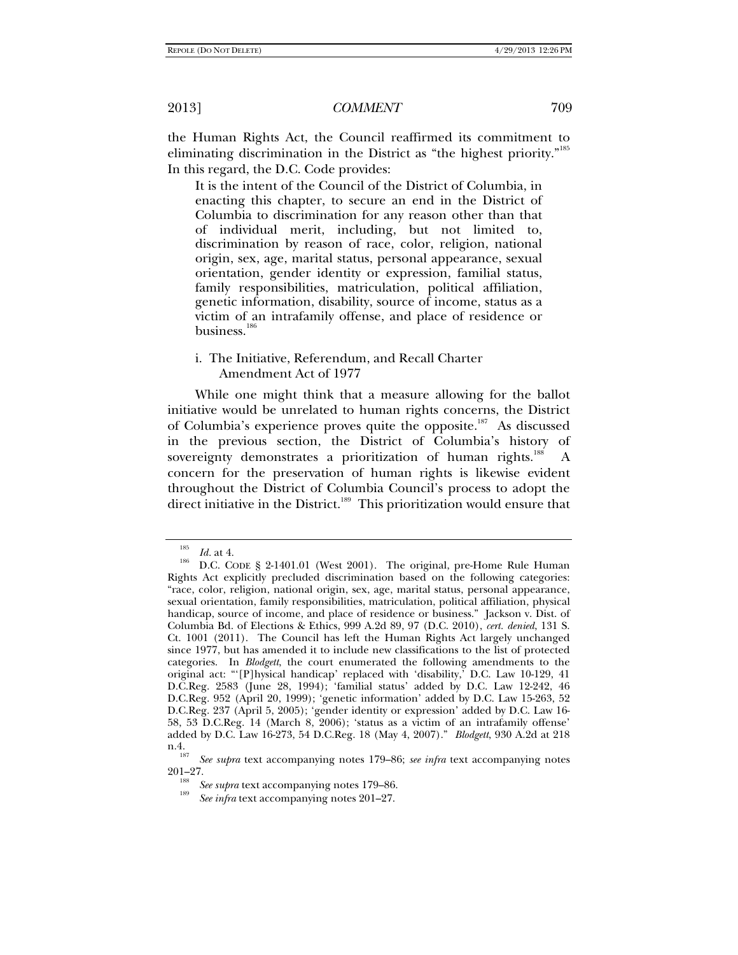the Human Rights Act, the Council reaffirmed its commitment to eliminating discrimination in the District as "the highest priority."<sup>185</sup> In this regard, the D.C. Code provides:

It is the intent of the Council of the District of Columbia, in enacting this chapter, to secure an end in the District of Columbia to discrimination for any reason other than that of individual merit, including, but not limited to, discrimination by reason of race, color, religion, national origin, sex, age, marital status, personal appearance, sexual orientation, gender identity or expression, familial status, family responsibilities, matriculation, political affiliation, genetic information, disability, source of income, status as a victim of an intrafamily offense, and place of residence or business.<sup>186</sup>

### i. The Initiative, Referendum, and Recall Charter Amendment Act of 1977

While one might think that a measure allowing for the ballot initiative would be unrelated to human rights concerns, the District of Columbia's experience proves quite the opposite.<sup>187</sup> As discussed in the previous section, the District of Columbia's history of sovereignty demonstrates a prioritization of human rights. $188$  A concern for the preservation of human rights is likewise evident throughout the District of Columbia Council's process to adopt the direct initiative in the District.<sup>189</sup> This prioritization would ensure that

<sup>185</sup>

<sup>&</sup>lt;sup>186</sup> *Id.* at 4.<br><sup>186</sup> D.C. CODE § 2-1401.01 (West 2001). The original, pre-Home Rule Human Rights Act explicitly precluded discrimination based on the following categories: "race, color, religion, national origin, sex, age, marital status, personal appearance, sexual orientation, family responsibilities, matriculation, political affiliation, physical handicap, source of income, and place of residence or business." Jackson v. Dist. of Columbia Bd. of Elections & Ethics, 999 A.2d 89, 97 (D.C. 2010), *cert. denied*, 131 S. Ct. 1001 (2011). The Council has left the Human Rights Act largely unchanged since 1977, but has amended it to include new classifications to the list of protected categories. In *Blodgett*, the court enumerated the following amendments to the original act: "'[P]hysical handicap' replaced with 'disability,' D.C. Law 10-129, 41 D.C.Reg. 2583 (June 28, 1994); 'familial status' added by D.C. Law 12-242, 46 D.C.Reg. 952 (April 20, 1999); 'genetic information' added by D.C. Law 15-263, 52 D.C.Reg. 237 (April 5, 2005); 'gender identity or expression' added by D.C. Law 16- 58, 53 D.C.Reg. 14 (March 8, 2006); 'status as a victim of an intrafamily offense' added by D.C. Law 16-273, 54 D.C.Reg. 18 (May 4, 2007)." *Blodgett*, 930 A.2d at 218  $n.4.$ <sub>187</sub>

<sup>&</sup>lt;sup>161</sup> See supra text accompanying notes 179–86; *see infra* text accompanying notes 201–27.

<sup>&</sup>lt;sup>188</sup> *See supra* text accompanying notes 179–86.

*See infra* text accompanying notes 201–27.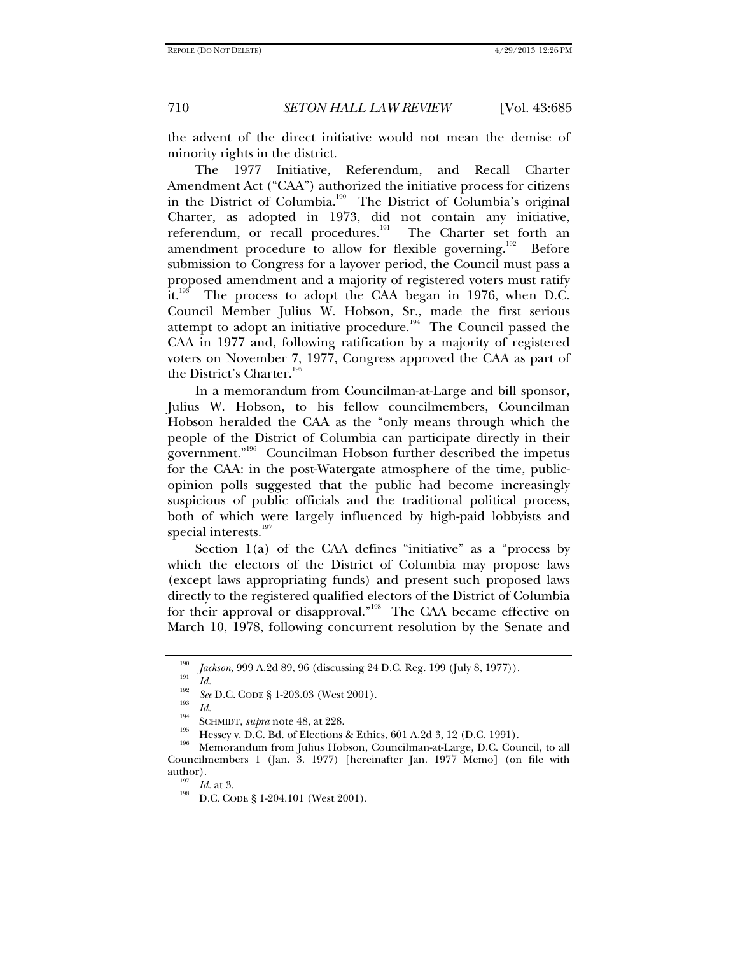the advent of the direct initiative would not mean the demise of minority rights in the district.

The 1977 Initiative, Referendum, and Recall Charter Amendment Act ("CAA") authorized the initiative process for citizens in the District of Columbia.<sup>190</sup> The District of Columbia's original Charter, as adopted in 1973, did not contain any initiative, referendum, or recall procedures.<sup>191</sup> The Charter set forth an amendment procedure to allow for flexible governing.<sup>192</sup> Before submission to Congress for a layover period, the Council must pass a proposed amendment and a majority of registered voters must ratify it.<sup>193</sup> The process to adopt the CAA began in 1976, when D.C. Council Member Julius W. Hobson, Sr., made the first serious attempt to adopt an initiative procedure.<sup>194</sup> The Council passed the CAA in 1977 and, following ratification by a majority of registered voters on November 7, 1977, Congress approved the CAA as part of the District's Charter.<sup>195</sup>

In a memorandum from Councilman-at-Large and bill sponsor, Julius W. Hobson, to his fellow councilmembers, Councilman Hobson heralded the CAA as the "only means through which the people of the District of Columbia can participate directly in their government."196 Councilman Hobson further described the impetus for the CAA: in the post-Watergate atmosphere of the time, publicopinion polls suggested that the public had become increasingly suspicious of public officials and the traditional political process, both of which were largely influenced by high-paid lobbyists and special interests.<sup>197</sup>

Section 1(a) of the CAA defines "initiative" as a "process by which the electors of the District of Columbia may propose laws (except laws appropriating funds) and present such proposed laws directly to the registered qualified electors of the District of Columbia for their approval or disapproval."<sup>198</sup> The CAA became effective on March 10, 1978, following concurrent resolution by the Senate and

<sup>&</sup>lt;sup>190</sup> *Jackson*, 999 A.2d 89, 96 (discussing 24 D.C. Reg. 199 (July 8, 1977)).

<sup>&</sup>lt;sup>192</sup> *Id. See* D.C. CODE § 1-203.03 (West 2001).

<sup>&</sup>lt;sup>193</sup> *Id.*<br>SCHMIDT, *supra* note 48, at 228.<br>Hessey v. D.C. Bd. of Elections & Ethics, 601 A.2d 3, 12 (D.C. 1991).<br><sup>196</sup> Memorandum from Julius Hobson, Councilman-at-Large, D.C. Council, to all Councilmembers 1 (Jan. 3. 1977) [hereinafter Jan. 1977 Memo] (on file with

<sup>&</sup>lt;sup>197</sup> *Id.* at 3.<br><sup>198</sup> D.C. CODE § 1-204.101 (West 2001).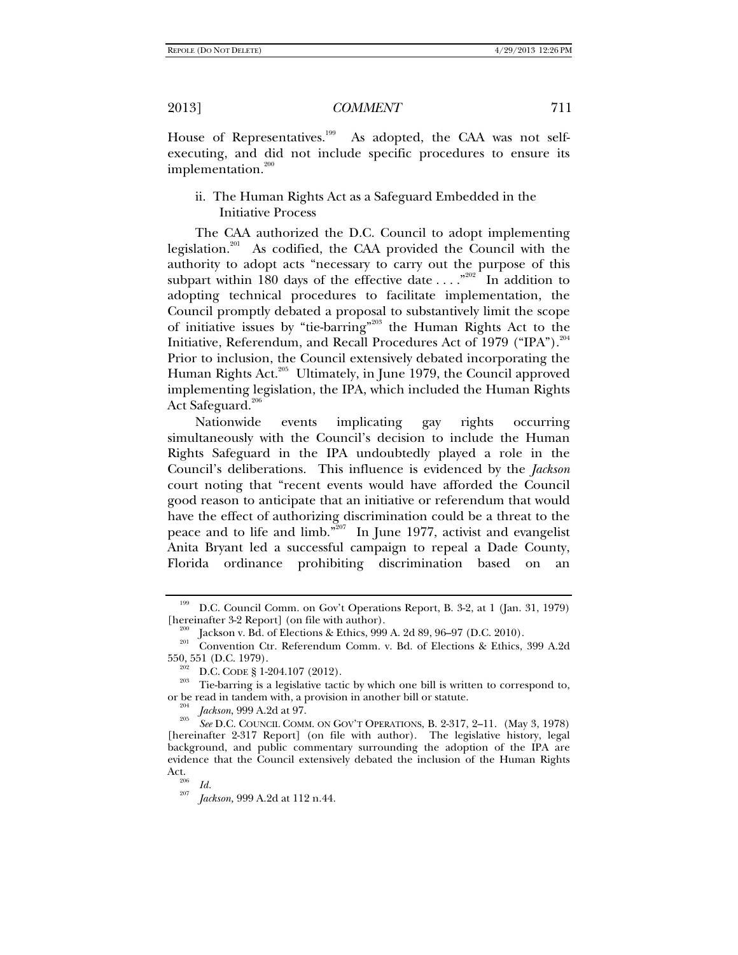House of Representatives.<sup>199</sup> As adopted, the CAA was not selfexecuting, and did not include specific procedures to ensure its implementation. $200$ 

## ii. The Human Rights Act as a Safeguard Embedded in the Initiative Process

The CAA authorized the D.C. Council to adopt implementing legislation.<sup>201</sup> As codified, the CAA provided the Council with the authority to adopt acts "necessary to carry out the purpose of this subpart within 180 days of the effective date  $\dots$ ."<sup>202</sup> In addition to adopting technical procedures to facilitate implementation, the Council promptly debated a proposal to substantively limit the scope of initiative issues by "tie-barring"203 the Human Rights Act to the Initiative, Referendum, and Recall Procedures Act of 1979 ("IPA").<sup>204</sup> Prior to inclusion, the Council extensively debated incorporating the Human Rights Act.<sup>205</sup> Ultimately, in June 1979, the Council approved implementing legislation, the IPA, which included the Human Rights Act Safeguard.<sup>206</sup>

Nationwide events implicating gay rights occurring simultaneously with the Council's decision to include the Human Rights Safeguard in the IPA undoubtedly played a role in the Council's deliberations. This influence is evidenced by the *Jackson* court noting that "recent events would have afforded the Council good reason to anticipate that an initiative or referendum that would have the effect of authorizing discrimination could be a threat to the peace and to life and limb.<sup>3207</sup> In June 1977, activist and evangelist Anita Bryant led a successful campaign to repeal a Dade County, Florida ordinance prohibiting discrimination based on an

<sup>199</sup> D.C. Council Comm. on Gov't Operations Report, B. 3-2, at 1 (Jan. 31, 1979)

<sup>[</sup>hereinafter 3-2 Report] (on file with author).<br><sup>200</sup> Jackson v. Bd. of Elections & Ethics, 999 A. 2d 89, 96–97 (D.C. 2010).<br><sup>201</sup> Convention Ctr. Referendum Comm. v. Bd. of Elections & Ethics, 399 A.2d<br>550, 551 (D.C. 1979

<sup>&</sup>lt;sup>202</sup> D.C. CODE § 1-204.107 (2012). <sup>203</sup> Tie-barring is a legislative tactic by which one bill is written to correspond to, or be read in tandem with, a provision in another bill or statute.

 $\frac{^{204}}{^{205}}$  *Jackson*, 999 A.2d at 97.

*See* D.C. COUNCIL COMM. ON GOV'T OPERATIONS, B. 2-317, 2–11. (May 3, 1978) [hereinafter 2-317 Report] (on file with author). The legislative history, legal background, and public commentary surrounding the adoption of the IPA are evidence that the Council extensively debated the inclusion of the Human Rights Act.<br><sup>206</sup> *Id.*<br><sup>207</sup> *Id.* 

*Jackson,* 999 A.2d at 112 n.44.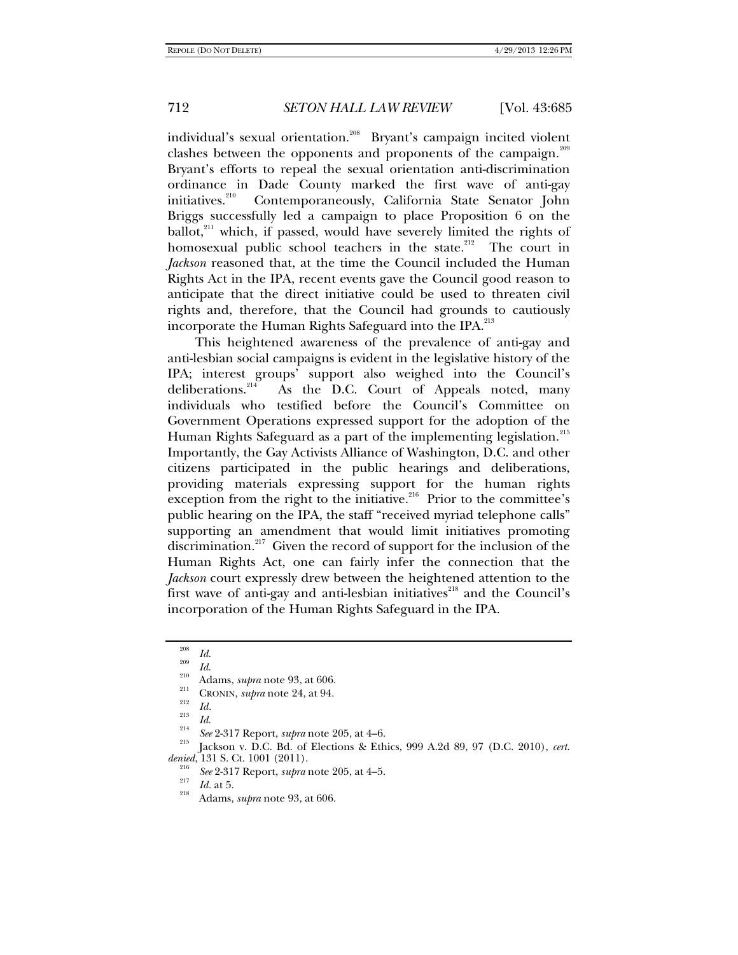individual's sexual orientation.<sup>208</sup> Bryant's campaign incited violent clashes between the opponents and proponents of the campaign.<sup>209</sup> Bryant's efforts to repeal the sexual orientation anti-discrimination ordinance in Dade County marked the first wave of anti-gay initiatives.<sup>210</sup> Contemporaneously, California State Senator Iohn Contemporaneously, California State Senator John Briggs successfully led a campaign to place Proposition 6 on the  $ballot<sub>1</sub><sup>211</sup>$  which, if passed, would have severely limited the rights of homosexual public school teachers in the state.<sup>212</sup> The court in *Jackson* reasoned that, at the time the Council included the Human Rights Act in the IPA, recent events gave the Council good reason to anticipate that the direct initiative could be used to threaten civil rights and, therefore, that the Council had grounds to cautiously incorporate the Human Rights Safeguard into the IPA.<sup>213</sup>

This heightened awareness of the prevalence of anti-gay and anti-lesbian social campaigns is evident in the legislative history of the IPA; interest groups' support also weighed into the Council's deliberations.<sup>214</sup> As the D.C. Court of Appeals noted, many As the D.C. Court of Appeals noted, many individuals who testified before the Council's Committee on Government Operations expressed support for the adoption of the Human Rights Safeguard as a part of the implementing legislation.<sup>215</sup> Importantly, the Gay Activists Alliance of Washington, D.C. and other citizens participated in the public hearings and deliberations, providing materials expressing support for the human rights exception from the right to the initiative. $216$  Prior to the committee's public hearing on the IPA, the staff "received myriad telephone calls" supporting an amendment that would limit initiatives promoting discrimination.<sup>217</sup> Given the record of support for the inclusion of the Human Rights Act, one can fairly infer the connection that the *Jackson* court expressly drew between the heightened attention to the first wave of anti-gay and anti-lesbian initiatives<sup>218</sup> and the Council's incorporation of the Human Rights Safeguard in the IPA.

<sup>&</sup>lt;sup>208</sup> *Id.*<br><sup>209</sup> *Id.* 

<sup>&</sup>lt;sup>210</sup> Adams, *supra* note 93, at 606.<br><sup>211</sup> CRONIN, *supra* note 24, at 94.<br><sup>213</sup> *Id.* 

<sup>&</sup>lt;sup>214</sup> See 2-317 Report, *supra* note 205, at 4–6.<br><sup>215</sup> Jackson v. D.C. Bd. of Elections & Ethics, 999 A.2d 89, 97 (D.C. 2010), *cert*. *denied*, 131 S. Ct. 1001 (2011).

*See* 2-317 Report, *supra* note 205, at 4–5. 217 *Id.* at 5. 218 Adams, *supra* note 93, at 606.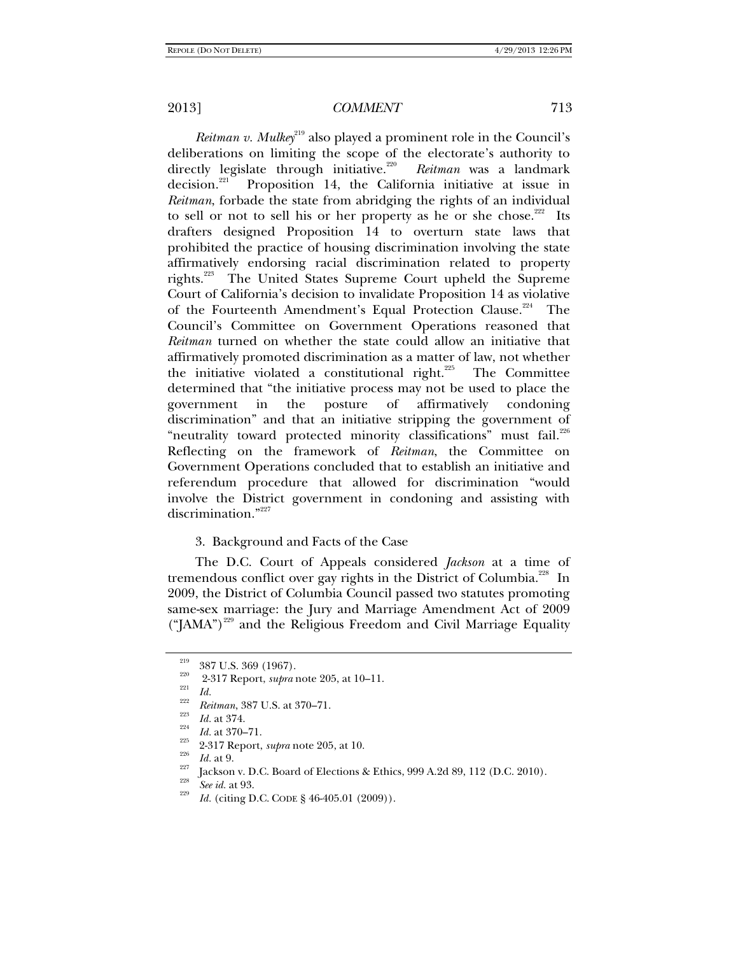*Reitman v. Mulkey*<sup>219</sup> also played a prominent role in the Council's deliberations on limiting the scope of the electorate's authority to directly legislate through initiative. $220$  *Reitman* was a landmark decision.<sup>221</sup> Proposition 14, the California initiative at issue in *Reitman*, forbade the state from abridging the rights of an individual to sell or not to sell his or her property as he or she chose.<sup>222</sup> Its drafters designed Proposition 14 to overturn state laws that prohibited the practice of housing discrimination involving the state affirmatively endorsing racial discrimination related to property rights.<sup>223</sup> The United States Supreme Court upheld the Supreme Court of California's decision to invalidate Proposition 14 as violative of the Fourteenth Amendment's Equal Protection Clause.<sup>224</sup> The Council's Committee on Government Operations reasoned that *Reitman* turned on whether the state could allow an initiative that affirmatively promoted discrimination as a matter of law, not whether the initiative violated a constitutional right.<sup>225</sup> The Committee determined that "the initiative process may not be used to place the government in the posture of affirmatively condoning discrimination" and that an initiative stripping the government of "neutrality toward protected minority classifications" must fail.<sup>226</sup> Reflecting on the framework of *Reitman*, the Committee on Government Operations concluded that to establish an initiative and referendum procedure that allowed for discrimination "would involve the District government in condoning and assisting with discrimination."<sup>227</sup>

#### 3. Background and Facts of the Case

The D.C. Court of Appeals considered *Jackson* at a time of tremendous conflict over gay rights in the District of Columbia.<sup>228</sup> In 2009, the District of Columbia Council passed two statutes promoting same-sex marriage: the Jury and Marriage Amendment Act of 2009  $("PAMA")<sup>229</sup>$  and the Religious Freedom and Civil Marriage Equality

<sup>&</sup>lt;sup>219</sup> 387 U.S. 369 (1967).<br><sup>220</sup> 2-317 Report, *supra* note 205, at 10–11.<br>*Id. Reitman*, 387 U.S. at 370–71.

Reitman, 387 U.S. at 370–71.<br>
<sup>223</sup> Id. at 374.<br>
<sup>224</sup> Id. at 370–71.<br>
<sup>225</sup> 2-317 Report, *supra* note 205, at 10.<br>
<sup>226</sup> Id. at 9.<br>
Id. at 9.<br>
<sup>227</sup> Jackson v. D.C. Board of Elections & Ethics, 999 A.2d 89, 112 (D.C. 20

<sup>&</sup>lt;sup>229</sup> *Id.* (citing D.C. CODE § 46-405.01 (2009)).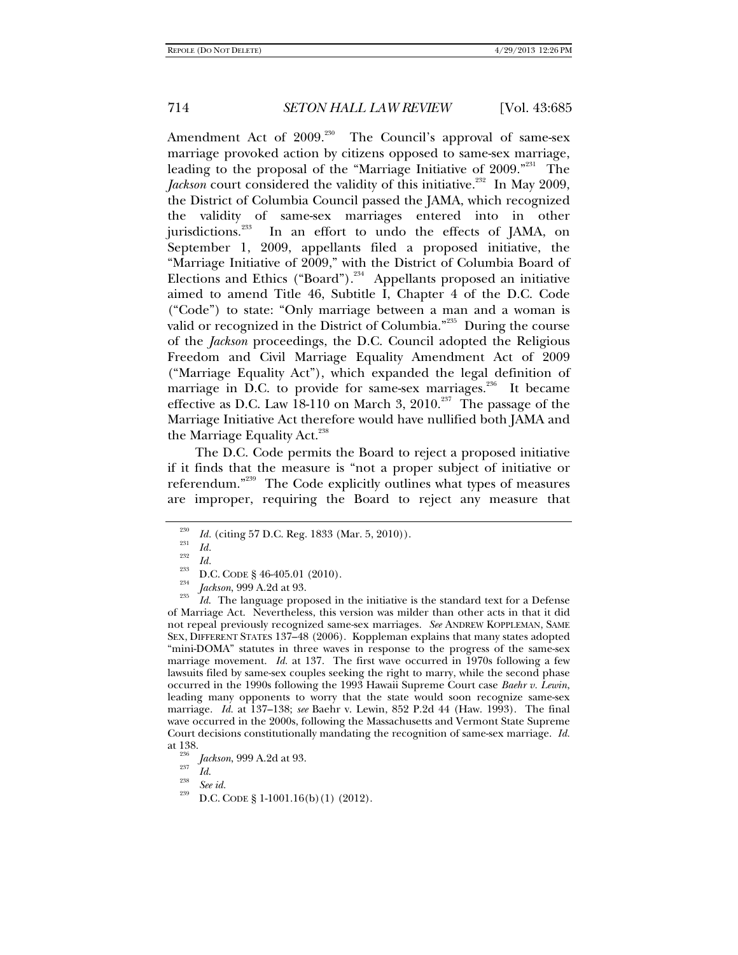Amendment Act of  $2009$ <sup>230</sup> The Council's approval of same-sex marriage provoked action by citizens opposed to same-sex marriage, leading to the proposal of the "Marriage Initiative of 2009."<sup>231</sup> The Jackson court considered the validity of this initiative.<sup>232</sup> In May 2009, the District of Columbia Council passed the JAMA, which recognized the validity of same-sex marriages entered into in other jurisdictions.<sup>233</sup> In an effort to undo the effects of JAMA, on September 1, 2009, appellants filed a proposed initiative, the "Marriage Initiative of 2009," with the District of Columbia Board of Elections and Ethics ("Board"). $^{234}$  Appellants proposed an initiative aimed to amend Title 46, Subtitle I, Chapter 4 of the D.C. Code ("Code") to state: "Only marriage between a man and a woman is valid or recognized in the District of Columbia.<sup>"235</sup> During the course of the *Jackson* proceedings, the D.C. Council adopted the Religious Freedom and Civil Marriage Equality Amendment Act of 2009 ("Marriage Equality Act"), which expanded the legal definition of marriage in D.C. to provide for same-sex marriages.<sup>236</sup> It became effective as D.C. Law 18-110 on March 3,  $2010^{237}$  The passage of the Marriage Initiative Act therefore would have nullified both JAMA and the Marriage Equality Act.<sup>238</sup>

The D.C. Code permits the Board to reject a proposed initiative if it finds that the measure is "not a proper subject of initiative or referendum."239 The Code explicitly outlines what types of measures are improper, requiring the Board to reject any measure that

<sup>235</sup> *Id.* The language proposed in the initiative is the standard text for a Defense of Marriage Act. Nevertheless, this version was milder than other acts in that it did not repeal previously recognized same-sex marriages. *See* ANDREW KOPPLEMAN, SAME SEX, DIFFERENT STATES 137–48 (2006). Koppleman explains that many states adopted "mini-DOMA" statutes in three waves in response to the progress of the same-sex marriage movement. *Id.* at 137. The first wave occurred in 1970s following a few lawsuits filed by same-sex couples seeking the right to marry, while the second phase occurred in the 1990s following the 1993 Hawaii Supreme Court case *Baehr v. Lewin*, leading many opponents to worry that the state would soon recognize same-sex marriage. *Id.* at 137–138; *see* Baehr v. Lewin, 852 P.2d 44 (Haw. 1993). The final wave occurred in the 2000s, following the Massachusetts and Vermont State Supreme Court decisions constitutionally mandating the recognition of same-sex marriage. *Id.*

<sup>230</sup> <sup>230</sup> Id. (citing 57 D.C. Reg. 1833 (Mar. 5, 2010)).

 $\frac{1}{232}$  *Id.*  $\frac{1}{d}$ 

<sup>&</sup>lt;sup>233</sup> D.C. CODE § 46-405.01 (2010).<br><sup>234</sup> *Jackson*, 999 A.2d at 93.

<sup>&</sup>lt;sup>250</sup> *Jackson*, 999 A.2d at 93.<br><sup>237</sup> *Id.* 

<sup>&</sup>lt;sup>238</sup> *See id. D.C.* CODE § 1-1001.16(b)(1)(2012).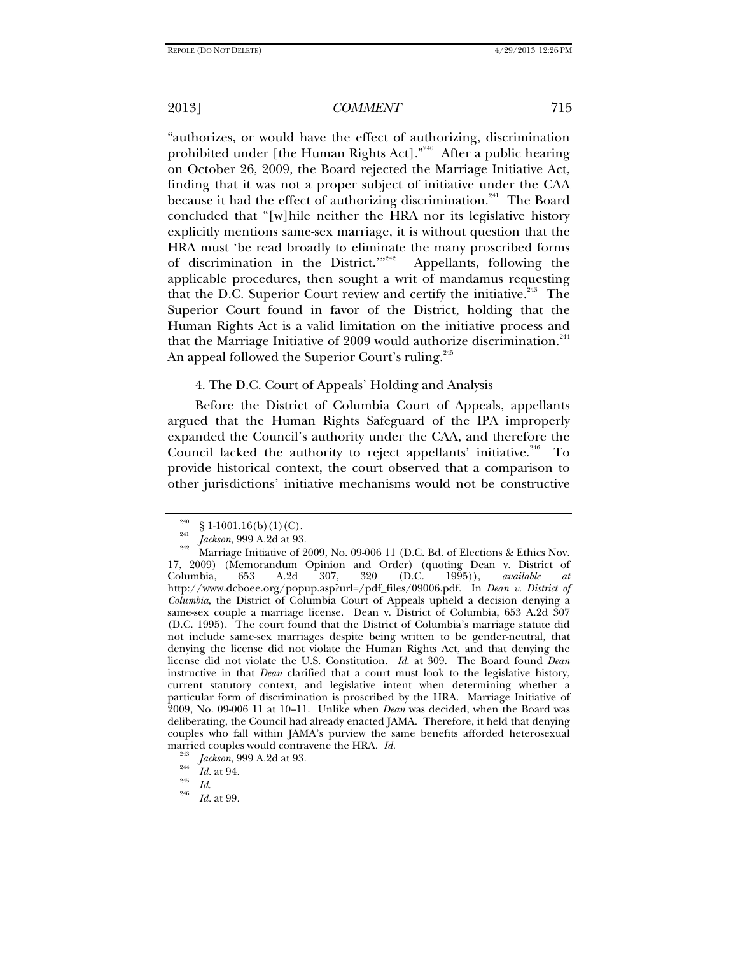"authorizes, or would have the effect of authorizing, discrimination prohibited under [the Human Rights Act]."<sup>240</sup> After a public hearing on October 26, 2009, the Board rejected the Marriage Initiative Act, finding that it was not a proper subject of initiative under the CAA because it had the effect of authorizing discrimination.<sup>241</sup> The Board concluded that "[w]hile neither the HRA nor its legislative history explicitly mentions same-sex marriage, it is without question that the HRA must 'be read broadly to eliminate the many proscribed forms of discrimination in the District."<sup>242</sup> Appellants, following the applicable procedures, then sought a writ of mandamus requesting that the D.C. Superior Court review and certify the initiative. $243$  The Superior Court found in favor of the District, holding that the Human Rights Act is a valid limitation on the initiative process and that the Marriage Initiative of 2009 would authorize discrimination.<sup>244</sup> An appeal followed the Superior Court's ruling.<sup>245</sup>

4. The D.C. Court of Appeals' Holding and Analysis

Before the District of Columbia Court of Appeals, appellants argued that the Human Rights Safeguard of the IPA improperly expanded the Council's authority under the CAA, and therefore the Council lacked the authority to reject appellants' initiative.<sup>246</sup> To provide historical context, the court observed that a comparison to other jurisdictions' initiative mechanisms would not be constructive

<sup>244</sup> *Id.* at 94.<br><sup>245</sup> *Id.* <sup>246</sup> *II.* 28

<sup>&</sup>lt;sup>240</sup> § 1-1001.16(b)(1)(C).<br><sup>241</sup> *Jackson*, 999 A.2d at 93.

<sup>&</sup>lt;sup>242</sup> Marriage Initiative of 2009, No. 09-006 11 (D.C. Bd. of Elections & Ethics Nov. 17, 2009) (Memorandum Opinion and Order) (quoting Dean v. District of Columbia, 653 A.2d 307, 320 (D.C. 1995)), *available at* Columbia, 653 A.2d 307, 320 (D.C. 1995)), *available at* http://www.dcboee.org/popup.asp?url=/pdf\_files/09006.pdf. In *Dean v. District of Columbia*, the District of Columbia Court of Appeals upheld a decision denying a same-sex couple a marriage license. Dean v. District of Columbia, 653 A.2d 307 (D.C. 1995). The court found that the District of Columbia's marriage statute did not include same-sex marriages despite being written to be gender-neutral, that denying the license did not violate the Human Rights Act, and that denying the license did not violate the U.S. Constitution. *Id.* at 309. The Board found *Dean* instructive in that *Dean* clarified that a court must look to the legislative history, current statutory context, and legislative intent when determining whether a particular form of discrimination is proscribed by the HRA. Marriage Initiative of 2009, No. 09-006 11 at 10–11. Unlike when *Dean* was decided, when the Board was deliberating, the Council had already enacted JAMA. Therefore, it held that denying couples who fall within JAMA's purview the same benefits afforded heterosexual married couples would contravene the HRA. *Id.* <sup>243</sup> *Jackson*, 999 A.2d at 93.

*Id.* at 99.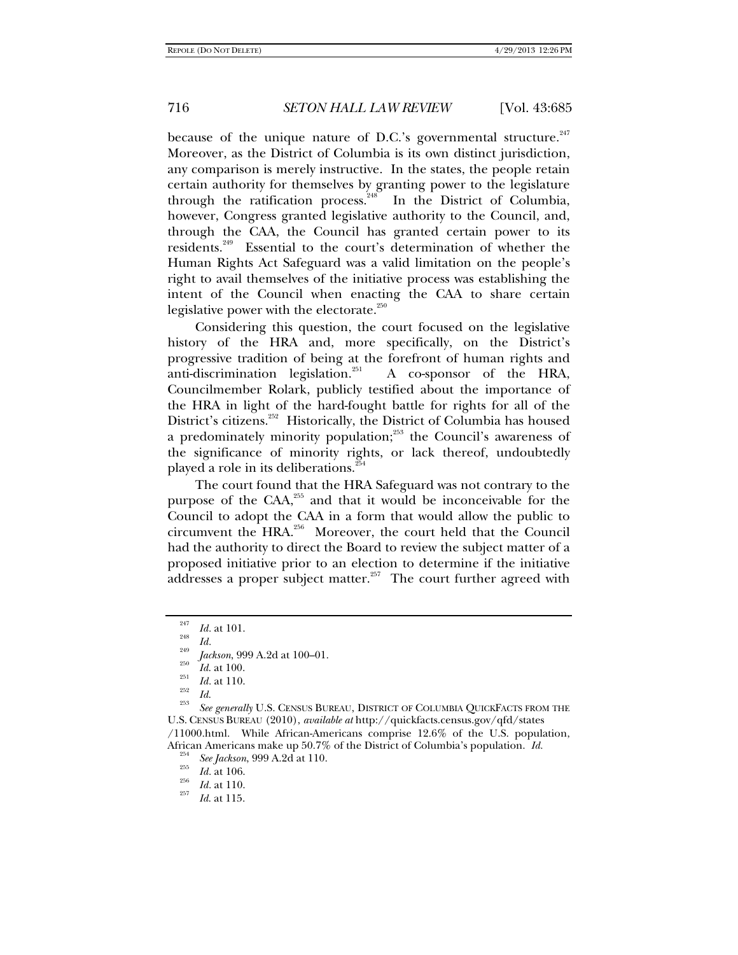because of the unique nature of D.C.'s governmental structure. $^{247}$ Moreover, as the District of Columbia is its own distinct jurisdiction, any comparison is merely instructive. In the states, the people retain certain authority for themselves by granting power to the legislature through the ratification process. $248$  In the District of Columbia, however, Congress granted legislative authority to the Council, and, through the CAA, the Council has granted certain power to its residents.249 Essential to the court's determination of whether the Human Rights Act Safeguard was a valid limitation on the people's right to avail themselves of the initiative process was establishing the intent of the Council when enacting the CAA to share certain legislative power with the electorate. $250$ 

Considering this question, the court focused on the legislative history of the HRA and, more specifically, on the District's progressive tradition of being at the forefront of human rights and anti-discrimination legislation.<sup>251</sup> A co-sponsor of the HRA, Councilmember Rolark, publicly testified about the importance of the HRA in light of the hard-fought battle for rights for all of the District's citizens.<sup>252</sup> Historically, the District of Columbia has housed a predominately minority population;<sup>253</sup> the Council's awareness of the significance of minority rights, or lack thereof, undoubtedly played a role in its deliberations.<sup>254</sup>

The court found that the HRA Safeguard was not contrary to the purpose of the  $CAA$ <sup>255</sup> and that it would be inconceivable for the Council to adopt the CAA in a form that would allow the public to circumvent the HRA.<sup>256</sup> Moreover, the court held that the Council had the authority to direct the Board to review the subject matter of a proposed initiative prior to an election to determine if the initiative addresses a proper subject matter.<sup>257</sup> The court further agreed with

<sup>253</sup> *See generally* U.S. CENSUS BUREAU, DISTRICT OF COLUMBIA QUICKFACTS FROM THE U.S. CENSUS BUREAU (2010), *available at* http://quickfacts.census.gov/qfd/states /11000.html. While African-Americans comprise 12.6% of the U.S. population, African Americans make up 50.7% of the District of Columbia's population. *Id.* <sup>254</sup> *See Jackson*, 999 A.2d at 110. <sup>255</sup> *Id.* at 106.

<sup>247</sup>  $\frac{^{247}}{^{248}}$  *Id.* at 101.

 $\frac{248}{249}$  *Id.* 

<sup>&</sup>lt;sup>249</sup> *Jackson*, 999 A.2d at 100–01.<br>
<sup>250</sup> *Id.* at 100.

 $\frac{^{251}}{^{252}}$  *Id.* at 110.

<sup>&</sup>lt;sup>256</sup> *Id.* at 110.

*Id*. at 115.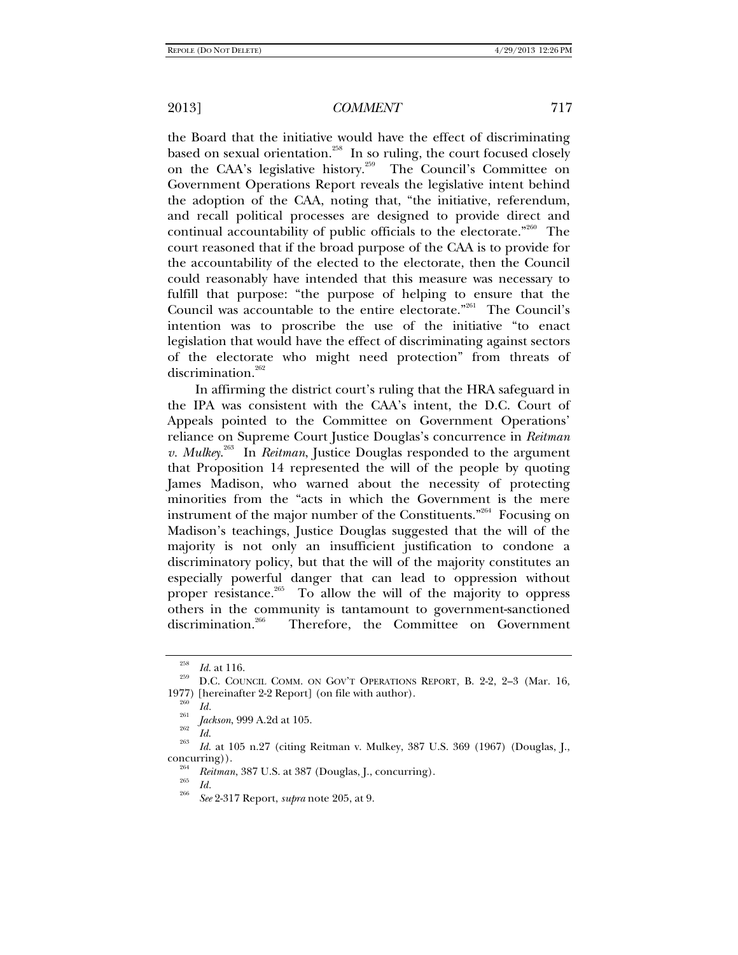the Board that the initiative would have the effect of discriminating based on sexual orientation.<sup>258</sup> In so ruling, the court focused closely on the CAA's legislative history.<sup>259</sup> The Council's Committee on Government Operations Report reveals the legislative intent behind the adoption of the CAA, noting that, "the initiative, referendum, and recall political processes are designed to provide direct and continual accountability of public officials to the electorate."<sup>260</sup> The court reasoned that if the broad purpose of the CAA is to provide for the accountability of the elected to the electorate, then the Council could reasonably have intended that this measure was necessary to fulfill that purpose: "the purpose of helping to ensure that the Council was accountable to the entire electorate."<sup>261</sup> The Council's intention was to proscribe the use of the initiative "to enact legislation that would have the effect of discriminating against sectors of the electorate who might need protection" from threats of discrimination.<sup>262</sup>

In affirming the district court's ruling that the HRA safeguard in the IPA was consistent with the CAA's intent, the D.C. Court of Appeals pointed to the Committee on Government Operations' reliance on Supreme Court Justice Douglas's concurrence in *Reitman v. Mulkey*. 263 In *Reitman*, Justice Douglas responded to the argument that Proposition 14 represented the will of the people by quoting James Madison, who warned about the necessity of protecting minorities from the "acts in which the Government is the mere instrument of the major number of the Constituents."264 Focusing on Madison's teachings, Justice Douglas suggested that the will of the majority is not only an insufficient justification to condone a discriminatory policy, but that the will of the majority constitutes an especially powerful danger that can lead to oppression without proper resistance.<sup>265</sup> To allow the will of the majority to oppress others in the community is tantamount to government-sanctioned discrimination.<sup>266</sup> Therefore, the Committee on Government

<sup>&</sup>lt;sup>258</sup> Id. at 116.<br><sup>259</sup> D.C. COUNCIL COMM. ON GOV'T OPERATIONS REPORT, B. 2-2, 2–3 (Mar. 16, 1977) [hereinafter 2-2 Report] (on file with author).<br><sup>260</sup> *Id. Jackson*, 999 A.2d at 105.

*Jos*<br>*Id. Id.* at 105 n.27 (citing Reitman v. Mulkey, 387 U.S. 369 (1967) (Douglas, J., concurring)).

<sup>&</sup>lt;sup>264</sup> *Reitman*, 387 U.S. at 387 (Douglas, J., concurring).<br>
<sup>265</sup> *Id.* 266 2015 **D** 

*See* 2-317 Report, *supra* note 205, at 9.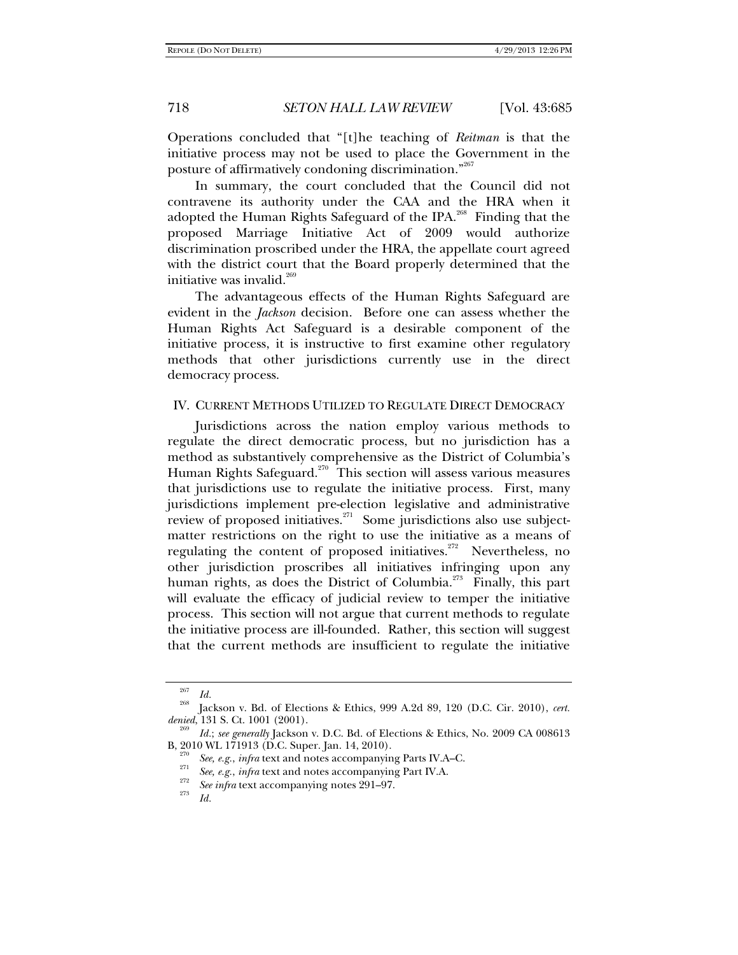Operations concluded that "[t]he teaching of *Reitman* is that the initiative process may not be used to place the Government in the posture of affirmatively condoning discrimination."267

In summary, the court concluded that the Council did not contravene its authority under the CAA and the HRA when it adopted the Human Rights Safeguard of the IPA.<sup>268</sup> Finding that the proposed Marriage Initiative Act of 2009 would authorize discrimination proscribed under the HRA, the appellate court agreed with the district court that the Board properly determined that the initiative was invalid. $269$ 

The advantageous effects of the Human Rights Safeguard are evident in the *Jackson* decision. Before one can assess whether the Human Rights Act Safeguard is a desirable component of the initiative process, it is instructive to first examine other regulatory methods that other jurisdictions currently use in the direct democracy process.

### IV. CURRENT METHODS UTILIZED TO REGULATE DIRECT DEMOCRACY

Jurisdictions across the nation employ various methods to regulate the direct democratic process, but no jurisdiction has a method as substantively comprehensive as the District of Columbia's Human Rights Safeguard.<sup>270</sup> This section will assess various measures that jurisdictions use to regulate the initiative process. First, many jurisdictions implement pre-election legislative and administrative review of proposed initiatives. $271$  Some jurisdictions also use subjectmatter restrictions on the right to use the initiative as a means of regulating the content of proposed initiatives.<sup>272</sup> Nevertheless, no other jurisdiction proscribes all initiatives infringing upon any human rights, as does the District of Columbia.<sup>273</sup> Finally, this part will evaluate the efficacy of judicial review to temper the initiative process. This section will not argue that current methods to regulate the initiative process are ill-founded. Rather, this section will suggest that the current methods are insufficient to regulate the initiative

<sup>267</sup>

<sup>&</sup>lt;sup>267</sup> *Id.* <sup>268</sup> Jackson v. Bd. of Elections & Ethics, 999 A.2d 89, 120 (D.C. Cir. 2010), *cert. denied*, 131 S. Ct. 1001 (2001).

<sup>&</sup>lt;sup>269</sup> *Id.*; *see generally* Jackson v. D.C. Bd. of Elections & Ethics, No. 2009 CA 008613 **B**, 2010 WL 171913 (D.C. Super. Jan. 14, 2010).

 $\frac{270}{271}$  See, e.g., *infra* text and notes accompanying Parts IV.A–C.

<sup>&</sup>lt;sup>271</sup> *See, e.g., infra* text and notes accompanying Part IV.A. <br><sup>272</sup> *See infra* text accompanying notes 291–97.

*Id.*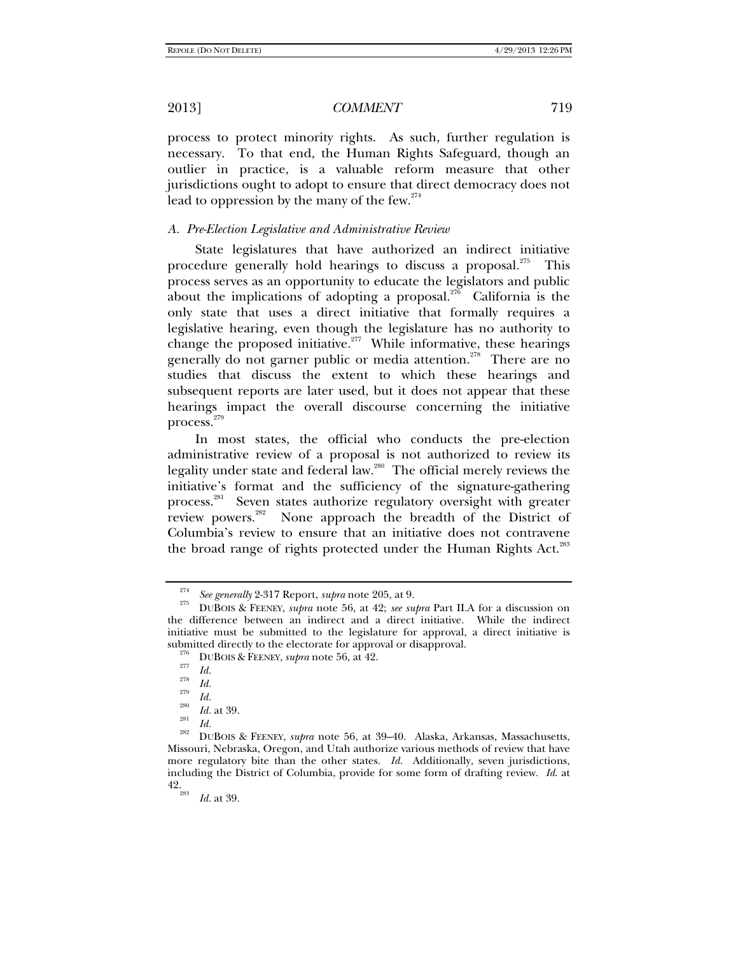process to protect minority rights. As such, further regulation is necessary. To that end, the Human Rights Safeguard, though an outlier in practice, is a valuable reform measure that other jurisdictions ought to adopt to ensure that direct democracy does not lead to oppression by the many of the few.<sup>274</sup>

#### *A. Pre-Election Legislative and Administrative Review*

State legislatures that have authorized an indirect initiative procedure generally hold hearings to discuss a proposal.<sup>275</sup> This process serves as an opportunity to educate the legislators and public about the implications of adopting a proposal.<sup>276</sup> California is the only state that uses a direct initiative that formally requires a legislative hearing, even though the legislature has no authority to change the proposed initiative.<sup>277</sup> While informative, these hearings generally do not garner public or media attention.<sup>278</sup> There are no studies that discuss the extent to which these hearings and subsequent reports are later used, but it does not appear that these hearings impact the overall discourse concerning the initiative process.<sup>279</sup>

In most states, the official who conducts the pre-election administrative review of a proposal is not authorized to review its legality under state and federal law.<sup>280</sup> The official merely reviews the initiative's format and the sufficiency of the signature-gathering process.<sup>281</sup> Seven states authorize regulatory oversight with greater review powers.<sup>282</sup> None approach the breadth of the District of Columbia's review to ensure that an initiative does not contravene the broad range of rights protected under the Human Rights Act.<sup>283</sup>

<sup>274</sup>

*See generally* 2-317 Report, *supra* note 205, at 9. 275 DUBOIS & FEENEY, *supra* note 56, at 42; *see supra* Part II.A for a discussion on the difference between an indirect and a direct initiative. While the indirect initiative must be submitted to the legislature for approval, a direct initiative is submitted directly to the electorate for approval or disapproval.<br><sup>276</sup> DUBOIS & FEENEY, *supra* note 56, at 42.<br><sup>277</sup> *Id.* 278 *Id.* 

 $\frac{279}{280}$  *Id.* 

 $\frac{^{280}}{^{281}}$  *Id.* at 39.

<sup>&</sup>lt;sup>282</sup> DUBOIS & FEENEY, *supra* note 56, at 39–40. Alaska, Arkansas, Massachusetts, Missouri, Nebraska, Oregon, and Utah authorize various methods of review that have more regulatory bite than the other states. *Id.* Additionally, seven jurisdictions, including the District of Columbia, provide for some form of drafting review. *Id*. at 42. 283

*Id.* at 39.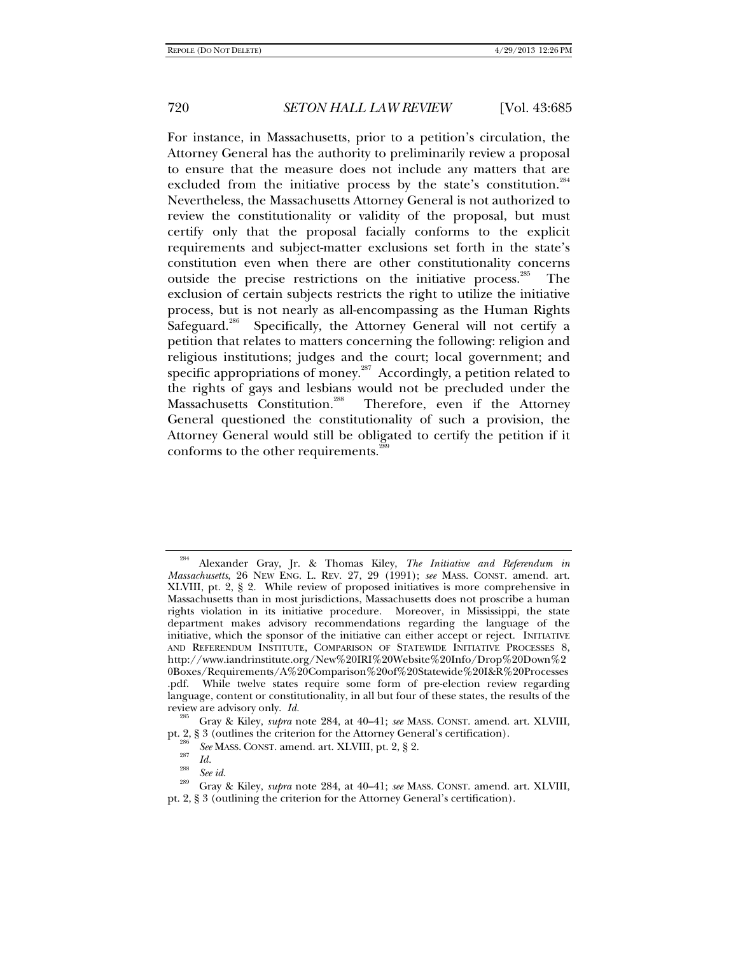For instance, in Massachusetts, prior to a petition's circulation, the Attorney General has the authority to preliminarily review a proposal to ensure that the measure does not include any matters that are excluded from the initiative process by the state's constitution.<sup>284</sup> Nevertheless, the Massachusetts Attorney General is not authorized to review the constitutionality or validity of the proposal, but must certify only that the proposal facially conforms to the explicit requirements and subject-matter exclusions set forth in the state's constitution even when there are other constitutionality concerns outside the precise restrictions on the initiative process.<sup>285</sup> The exclusion of certain subjects restricts the right to utilize the initiative process, but is not nearly as all-encompassing as the Human Rights Safeguard.<sup>286</sup> Specifically, the Attorney General will not certify a petition that relates to matters concerning the following: religion and religious institutions; judges and the court; local government; and specific appropriations of money.<sup>287</sup> Accordingly, a petition related to the rights of gays and lesbians would not be precluded under the Massachusetts Constitution.<sup>288</sup> Therefore, even if the Attorney Therefore, even if the Attorney General questioned the constitutionality of such a provision, the Attorney General would still be obligated to certify the petition if it conforms to the other requirements.<sup>28</sup>

<sup>284</sup> Alexander Gray, Jr. & Thomas Kiley, *The Initiative and Referendum in Massachusetts*, 26 NEW ENG. L. REV. 27, 29 (1991); *see* MASS. CONST. amend. art. XLVIII, pt. 2, § 2. While review of proposed initiatives is more comprehensive in Massachusetts than in most jurisdictions, Massachusetts does not proscribe a human rights violation in its initiative procedure. Moreover, in Mississippi, the state department makes advisory recommendations regarding the language of the initiative, which the sponsor of the initiative can either accept or reject. INITIATIVE AND REFERENDUM INSTITUTE, COMPARISON OF STATEWIDE INITIATIVE PROCESSES 8, http://www.iandrinstitute.org/New%20IRI%20Website%20Info/Drop%20Down%2 0Boxes/Requirements/A%20Comparison%20of%20Statewide%20I&R%20Processes .pdf. While twelve states require some form of pre-election review regarding language, content or constitutionality, in all but four of these states, the results of the review are advisory only. *Id.* 285 Gray & Kiley, *supra* note 284, at 40–41; *see* MASS. CONST. amend. art. XLVIII,

pt. 2, § 3 (outlines the criterion for the Attorney General's certification).<br><sup>286</sup> *See* MASS. CONST. amend. art. XLVIII, pt. 2, § 2.<br>*287 Id.* 

*Id.* <sup>288</sup>*See id.* 289 Gray & Kiley, *supra* note 284, at 40–41; *see* MASS. CONST. amend. art. XLVIII, pt. 2, § 3 (outlining the criterion for the Attorney General's certification).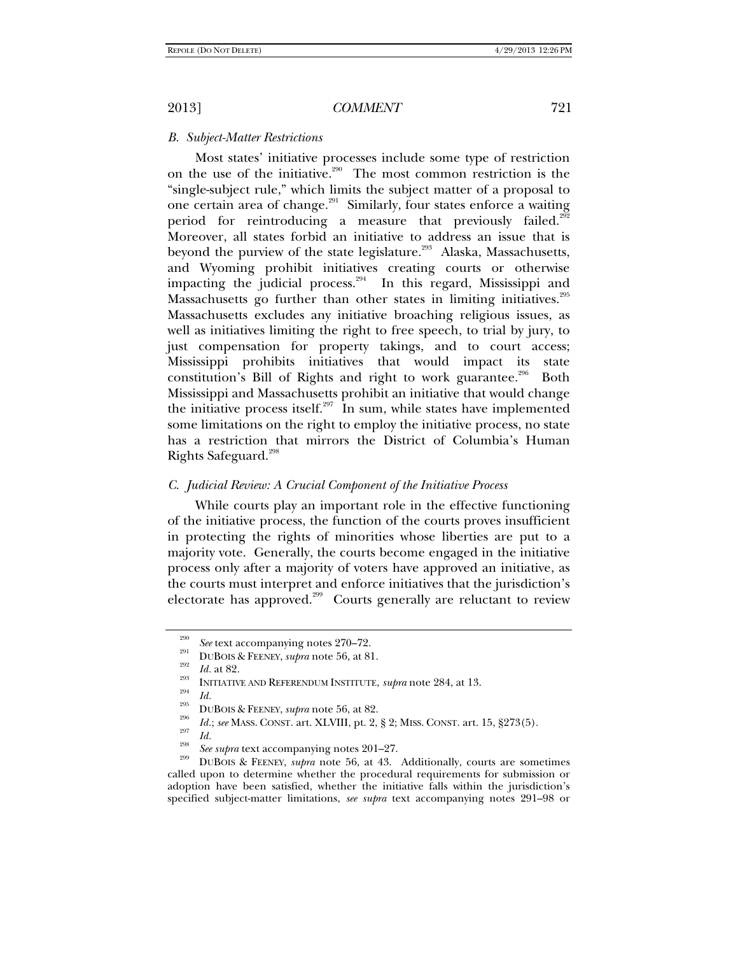#### *B. Subject-Matter Restrictions*

Most states' initiative processes include some type of restriction on the use of the initiative.<sup>290</sup> The most common restriction is the "single-subject rule," which limits the subject matter of a proposal to one certain area of change.<sup>291</sup> Similarly, four states enforce a waiting period for reintroducing a measure that previously failed.<sup>292</sup> Moreover, all states forbid an initiative to address an issue that is beyond the purview of the state legislature.<sup>293</sup> Alaska, Massachusetts, and Wyoming prohibit initiatives creating courts or otherwise impacting the judicial process.<sup>294</sup> In this regard, Mississippi and Massachusetts go further than other states in limiting initiatives.<sup>295</sup> Massachusetts excludes any initiative broaching religious issues, as well as initiatives limiting the right to free speech, to trial by jury, to just compensation for property takings, and to court access; Mississippi prohibits initiatives that would impact its state constitution's Bill of Rights and right to work guarantee.<sup>296</sup> Both Mississippi and Massachusetts prohibit an initiative that would change the initiative process itself. $297$  In sum, while states have implemented some limitations on the right to employ the initiative process, no state has a restriction that mirrors the District of Columbia's Human Rights Safeguard.<sup>298</sup>

#### *C. Judicial Review: A Crucial Component of the Initiative Process*

While courts play an important role in the effective functioning of the initiative process, the function of the courts proves insufficient in protecting the rights of minorities whose liberties are put to a majority vote. Generally, the courts become engaged in the initiative process only after a majority of voters have approved an initiative, as the courts must interpret and enforce initiatives that the jurisdiction's electorate has approved.<sup>299</sup> Courts generally are reluctant to review

<sup>290</sup>

<sup>&</sup>lt;sup>290</sup> See text accompanying notes 270–72.<br><sup>291</sup> DUBOIS & FEENEY, *supra* note 56, at 81.<br>*292 Id.* at 82.

<sup>&</sup>lt;sup>293</sup><br>
INITIATIVE AND REFERENDUM INSTITUTE, *supra* note 284, at 13.<br> *Id.*<br>
295<br>
295<br> *Id.*; *see* MASS. CONST. art. XLVIII, pt. 2, § 2; MISS. CONST. art. 15, §273(5).<br> *Id.*<br> *See supra* text accompanying notes 201–27.

<sup>&</sup>lt;sup>299</sup> DUBOIS & FEENEY, *supra* note 56, at 43. Additionally, courts are sometimes called upon to determine whether the procedural requirements for submission or adoption have been satisfied, whether the initiative falls within the jurisdiction's specified subject-matter limitations, *see supra* text accompanying notes 291–98 or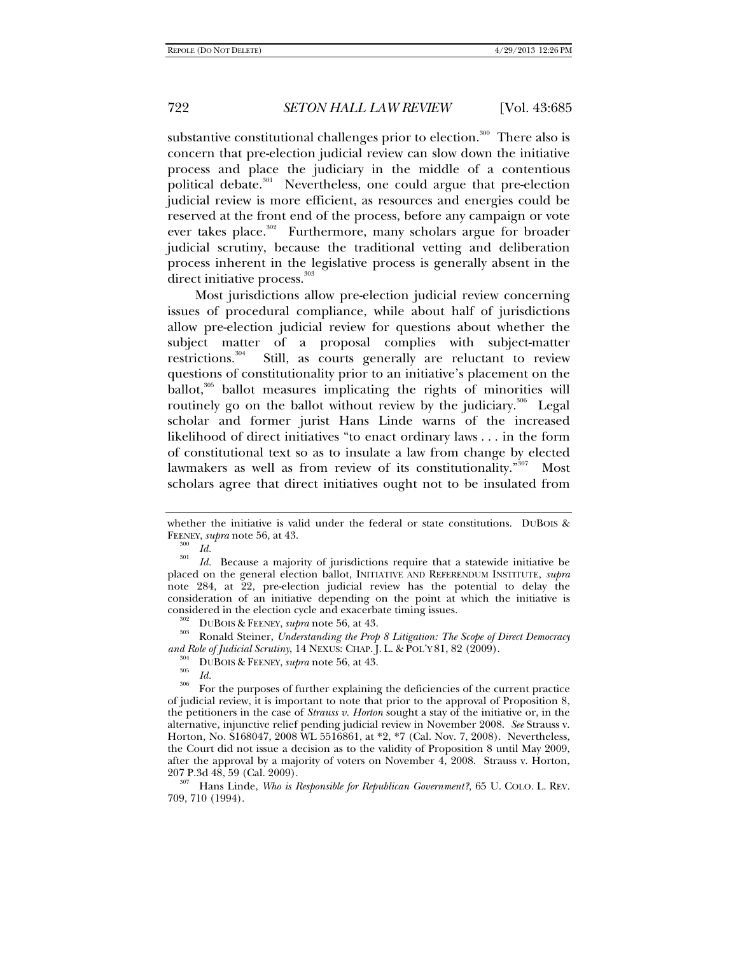substantive constitutional challenges prior to election.<sup>300</sup> There also is concern that pre-election judicial review can slow down the initiative process and place the judiciary in the middle of a contentious political debate.<sup>301</sup> Nevertheless, one could argue that pre-election judicial review is more efficient, as resources and energies could be reserved at the front end of the process, before any campaign or vote ever takes place.<sup>302</sup> Furthermore, many scholars argue for broader judicial scrutiny, because the traditional vetting and deliberation process inherent in the legislative process is generally absent in the direct initiative process.<sup>303</sup>

Most jurisdictions allow pre-election judicial review concerning issues of procedural compliance, while about half of jurisdictions allow pre-election judicial review for questions about whether the subject matter of a proposal complies with subject-matter restrictions.<sup>304</sup> Still, as courts generally are reluctant to review questions of constitutionality prior to an initiative's placement on the ballot,<sup>305</sup> ballot measures implicating the rights of minorities will routinely go on the ballot without review by the judiciary.<sup>306</sup> Legal scholar and former jurist Hans Linde warns of the increased likelihood of direct initiatives "to enact ordinary laws . . . in the form of constitutional text so as to insulate a law from change by elected lawmakers as well as from review of its constitutionality."<sup>307</sup> Most scholars agree that direct initiatives ought not to be insulated from

considered in the election cycle and exacerbate timing issues.<br><sup>302</sup> DUBOIS & FEENEY, *supra* note 56, at 43.<br><sup>303</sup> Ronald Steiner, *Understanding the Prop 8 Litigation: The Scope of Direct Democracy*<br>*and Role of Judicial* 

207 P.3d 48, 59 (Cal. 2009). 307 Hans Linde, *Who is Responsible for Republican Government?*, 65 U. COLO. L. REV. 709, 710 (1994).

whether the initiative is valid under the federal or state constitutions. DUBOIS  $\&$ FEENEY, *supra* note 56, at 43.<br><sup>300</sup> Id.

<sup>&</sup>lt;sup>301</sup> *Id.* Because a majority of jurisdictions require that a statewide initiative be placed on the general election ballot, INITIATIVE AND REFERENDUM INSTITUTE, *supra*  note 284, at 22, pre-election judicial review has the potential to delay the consideration of an initiative depending on the point at which the initiative is

<sup>&</sup>lt;sup>304</sup> DUBOIS & FEENEY, *supra* note 56, at 43.<br><sup>305</sup> *Id.*<br><sup>306</sup> For the purposes of further explaining the deficiencies of the current practice of judicial review, it is important to note that prior to the approval of Proposition 8, the petitioners in the case of *Strauss v. Horton* sought a stay of the initiative or, in the alternative, injunctive relief pending judicial review in November 2008. *See* Strauss v. Horton*,* No. S168047, 2008 WL 5516861, at \*2, \*7 (Cal. Nov. 7, 2008). Nevertheless, the Court did not issue a decision as to the validity of Proposition 8 until May 2009, after the approval by a majority of voters on November 4, 2008. Strauss v. Horton,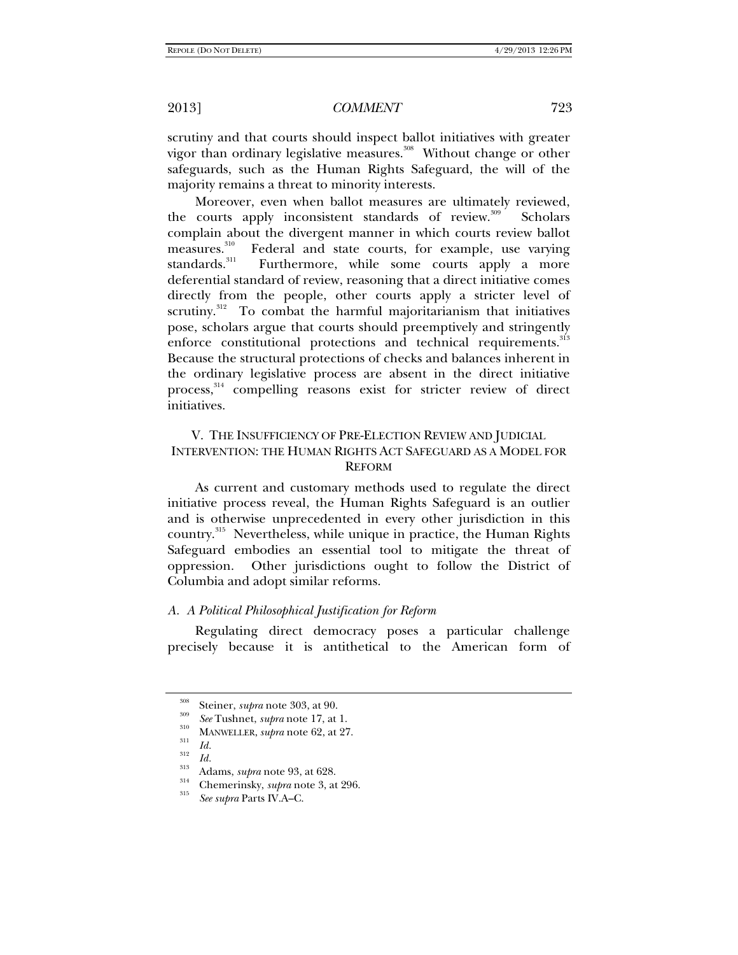scrutiny and that courts should inspect ballot initiatives with greater vigor than ordinary legislative measures.<sup>308</sup> Without change or other safeguards, such as the Human Rights Safeguard, the will of the majority remains a threat to minority interests.

Moreover, even when ballot measures are ultimately reviewed, the courts apply inconsistent standards of review.<sup>309</sup> Scholars complain about the divergent manner in which courts review ballot measures.<sup>310</sup> Federal and state courts, for example, use varying measures.<sup>310</sup> Federal and state courts, for example, use varying standards.<sup>311</sup> Furthermore, while some courts apply a more Furthermore, while some courts apply a more deferential standard of review, reasoning that a direct initiative comes directly from the people, other courts apply a stricter level of scrutiny.<sup>312</sup> To combat the harmful majoritarianism that initiatives pose, scholars argue that courts should preemptively and stringently enforce constitutional protections and technical requirements.<sup>313</sup> Because the structural protections of checks and balances inherent in the ordinary legislative process are absent in the direct initiative process,<sup>314</sup> compelling reasons exist for stricter review of direct initiatives.

## V. THE INSUFFICIENCY OF PRE-ELECTION REVIEW AND JUDICIAL INTERVENTION: THE HUMAN RIGHTS ACT SAFEGUARD AS A MODEL FOR **REFORM**

As current and customary methods used to regulate the direct initiative process reveal, the Human Rights Safeguard is an outlier and is otherwise unprecedented in every other jurisdiction in this country.315 Nevertheless, while unique in practice, the Human Rights Safeguard embodies an essential tool to mitigate the threat of oppression. Other jurisdictions ought to follow the District of Columbia and adopt similar reforms.

#### *A. A Political Philosophical Justification for Reform*

Regulating direct democracy poses a particular challenge precisely because it is antithetical to the American form of

<sup>&</sup>lt;sup>308</sup> Steiner, *supra* note 303, at 90.<br><sup>309</sup> *See* Tushnet, *supra* note 17, at 1.<br><sup>310</sup> MANWELLER, *supra* note 62, at 27.<br>*Id.* 

*Id.* <sup>312</sup>*Id.* 313 Adams, *supra* note 93, at 628. 314 Chemerinsky, *supra* note 3, at 296. 315

*See supra* Parts IV.A–C.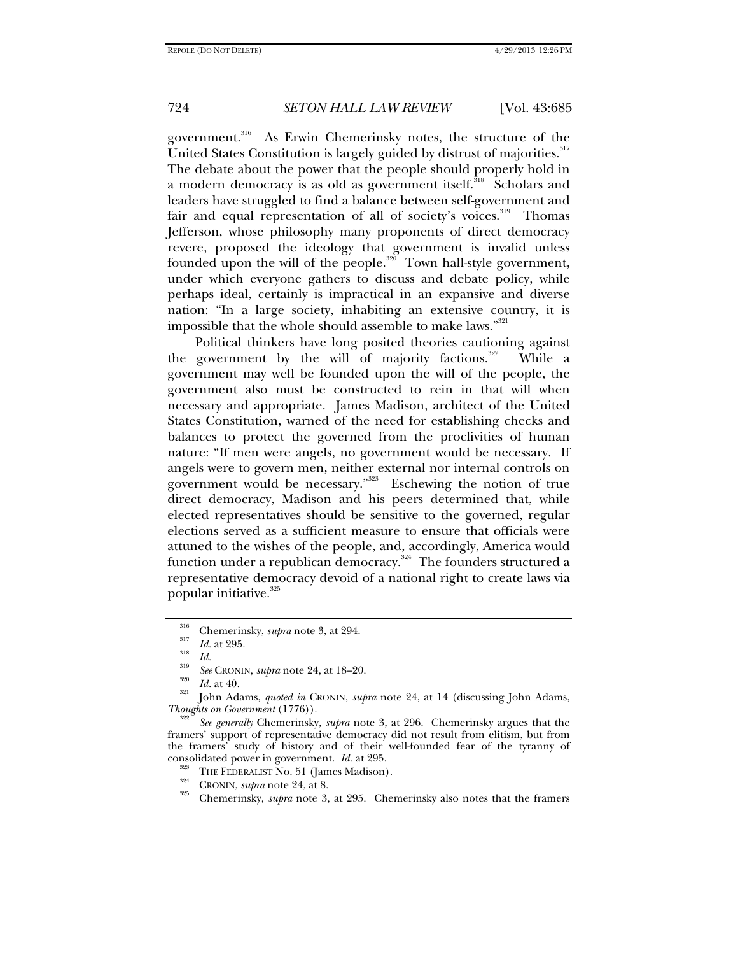government.<sup>316</sup> As Erwin Chemerinsky notes, the structure of the United States Constitution is largely guided by distrust of majorities.<sup>317</sup> The debate about the power that the people should properly hold in a modern democracy is as old as government itself.<sup>318</sup> Scholars and leaders have struggled to find a balance between self-government and fair and equal representation of all of society's voices.<sup>319</sup> Thomas Jefferson, whose philosophy many proponents of direct democracy revere, proposed the ideology that government is invalid unless founded upon the will of the people. $320$  Town hall-style government, under which everyone gathers to discuss and debate policy, while perhaps ideal, certainly is impractical in an expansive and diverse nation: "In a large society, inhabiting an extensive country, it is impossible that the whole should assemble to make laws."<sup>321</sup>

Political thinkers have long posited theories cautioning against the government by the will of majority factions. $322$  While a government may well be founded upon the will of the people, the government also must be constructed to rein in that will when necessary and appropriate. James Madison, architect of the United States Constitution, warned of the need for establishing checks and balances to protect the governed from the proclivities of human nature: "If men were angels, no government would be necessary. If angels were to govern men, neither external nor internal controls on government would be necessary."<sup>323</sup> Eschewing the notion of true direct democracy, Madison and his peers determined that, while elected representatives should be sensitive to the governed, regular elections served as a sufficient measure to ensure that officials were attuned to the wishes of the people, and, accordingly, America would function under a republican democracy.<sup>324</sup> The founders structured a representative democracy devoid of a national right to create laws via popular initiative. $325$ 

<sup>&</sup>lt;sup>316</sup> Chemerinsky, *supra* note 3, at 294.<br><sup>317</sup> *Id. Id. See* CRONIN, *supra* note 24, at 18–20.<br><sup>320</sup> *Id.* at 40.

<sup>&</sup>lt;sup>321</sup> John Adams, *quoted in* CRONIN, *supra* note 24, at 14 (discussing John Adams, *Thoughts on Government* (1776)).

*See generally* Chemerinsky, *supra* note 3, at 296. Chemerinsky argues that the framers' support of representative democracy did not result from elitism, but from the framers' study of history and of their well-founded fear of the tyranny of consolidated power in government. *Id.* at 295.<br><sup>323</sup> THE FEDERALIST No. 51 (James Madison).<br><sup>324</sup> CRONIN, *supra* note 24, at 8.<br><sup>325</sup> Chemerinsky, *supra* note 3, at 295. Chemerinsky also notes that the framers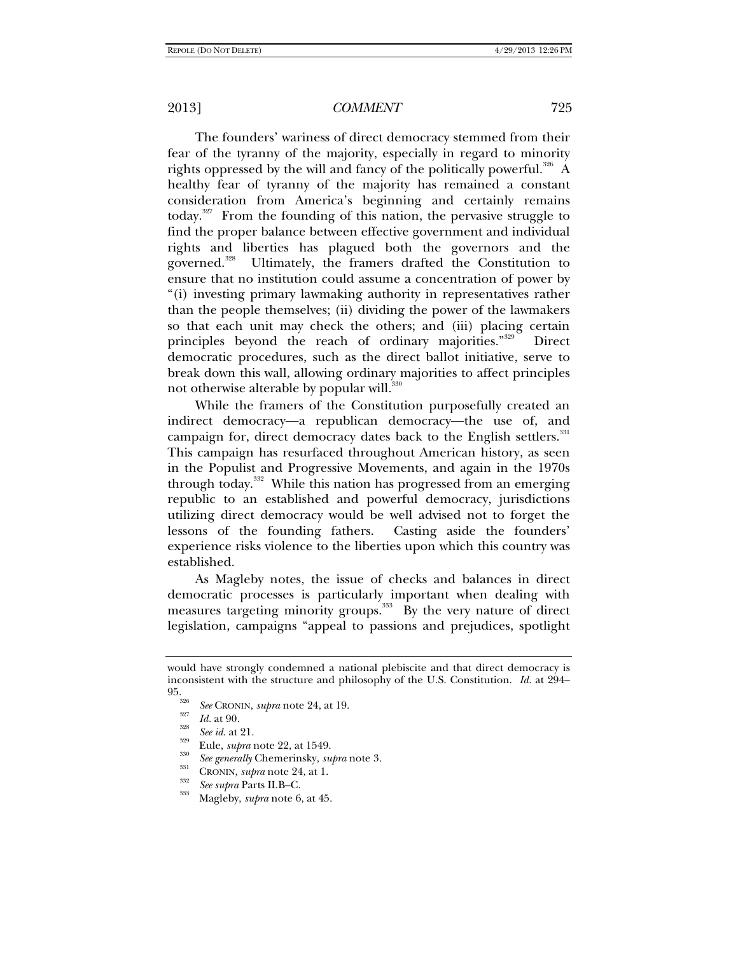The founders' wariness of direct democracy stemmed from their fear of the tyranny of the majority, especially in regard to minority rights oppressed by the will and fancy of the politically powerful.<sup>326</sup> A healthy fear of tyranny of the majority has remained a constant consideration from America's beginning and certainly remains today.<sup>327</sup> From the founding of this nation, the pervasive struggle to find the proper balance between effective government and individual rights and liberties has plagued both the governors and the governed.<sup>328</sup> Ultimately, the framers drafted the Constitution to ensure that no institution could assume a concentration of power by "(i) investing primary lawmaking authority in representatives rather than the people themselves; (ii) dividing the power of the lawmakers so that each unit may check the others; and (iii) placing certain principles beyond the reach of ordinary majorities."<sup>329</sup> Direct democratic procedures, such as the direct ballot initiative, serve to break down this wall, allowing ordinary majorities to affect principles not otherwise alterable by popular will.<sup>330</sup>

While the framers of the Constitution purposefully created an indirect democracy—a republican democracy—the use of, and campaign for, direct democracy dates back to the English settlers.<sup>331</sup> This campaign has resurfaced throughout American history, as seen in the Populist and Progressive Movements, and again in the 1970s through today.<sup>332</sup> While this nation has progressed from an emerging republic to an established and powerful democracy, jurisdictions utilizing direct democracy would be well advised not to forget the lessons of the founding fathers. Casting aside the founders' experience risks violence to the liberties upon which this country was established.

As Magleby notes, the issue of checks and balances in direct democratic processes is particularly important when dealing with measures targeting minority groups.<sup>333</sup> By the very nature of direct legislation, campaigns "appeal to passions and prejudices, spotlight

- 
- 
- 

would have strongly condemned a national plebiscite and that direct democracy is inconsistent with the structure and philosophy of the U.S. Constitution. *Id.* at 294–  $95_\text{\tiny{326}}$ 

<sup>&</sup>lt;sup>320</sup> See CRONIN, supra note 24, at 19.<br>
<sup>327</sup> Id. at 90.<br>
<sup>328</sup> See id. at 21.<br>
<sup>329</sup> Eule, *supra* note 22, at 1549.<br>
<sup>330</sup> See generally Chemerinsky, *supra* note 3.<br>
CRONIN, *supra* note 24, at 1.<br> *See supra* Parts I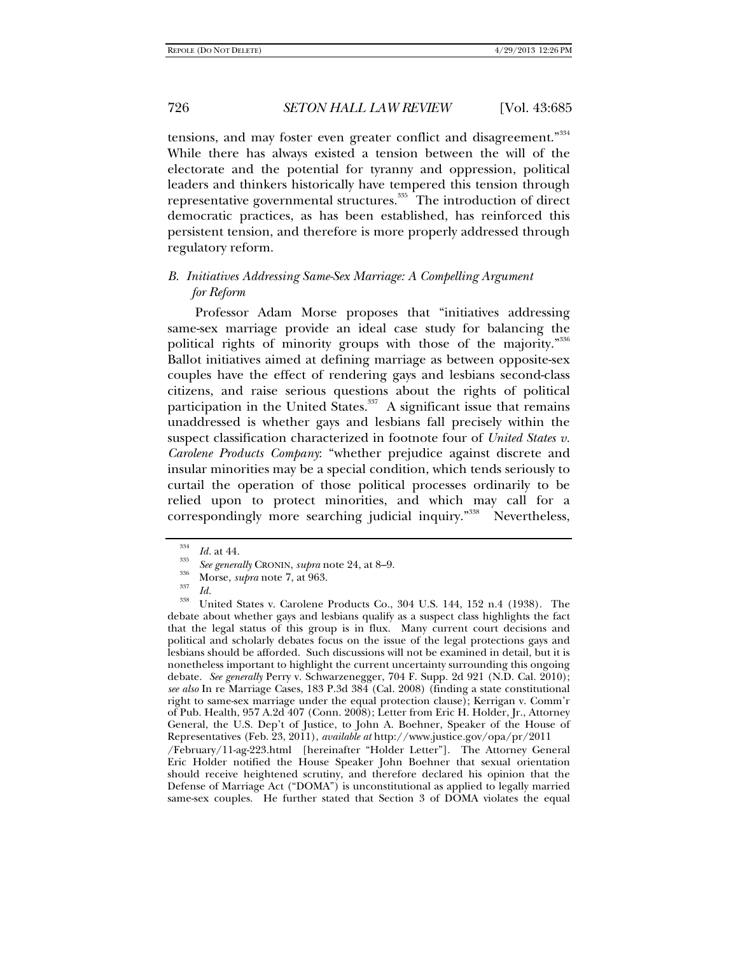tensions, and may foster even greater conflict and disagreement."<sup>334</sup> While there has always existed a tension between the will of the electorate and the potential for tyranny and oppression, political leaders and thinkers historically have tempered this tension through representative governmental structures.<sup>335</sup> The introduction of direct democratic practices, as has been established, has reinforced this persistent tension, and therefore is more properly addressed through regulatory reform.

## *B. Initiatives Addressing Same-Sex Marriage: A Compelling Argument for Reform*

Professor Adam Morse proposes that "initiatives addressing same-sex marriage provide an ideal case study for balancing the political rights of minority groups with those of the majority."<sup>336</sup> Ballot initiatives aimed at defining marriage as between opposite-sex couples have the effect of rendering gays and lesbians second-class citizens, and raise serious questions about the rights of political participation in the United States. $337$  A significant issue that remains unaddressed is whether gays and lesbians fall precisely within the suspect classification characterized in footnote four of *United States v. Carolene Products Company*: "whether prejudice against discrete and insular minorities may be a special condition, which tends seriously to curtail the operation of those political processes ordinarily to be relied upon to protect minorities, and which may call for a correspondingly more searching judicial inquiry."<sup>338</sup> Nevertheless,

<sup>334</sup>

<sup>&</sup>lt;sup>334</sup> *Id.* at 44.<br><sup>335</sup> *See generally* CRONIN, *supra* note 24, at 8–9.<br><sup>336</sup> *Id. Id.* United States v. Carolene Products Co., 304 U.S. 144, 152 n.4 (1938). The debate about whether gays and lesbians qualify as a suspect class highlights the fact that the legal status of this group is in flux. Many current court decisions and political and scholarly debates focus on the issue of the legal protections gays and lesbians should be afforded. Such discussions will not be examined in detail, but it is nonetheless important to highlight the current uncertainty surrounding this ongoing debate. *See generally* Perry v. Schwarzenegger, 704 F. Supp. 2d 921 (N.D. Cal. 2010); *see also* In re Marriage Cases, 183 P.3d 384 (Cal. 2008) (finding a state constitutional right to same-sex marriage under the equal protection clause); Kerrigan v. Comm'r of Pub. Health, 957 A.2d 407 (Conn. 2008); Letter from Eric H. Holder, Jr., Attorney General, the U.S. Dep't of Justice, to John A. Boehner, Speaker of the House of Representatives (Feb. 23, 2011), *available at* http://www.justice.gov/opa/pr/2011 /February/11-ag-223.html [hereinafter "Holder Letter"]. The Attorney General Eric Holder notified the House Speaker John Boehner that sexual orientation should receive heightened scrutiny, and therefore declared his opinion that the Defense of Marriage Act ("DOMA") is unconstitutional as applied to legally married same-sex couples. He further stated that Section 3 of DOMA violates the equal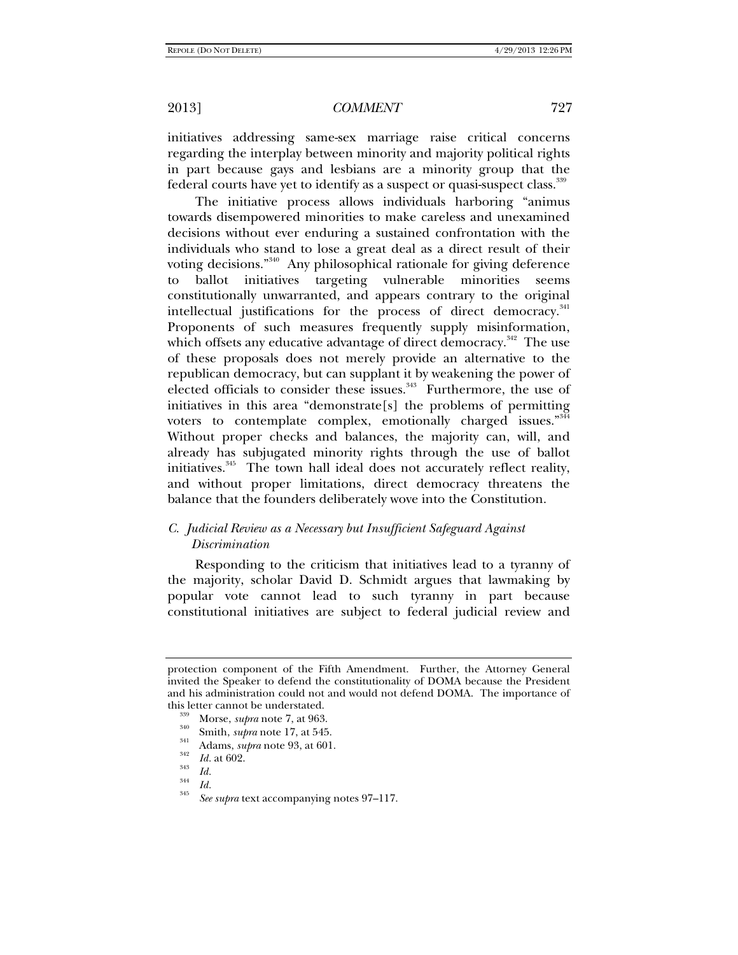initiatives addressing same-sex marriage raise critical concerns regarding the interplay between minority and majority political rights in part because gays and lesbians are a minority group that the federal courts have yet to identify as a suspect or quasi-suspect class.<sup>339</sup>

The initiative process allows individuals harboring "animus towards disempowered minorities to make careless and unexamined decisions without ever enduring a sustained confrontation with the individuals who stand to lose a great deal as a direct result of their voting decisions."<sup>340</sup> Any philosophical rationale for giving deference to ballot initiatives targeting vulnerable minorities seems constitutionally unwarranted, and appears contrary to the original intellectual justifications for the process of direct democracy.<sup>341</sup> Proponents of such measures frequently supply misinformation, which offsets any educative advantage of direct democracy.<sup>342</sup> The use of these proposals does not merely provide an alternative to the republican democracy, but can supplant it by weakening the power of elected officials to consider these issues. $343$  Furthermore, the use of initiatives in this area "demonstrate[s] the problems of permitting voters to contemplate complex, emotionally charged issues." 344 Without proper checks and balances, the majority can, will, and already has subjugated minority rights through the use of ballot initiatives.<sup>345</sup> The town hall ideal does not accurately reflect reality, and without proper limitations, direct democracy threatens the balance that the founders deliberately wove into the Constitution.

## *C. Judicial Review as a Necessary but Insufficient Safeguard Against Discrimination*

Responding to the criticism that initiatives lead to a tyranny of the majority, scholar David D. Schmidt argues that lawmaking by popular vote cannot lead to such tyranny in part because constitutional initiatives are subject to federal judicial review and

protection component of the Fifth Amendment. Further, the Attorney General invited the Speaker to defend the constitutionality of DOMA because the President and his administration could not and would not defend DOMA. The importance of

this letter cannot be understated.<br><sup>339</sup> Morse, *supra* note 7, at 963.<br><sup>340</sup> Smith, *supra* note 17, at 545.<br><sup>341</sup> Adams, *supra* note 93, at 601.<br>*Id.* at 602.

 $\frac{344}{345}$  *Id.* 

*See supra* text accompanying notes 97–117.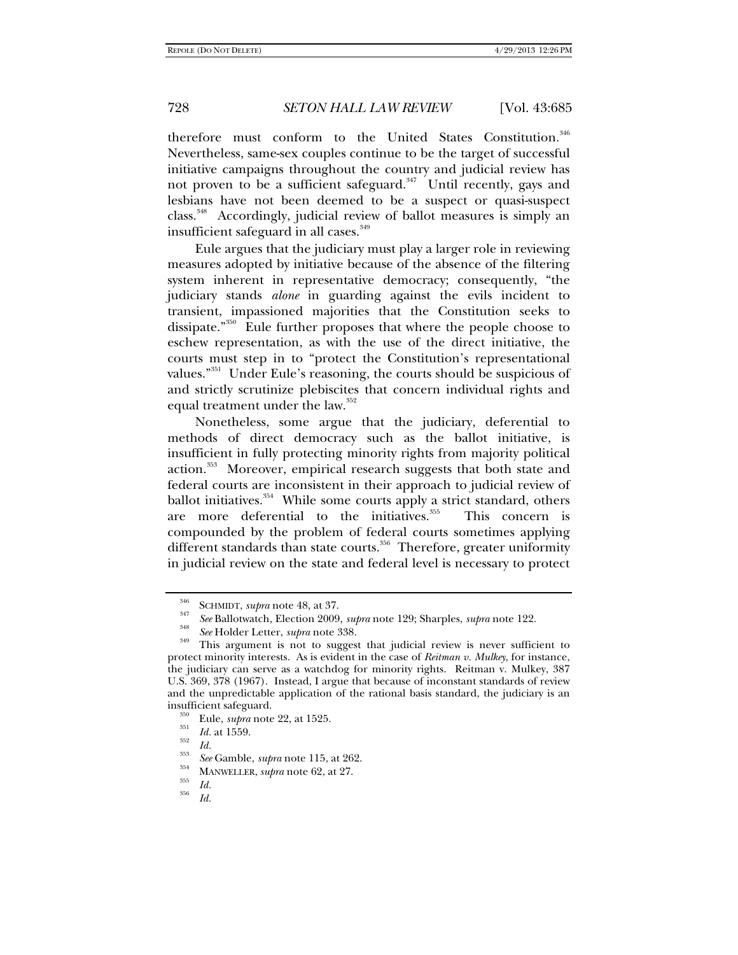therefore must conform to the United States Constitution.<sup>346</sup> Nevertheless, same-sex couples continue to be the target of successful initiative campaigns throughout the country and judicial review has not proven to be a sufficient safeguard.<sup>347</sup> Until recently, gays and lesbians have not been deemed to be a suspect or quasi-suspect class.348 Accordingly, judicial review of ballot measures is simply an insufficient safeguard in all cases.<sup>349</sup>

Eule argues that the judiciary must play a larger role in reviewing measures adopted by initiative because of the absence of the filtering system inherent in representative democracy; consequently, "the judiciary stands *alone* in guarding against the evils incident to transient, impassioned majorities that the Constitution seeks to dissipate."350 Eule further proposes that where the people choose to eschew representation, as with the use of the direct initiative, the courts must step in to "protect the Constitution's representational values."<sup>351</sup> Under Eule's reasoning, the courts should be suspicious of and strictly scrutinize plebiscites that concern individual rights and equal treatment under the law.<sup>352</sup>

Nonetheless, some argue that the judiciary, deferential to methods of direct democracy such as the ballot initiative, is insufficient in fully protecting minority rights from majority political action.<sup>353</sup> Moreover, empirical research suggests that both state and federal courts are inconsistent in their approach to judicial review of ballot initiatives.<sup>354</sup> While some courts apply a strict standard, others are more deferential to the initiatives.<sup>355</sup> This concern is compounded by the problem of federal courts sometimes applying different standards than state courts.<sup>356</sup> Therefore, greater uniformity in judicial review on the state and federal level is necessary to protect

<sup>&</sup>lt;sup>346</sup> SCHMIDT, *supra* note 48, at 37.<br><sup>347</sup> *See* Ballotwatch, Election 2009, *supra* note 129; Sharples, *supra* note 122.<br><sup>348</sup> *See* Holder Letter, *supra* note 338.

<sup>&</sup>lt;sup>349</sup> This argument is not to suggest that judicial review is never sufficient to protect minority interests. As is evident in the case of *Reitman v. Mulkey*, for instance, the judiciary can serve as a watchdog for minority rights. Reitman v. Mulkey, 387 U.S. 369, 378 (1967). Instead, I argue that because of inconstant standards of review and the unpredictable application of the rational basis standard, the judiciary is an insufficient safeguard.<br><sup>350</sup> Eule, *supra* note 22, at 1525.<br><sup>351</sup> *Id.* at 1559.<br>*Id.* 

<sup>&</sup>lt;sup>353</sup> *See* Gamble, *supra* note 115, at 262.<br> **MANWELLER**, *supra* note 62, at 27.<br> *Id.* 

*Id.*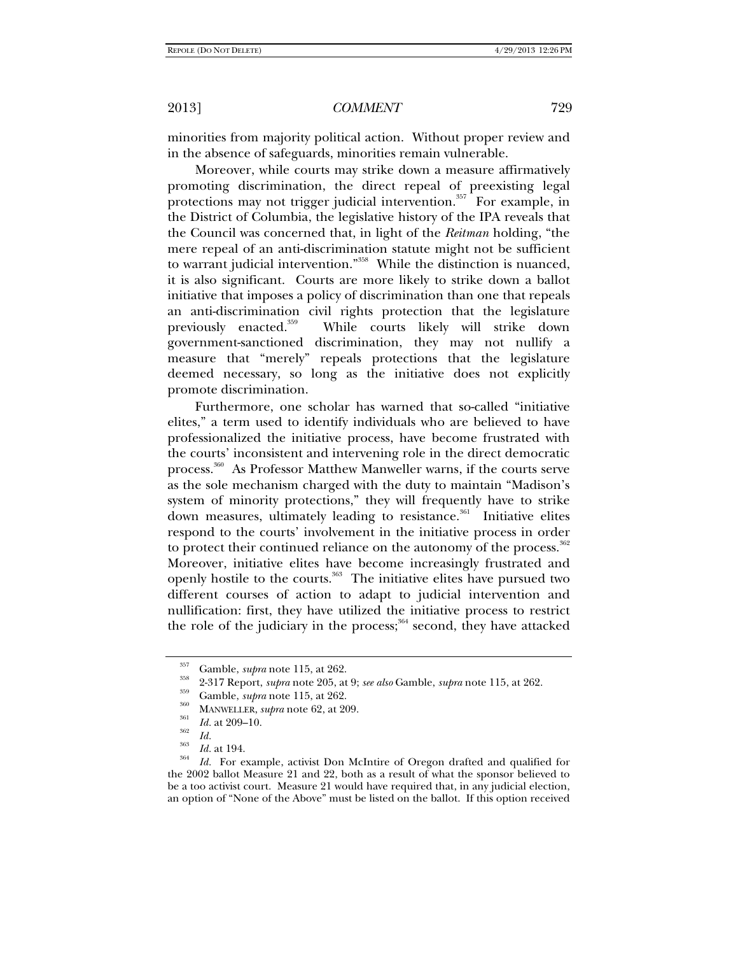minorities from majority political action. Without proper review and in the absence of safeguards, minorities remain vulnerable.

Moreover, while courts may strike down a measure affirmatively promoting discrimination, the direct repeal of preexisting legal protections may not trigger judicial intervention.<sup>357</sup> For example, in the District of Columbia, the legislative history of the IPA reveals that the Council was concerned that, in light of the *Reitman* holding, "the mere repeal of an anti-discrimination statute might not be sufficient to warrant judicial intervention."<sup>358</sup> While the distinction is nuanced, it is also significant. Courts are more likely to strike down a ballot initiative that imposes a policy of discrimination than one that repeals an anti-discrimination civil rights protection that the legislature previously enacted.<sup>359</sup> While courts likely will strike down government-sanctioned discrimination, they may not nullify a measure that "merely" repeals protections that the legislature deemed necessary, so long as the initiative does not explicitly promote discrimination.

Furthermore, one scholar has warned that so-called "initiative elites," a term used to identify individuals who are believed to have professionalized the initiative process, have become frustrated with the courts' inconsistent and intervening role in the direct democratic process.360 As Professor Matthew Manweller warns, if the courts serve as the sole mechanism charged with the duty to maintain "Madison's system of minority protections," they will frequently have to strike down measures, ultimately leading to resistance.<sup>361</sup> Initiative elites respond to the courts' involvement in the initiative process in order to protect their continued reliance on the autonomy of the process.<sup>362</sup> Moreover, initiative elites have become increasingly frustrated and openly hostile to the courts.<sup>363</sup> The initiative elites have pursued two different courses of action to adapt to judicial intervention and nullification: first, they have utilized the initiative process to restrict the role of the judiciary in the process; $364$  second, they have attacked

<sup>&</sup>lt;sup>357</sup> Gamble, *supra* note 115, at 262.<br>
<sup>358</sup> 2-317 Report, *supra* note 205, at 9; *see also* Gamble, *supra* note 115, at 262.<br>
<sup>359</sup> Gamble, *supra* note 115, at 262.<br>
MANWELLER, *supra* note 62, at 209.<br> *Id.* at 209

<sup>&</sup>lt;sup>364</sup> *Id.* For example, activist Don McIntire of Oregon drafted and qualified for the 2002 ballot Measure 21 and 22, both as a result of what the sponsor believed to be a too activist court. Measure 21 would have required that, in any judicial election, an option of "None of the Above" must be listed on the ballot. If this option received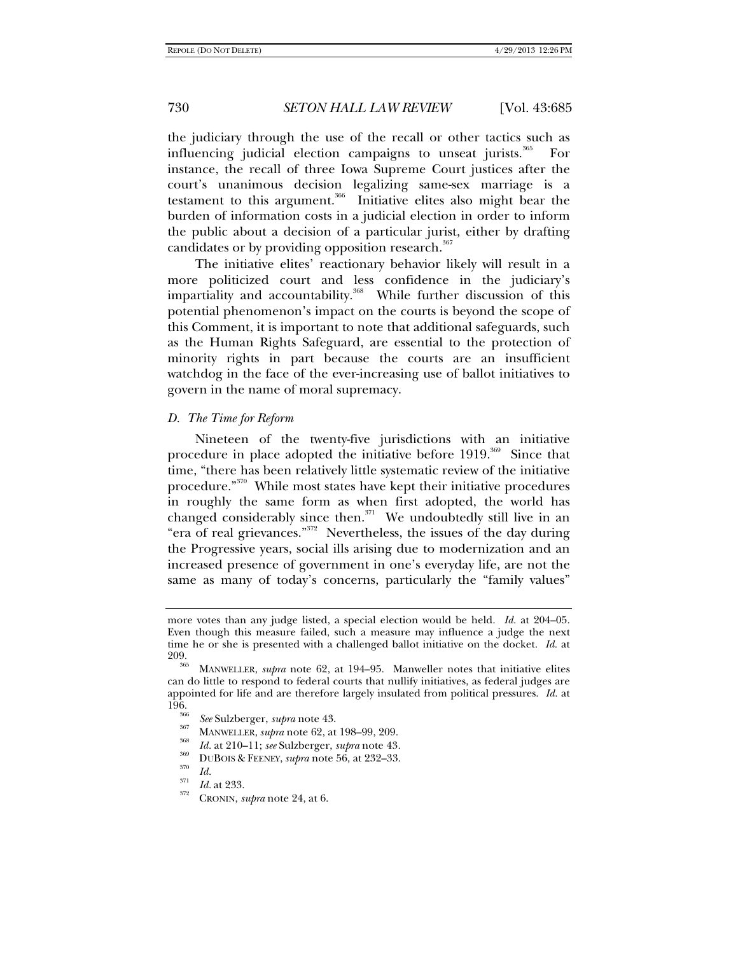the judiciary through the use of the recall or other tactics such as influencing judicial election campaigns to unseat jurists.<sup>365</sup> For instance, the recall of three Iowa Supreme Court justices after the court's unanimous decision legalizing same-sex marriage is a testament to this argument.<sup>366</sup> Initiative elites also might bear the burden of information costs in a judicial election in order to inform the public about a decision of a particular jurist, either by drafting candidates or by providing opposition research.<sup>367</sup>

The initiative elites' reactionary behavior likely will result in a more politicized court and less confidence in the judiciary's impartiality and accountability.<sup>368</sup> While further discussion of this potential phenomenon's impact on the courts is beyond the scope of this Comment, it is important to note that additional safeguards, such as the Human Rights Safeguard, are essential to the protection of minority rights in part because the courts are an insufficient watchdog in the face of the ever-increasing use of ballot initiatives to govern in the name of moral supremacy.

## *D. The Time for Reform*

Nineteen of the twenty-five jurisdictions with an initiative procedure in place adopted the initiative before 1919.<sup>369</sup> Since that time, "there has been relatively little systematic review of the initiative procedure."370 While most states have kept their initiative procedures in roughly the same form as when first adopted, the world has changed considerably since then.<sup>371</sup> We undoubtedly still live in an "era of real grievances."<sup>372</sup> Nevertheless, the issues of the day during the Progressive years, social ills arising due to modernization and an increased presence of government in one's everyday life, are not the same as many of today's concerns, particularly the "family values"

*I*<sub>370</sub> DUBOIS & FEENEY, *supra* note 56, at 232–33. *Id.* 

more votes than any judge listed, a special election would be held. *Id.* at 204–05. Even though this measure failed, such a measure may influence a judge the next time he or she is presented with a challenged ballot initiative on the docket. *Id.* at

MANWELLER, *supra* note 62, at 194–95. Manweller notes that initiative elites can do little to respond to federal courts that nullify initiatives, as federal judges are appointed for life and are therefore largely insulated from political pressures. *Id.* at 196.<br><sup>366</sup> *See* Sulzberger, *supra* note 43.<br><sup>367</sup> MANWELLER, *supra* note 62, at 198–99, 209.<br>*Id.* at 210–11; *see* Sulzberger, *supra* note 43.

*Id.* <sup>371</sup>*Id.* at 233. 372 CRONIN, *supra* note 24, at 6.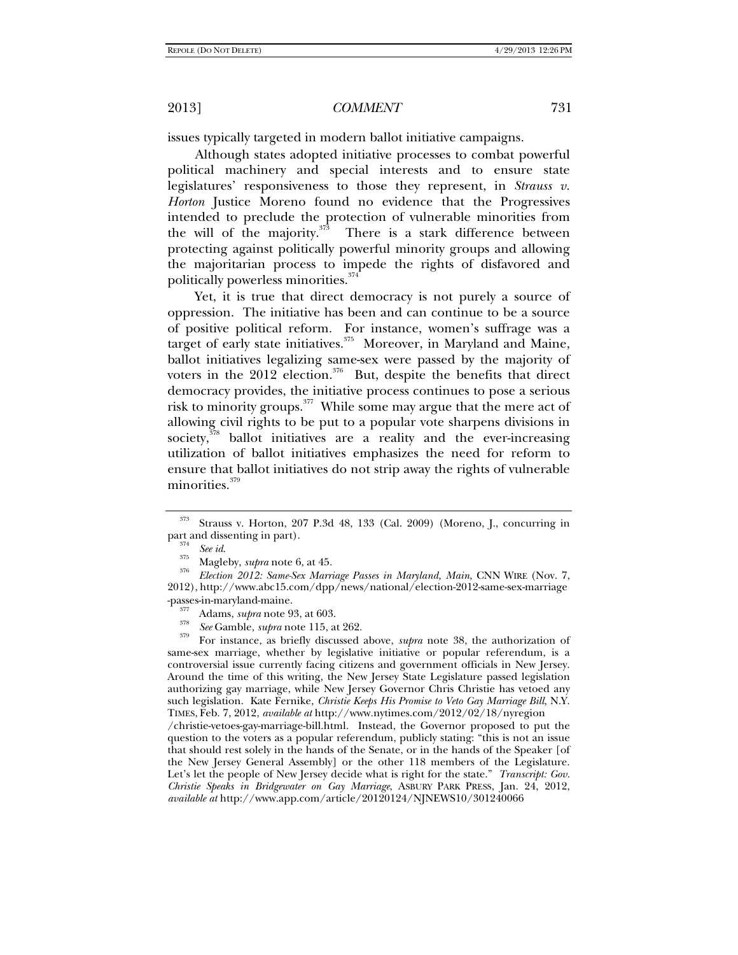issues typically targeted in modern ballot initiative campaigns.

Although states adopted initiative processes to combat powerful political machinery and special interests and to ensure state legislatures' responsiveness to those they represent, in *Strauss v. Horton* Justice Moreno found no evidence that the Progressives intended to preclude the protection of vulnerable minorities from the will of the majority. $373$  There is a stark difference between protecting against politically powerful minority groups and allowing the majoritarian process to impede the rights of disfavored and politically powerless minorities.<sup>374</sup>

Yet, it is true that direct democracy is not purely a source of oppression. The initiative has been and can continue to be a source of positive political reform. For instance, women's suffrage was a target of early state initiatives.<sup>375</sup> Moreover, in Maryland and Maine, ballot initiatives legalizing same-sex were passed by the majority of voters in the 2012 election.<sup>376</sup> But, despite the benefits that direct democracy provides, the initiative process continues to pose a serious risk to minority groups. $377$  While some may argue that the mere act of allowing civil rights to be put to a popular vote sharpens divisions in society, $378$  ballot initiatives are a reality and the ever-increasing utilization of ballot initiatives emphasizes the need for reform to ensure that ballot initiatives do not strip away the rights of vulnerable minorities.<sup>379</sup>

 *See id*. 375 Magleby, *supra* note 6, at 45. 376 *Election 2012: Same-Sex Marriage Passes in Maryland, Main*, CNN WIRE (Nov. 7, 2012), http://www.abc15.com/dpp/news/national/election-2012-same-sex-marriage

For instance, as briefly discussed above, *supra* note 38, the authorization of same-sex marriage, whether by legislative initiative or popular referendum, is a controversial issue currently facing citizens and government officials in New Jersey. Around the time of this writing, the New Jersey State Legislature passed legislation authorizing gay marriage, while New Jersey Governor Chris Christie has vetoed any such legislation. Kate Fernike, *Christie Keeps His Promise to Veto Gay Marriage Bill*, N.Y. TIMES, Feb. 7, 2012, *available at* http://www.nytimes.com/2012/02/18/nyregion

/christie-vetoes-gay-marriage-bill.html. Instead, the Governor proposed to put the question to the voters as a popular referendum, publicly stating: "this is not an issue that should rest solely in the hands of the Senate, or in the hands of the Speaker [of the New Jersey General Assembly] or the other 118 members of the Legislature. Let's let the people of New Jersey decide what is right for the state." *Transcript: Gov. Christie Speaks in Bridgewater on Gay Marriage*, ASBURY PARK PRESS, Jan. 24, 2012, *available at* http://www.app.com/article/20120124/NJNEWS10/301240066

<sup>373</sup> Strauss v. Horton, 207 P.3d 48, 133 (Cal. 2009) (Moreno, J., concurring in part and dissenting in part).<br> $\frac{374}{374}$  See id.

<sup>-</sup>passes-in-maryland-maine.<br><sup>377</sup> Adams, *supra* note 93, at 603.<br><sup>378</sup> See Gamble, *supra* note 115, at 262.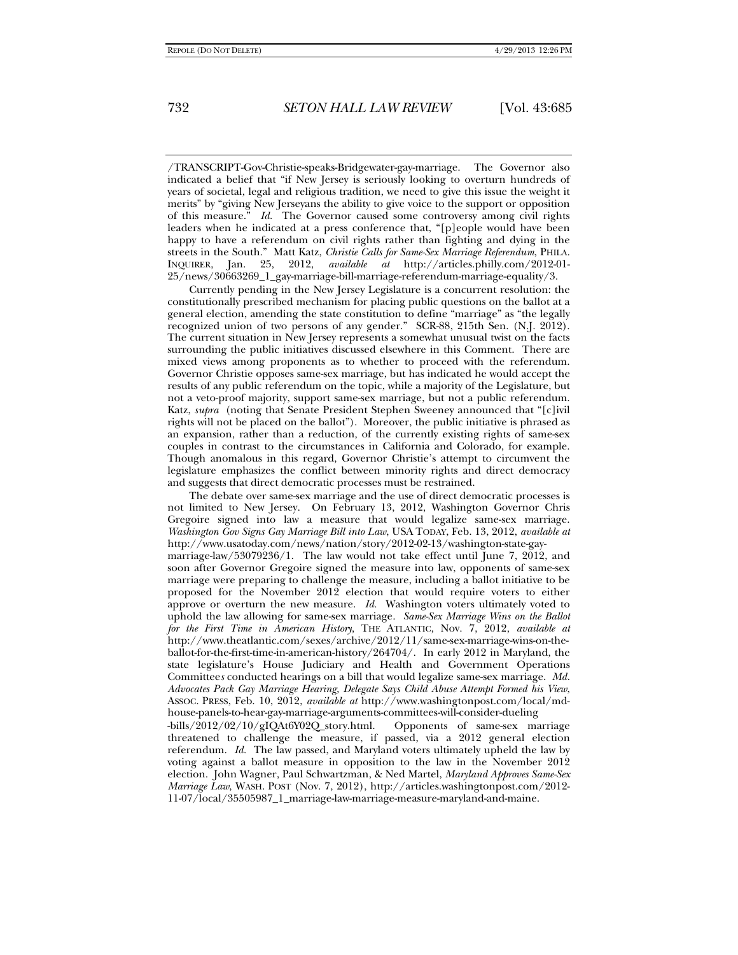/TRANSCRIPT-Gov-Christie-speaks-Bridgewater-gay-marriage. The Governor also indicated a belief that "if New Jersey is seriously looking to overturn hundreds of years of societal, legal and religious tradition, we need to give this issue the weight it merits" by "giving New Jerseyans the ability to give voice to the support or opposition of this measure." *Id.* The Governor caused some controversy among civil rights leaders when he indicated at a press conference that, "[p]eople would have been happy to have a referendum on civil rights rather than fighting and dying in the streets in the South." Matt Katz, *Christie Calls for Same-Sex Marriage Referendum*, PHILA. INQUIRER, Jan. 25, 2012, *available at* http://articles.philly.com/2012-01- 25/news/30663269\_1\_gay-marriage-bill-marriage-referendum-marriage-equality/3.

Currently pending in the New Jersey Legislature is a concurrent resolution: the constitutionally prescribed mechanism for placing public questions on the ballot at a general election, amending the state constitution to define "marriage" as "the legally recognized union of two persons of any gender." SCR-88, 215th Sen. (N.J. 2012). The current situation in New Jersey represents a somewhat unusual twist on the facts surrounding the public initiatives discussed elsewhere in this Comment. There are mixed views among proponents as to whether to proceed with the referendum. Governor Christie opposes same-sex marriage, but has indicated he would accept the results of any public referendum on the topic, while a majority of the Legislature, but not a veto-proof majority, support same-sex marriage, but not a public referendum. Katz, *supra* (noting that Senate President Stephen Sweeney announced that "[c]ivil rights will not be placed on the ballot"). Moreover, the public initiative is phrased as an expansion, rather than a reduction, of the currently existing rights of same-sex couples in contrast to the circumstances in California and Colorado, for example. Though anomalous in this regard, Governor Christie's attempt to circumvent the legislature emphasizes the conflict between minority rights and direct democracy and suggests that direct democratic processes must be restrained.

The debate over same-sex marriage and the use of direct democratic processes is not limited to New Jersey. On February 13, 2012, Washington Governor Chris Gregoire signed into law a measure that would legalize same-sex marriage. *Washington Gov Signs Gay Marriage Bill into Law*, USA TODAY, Feb. 13, 2012, *available at*  http://www.usatoday.com/news/nation/story/2012-02-13/washington-state-gaymarriage-law/53079236/1. The law would not take effect until June 7, 2012, and soon after Governor Gregoire signed the measure into law, opponents of same-sex marriage were preparing to challenge the measure, including a ballot initiative to be proposed for the November 2012 election that would require voters to either approve or overturn the new measure. *Id.* Washington voters ultimately voted to uphold the law allowing for same-sex marriage. *Same-Sex Marriage Wins on the Ballot for the First Time in American History*, THE ATLANTIC, Nov. 7, 2012, *available at* http://www.theatlantic.com/sexes/archive/2012/11/same-sex-marriage-wins-on-theballot-for-the-first-time-in-american-history/264704/. In early 2012 in Maryland, the state legislature's House Judiciary and Health and Government Operations Committee*s* conducted hearings on a bill that would legalize same-sex marriage. *Md. Advocates Pack Gay Marriage Hearing, Delegate Says Child Abuse Attempt Formed his View*, ASSOC. PRESS, Feb. 10, 2012, *available at* http://www.washingtonpost.com/local/mdhouse-panels-to-hear-gay-marriage-arguments-committees-will-consider-dueling

-bills/2012/02/10/gIQAt6Y02Q\_story.html. Opponents of same-sex marriage threatened to challenge the measure, if passed, via a 2012 general election referendum. *Id.* The law passed, and Maryland voters ultimately upheld the law by voting against a ballot measure in opposition to the law in the November 2012 election. John Wagner, Paul Schwartzman, & Ned Martel, *Maryland Approves Same-Sex Marriage Law*, WASH. POST (Nov. 7, 2012), http://articles.washingtonpost.com/2012- 11-07/local/35505987\_1\_marriage-law-marriage-measure-maryland-and-maine.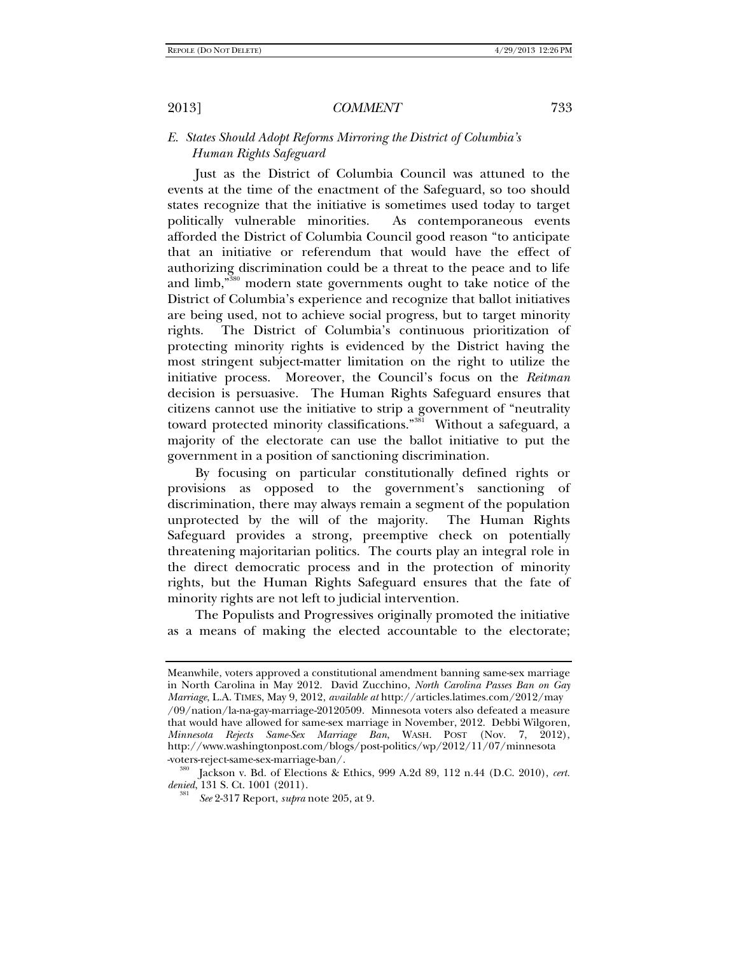## *E. States Should Adopt Reforms Mirroring the District of Columbia's Human Rights Safeguard*

Just as the District of Columbia Council was attuned to the events at the time of the enactment of the Safeguard, so too should states recognize that the initiative is sometimes used today to target politically vulnerable minorities. As contemporaneous events afforded the District of Columbia Council good reason "to anticipate that an initiative or referendum that would have the effect of authorizing discrimination could be a threat to the peace and to life and limb,"380 modern state governments ought to take notice of the District of Columbia's experience and recognize that ballot initiatives are being used, not to achieve social progress, but to target minority rights. The District of Columbia's continuous prioritization of protecting minority rights is evidenced by the District having the most stringent subject-matter limitation on the right to utilize the initiative process. Moreover, the Council's focus on the *Reitman* decision is persuasive. The Human Rights Safeguard ensures that citizens cannot use the initiative to strip a government of "neutrality toward protected minority classifications."<sup>381</sup> Without a safeguard, a majority of the electorate can use the ballot initiative to put the government in a position of sanctioning discrimination.

By focusing on particular constitutionally defined rights or provisions as opposed to the government's sanctioning of discrimination, there may always remain a segment of the population unprotected by the will of the majority. The Human Rights Safeguard provides a strong, preemptive check on potentially threatening majoritarian politics. The courts play an integral role in the direct democratic process and in the protection of minority rights, but the Human Rights Safeguard ensures that the fate of minority rights are not left to judicial intervention.

The Populists and Progressives originally promoted the initiative as a means of making the elected accountable to the electorate;

Meanwhile, voters approved a constitutional amendment banning same-sex marriage in North Carolina in May 2012. David Zucchino, *North Carolina Passes Ban on Gay Marriage*, L.A. TIMES, May 9, 2012, *available at* http://articles.latimes.com/2012/may /09/nation/la-na-gay-marriage-20120509. Minnesota voters also defeated a measure that would have allowed for same-sex marriage in November, 2012. Debbi Wilgoren, *Minnesota Rejects Same-Sex Marriage Ban*, WASH. POST (Nov. 7, 2012), http://www.washingtonpost.com/blogs/post-politics/wp/2012/11/07/minnesota -voters-reject-same-sex-marriage-ban/. 380 Jackson v. Bd. of Elections & Ethics, 999 A.2d 89, 112 n.44 (D.C. 2010), *cert.* 

*denied*, 131 S. Ct. 1001 (2011).

*See* 2-317 Report, *supra* note 205, at 9.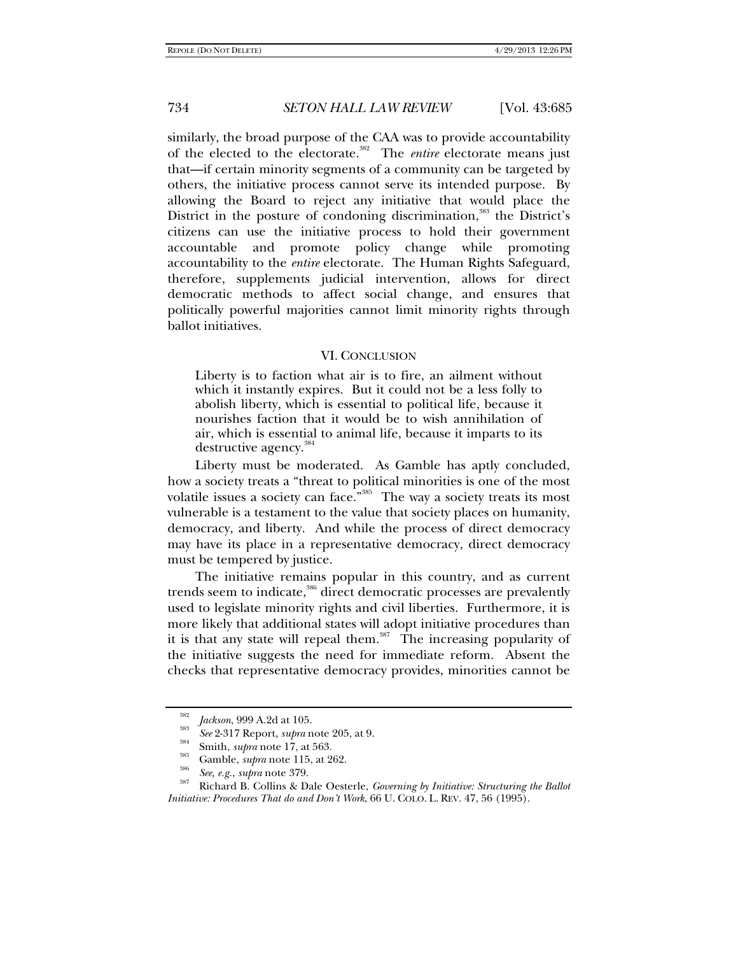similarly, the broad purpose of the CAA was to provide accountability of the elected to the electorate.<sup>382</sup> The *entire* electorate means just that—if certain minority segments of a community can be targeted by others, the initiative process cannot serve its intended purpose. By allowing the Board to reject any initiative that would place the District in the posture of condoning discrimination,<sup>383</sup> the District's citizens can use the initiative process to hold their government accountable and promote policy change while promoting accountability to the *entire* electorate. The Human Rights Safeguard, therefore, supplements judicial intervention, allows for direct democratic methods to affect social change, and ensures that politically powerful majorities cannot limit minority rights through ballot initiatives.

#### VI. CONCLUSION

Liberty is to faction what air is to fire, an ailment without which it instantly expires. But it could not be a less folly to abolish liberty, which is essential to political life, because it nourishes faction that it would be to wish annihilation of air, which is essential to animal life, because it imparts to its destructive agency.<sup>38</sup>

Liberty must be moderated. As Gamble has aptly concluded, how a society treats a "threat to political minorities is one of the most volatile issues a society can face."<sup>385</sup> The way a society treats its most vulnerable is a testament to the value that society places on humanity, democracy, and liberty. And while the process of direct democracy may have its place in a representative democracy, direct democracy must be tempered by justice.

The initiative remains popular in this country, and as current trends seem to indicate,<sup>386</sup> direct democratic processes are prevalently used to legislate minority rights and civil liberties. Furthermore, it is more likely that additional states will adopt initiative procedures than it is that any state will repeal them.<sup>387</sup> The increasing popularity of the initiative suggests the need for immediate reform. Absent the checks that representative democracy provides, minorities cannot be

<sup>382</sup> 

<sup>&</sup>lt;sup>382</sup> *Jackson*, 999 A.2d at 105.<br>
<sup>383</sup> *See* 2-317 Report, *supra* note 205, at 9.<br>
<sup>384</sup> Smith, *supra* note 17, at 563.<br>
<sup>385</sup> Gamble, *supra* note 115, at 262.<br>
<sup>386</sup> *See*, *e.g.*, *supra* note 379.<br>
Richard B. Coll *Initiative: Procedures That do and Don't Work*, 66 U. COLO. L. REV. 47, 56 (1995).